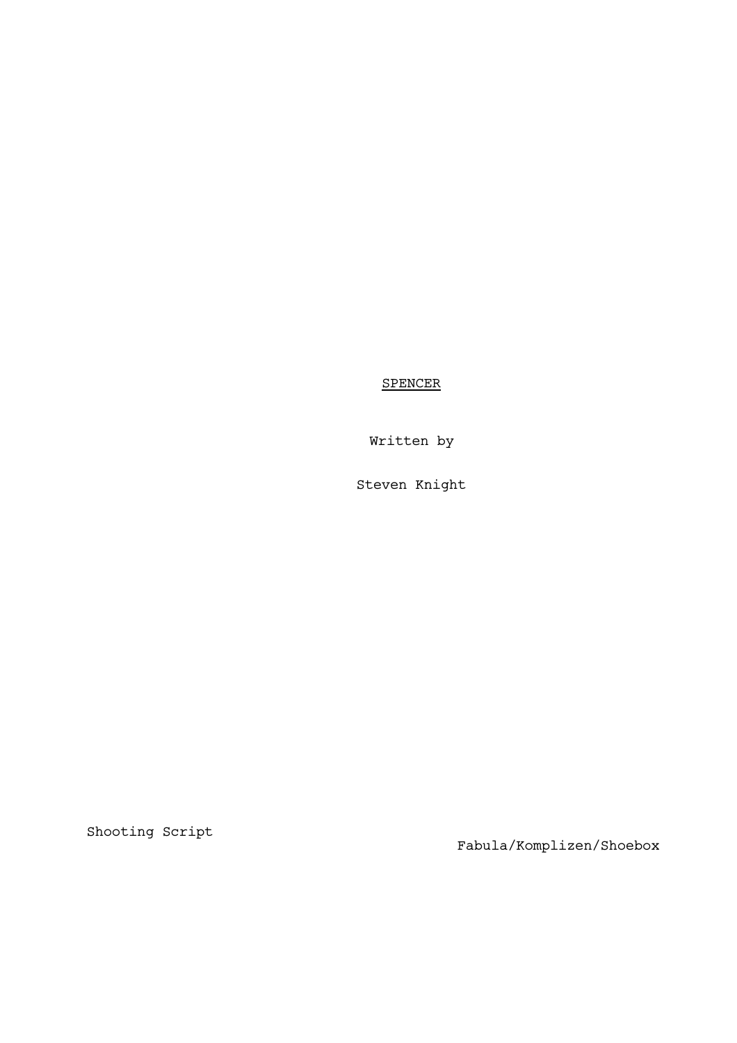**SPENCER** 

Written by

Steven Knight

Shooting Script

13th November 2020 Fabula/Komplizen/Shoebox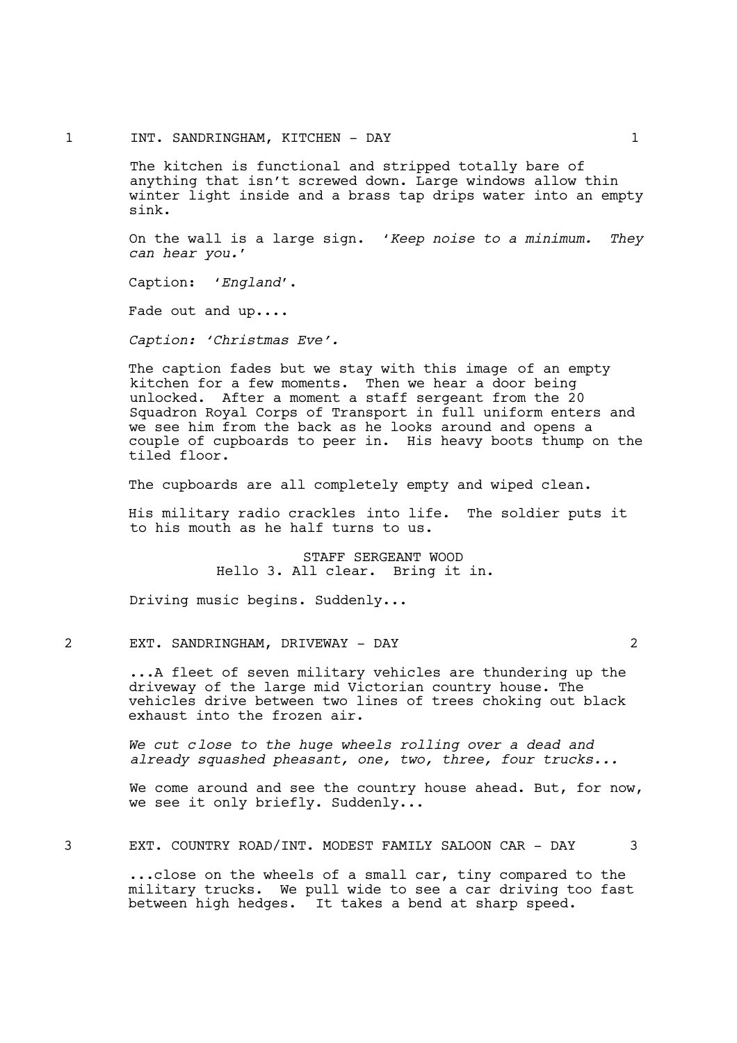The kitchen is functional and stripped totally bare of anything that isn't screwed down. Large windows allow thin winter light inside and a brass tap drips water into an empty sink.

On the wall is a large sign. '*Keep noise to a minimum. They can hear you.*'

Caption: '*England*'.

Fade out and up....

*Caption: 'Christmas Eve'.*

The caption fades but we stay with this image of an empty kitchen for a few moments. Then we hear a door being unlocked. After a moment a staff sergeant from the 20 Squadron Royal Corps of Transport in full uniform enters and we see him from the back as he looks around and opens a couple of cupboards to peer in. His heavy boots thump on the tiled floor.

The cupboards are all completely empty and wiped clean.

His military radio crackles into life. The soldier puts it to his mouth as he half turns to us.

> STAFF SERGEANT WOOD Hello 3. All clear. Bring it in.

Driving music begins. Suddenly...

2 EXT. SANDRINGHAM, DRIVEWAY - DAY 2

...A fleet of seven military vehicles are thundering up the driveway of the large mid Victorian country house. The vehicles drive between two lines of trees choking out black exhaust into the frozen air.

*We cut close to the huge wheels rolling over a dead and already squashed pheasant, one, two, three, four trucks...*

We come around and see the country house ahead. But, for now, we see it only briefly. Suddenly...

3 EXT. COUNTRY ROAD/INT. MODEST FAMILY SALOON CAR - DAY 3

...close on the wheels of a small car, tiny compared to the military trucks. We pull wide to see a car driving too fast between high hedges. It takes a bend at sharp speed.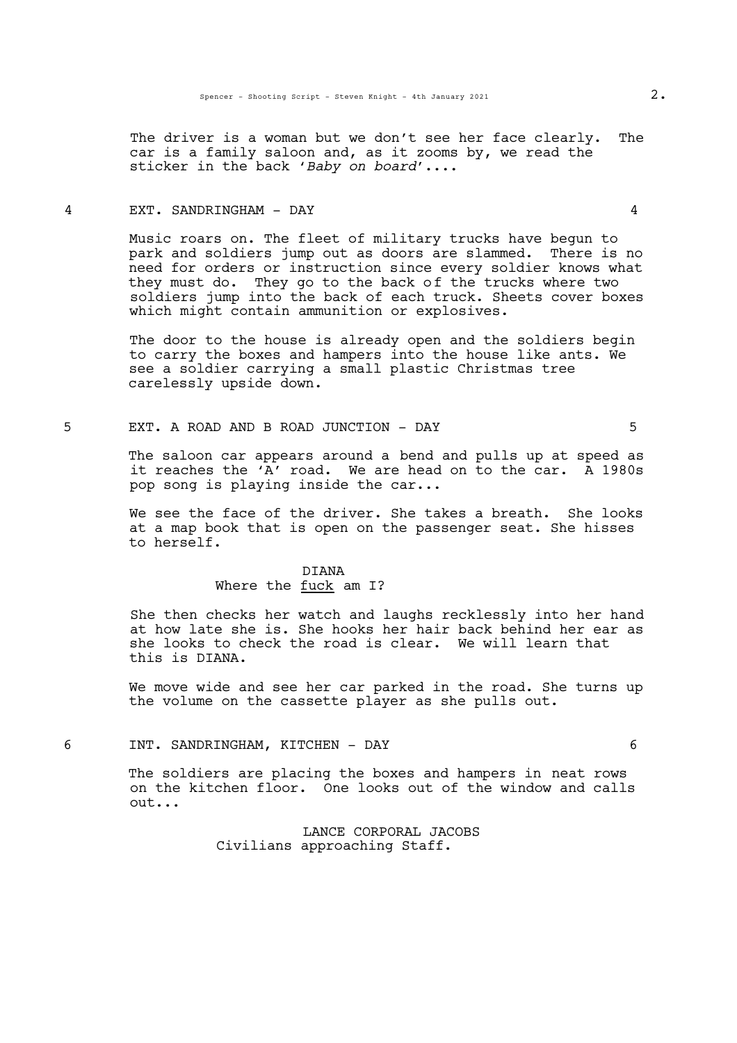The driver is a woman but we don't see her face clearly. The car is a family saloon and, as it zooms by, we read the sticker in the back '*Baby on board*'....

## 4 EXT. SANDRINGHAM - DAY 4

Music roars on. The fleet of military trucks have begun to park and soldiers jump out as doors are slammed. There is no need for orders or instruction since every soldier knows what they must do. They go to the back of the trucks where two soldiers jump into the back of each truck. Sheets cover boxes which might contain ammunition or explosives.

The door to the house is already open and the soldiers begin to carry the boxes and hampers into the house like ants. We see a soldier carrying a small plastic Christmas tree carelessly upside down.

## 5 EXT. A ROAD AND B ROAD JUNCTION - DAY 5

The saloon car appears around a bend and pulls up at speed as it reaches the 'A' road. We are head on to the car. A 1980s pop song is playing inside the car...

We see the face of the driver. She takes a breath. She looks at a map book that is open on the passenger seat. She hisses to herself.

## DIANA Where the fuck am I?

She then checks her watch and laughs recklessly into her hand at how late she is. She hooks her hair back behind her ear as she looks to check the road is clear. We will learn that this is DIANA.

We move wide and see her car parked in the road. She turns up the volume on the cassette player as she pulls out.

### 6 INT. SANDRINGHAM, KITCHEN - DAY 6

The soldiers are placing the boxes and hampers in neat rows on the kitchen floor. One looks out of the window and calls out...

> LANCE CORPORAL JACOBS Civilians approaching Staff.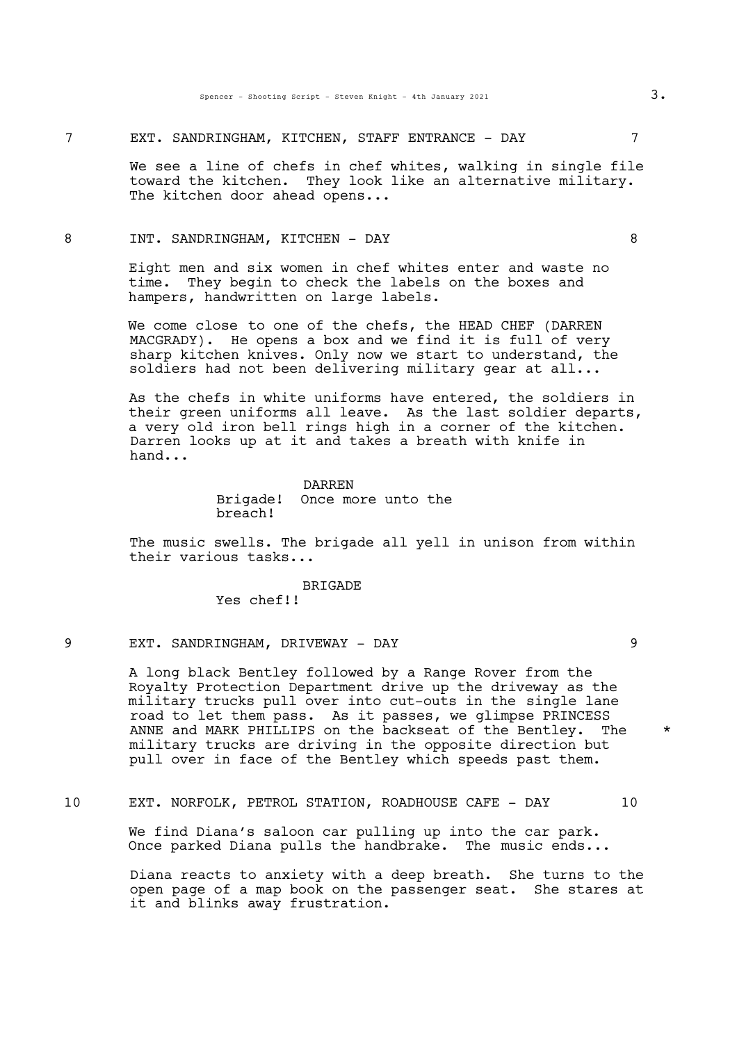7 EXT. SANDRINGHAM, KITCHEN, STAFF ENTRANCE - DAY

We see a line of chefs in chef whites, walking in single file toward the kitchen. They look like an alternative military.<br>The kitchen door ahead opens...

### 8 INT. SANDRINGHAM, KITCHEN - DAY 8

Eight men and six women in chef whites enter and waste no time. They begin to check the labels on the boxes and hampers, handwritten on large labels.

We come close to one of the chefs, the HEAD CHEF (DARREN MACGRADY). He opens a box and we find it is full of very sharp kitchen knives. Only now we start to understand, the soldiers had not been delivering military gear at all...

As the chefs in white uniforms have entered, the soldiers in their green uniforms all leave. As the last soldier departs, a very old iron bell rings high in a corner of the kitchen.<br>Darren looks up at it and takes a breath with knife in hand...

### DARREN Brigade! Once more unto the breach!

The music swells. The brigade all yell in unison from within their various tasks...

**BRIGADE** 

Yes chef!!

## 9 EXT. SANDRINGHAM, DRIVEWAY - DAY

A long black Bentley followed by a Range Rover from the Royalty Protection Department drive up the driveway as the military trucks pull over into cut-outs in the single lane road to let them pass. As it passes, we glimpse PRINCESS ANNE and MARK PHILLIPS on the backseat of the Bentley. The  $\quad$   $\star$ military trucks are driving in the opposite direction but pull over in face of the Bentley which speeds past them.

10 EXT. NORFOLK, PETROL STATION, ROADHOUSE CAFE - DAY 10

We find Diana's saloon car pulling up into the car park. Once parked Diana pulls the handbrake. The music ends...

Diana reacts to anxiety with a deep breath. She turns to the open page of a map book on the passenger seat. She stares at it and blinks away frustration.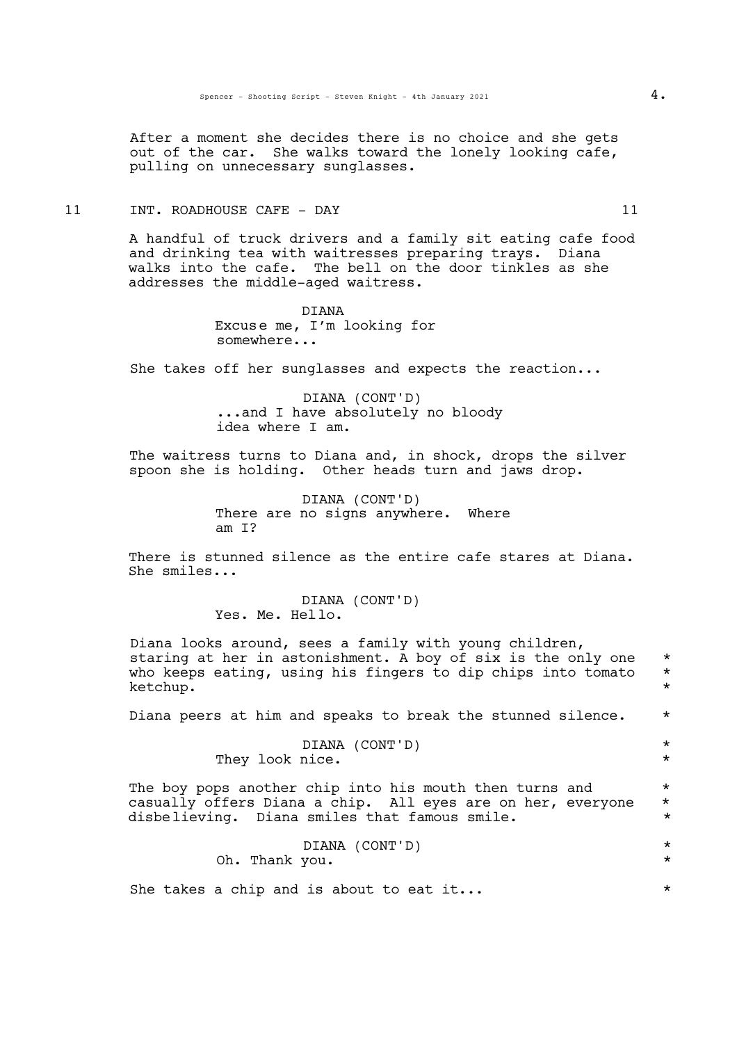After a moment she decides there is no choice and she gets out of the car. She walks toward the lonely looking cafe, pulling on unnecessary sunglasses.

# 11 INT. ROADHOUSE CAFE - DAY 11

A handful of truck drivers and a family sit eating cafe food and drinking tea with waitresses preparing trays. Diana walks into the cafe. The bell on the door tinkles as she addresses the middle-aged waitress.

> DIANA Excuse me, I'm looking for somewhere...

She takes off her sunglasses and expects the reaction...

DIANA (CONT'D)<br>...and I have absolutely no bloody idea where I am.

The waitress turns to Diana and, in shock, drops the silver spoon she is holding. Other heads turn and jaws drop.

> DIANA (CONT'D) There are no signs anywhere. Where am I?

There is stunned silence as the entire cafe stares at Diana. She smiles...

> DIANA (CONT'D) Yes. Me. Hello.

Diana looks around, sees a family with young children,<br>staring at her in astonishment. A boy of six is the only one \* who keeps eating, using his fingers to dip chips into tomato  $*$ ketchup. \*

Diana peers at him and speaks to break the stunned silence. \*

DIANA (CONT'D) \* They look nice.  $*$ 

The boy pops another chip into his mouth then turns and  $*$ casually offers Diana a chip. All eyes are on her, everyone \* disbelieving. Diana smiles that famous smile. \*

|                                         |  |                | DIANA (CONT'D) |  |  |  |  |  |
|-----------------------------------------|--|----------------|----------------|--|--|--|--|--|
|                                         |  | Oh. Thank you. |                |  |  |  |  |  |
|                                         |  |                |                |  |  |  |  |  |
| She takes a chip and is about to eat it |  |                |                |  |  |  |  |  |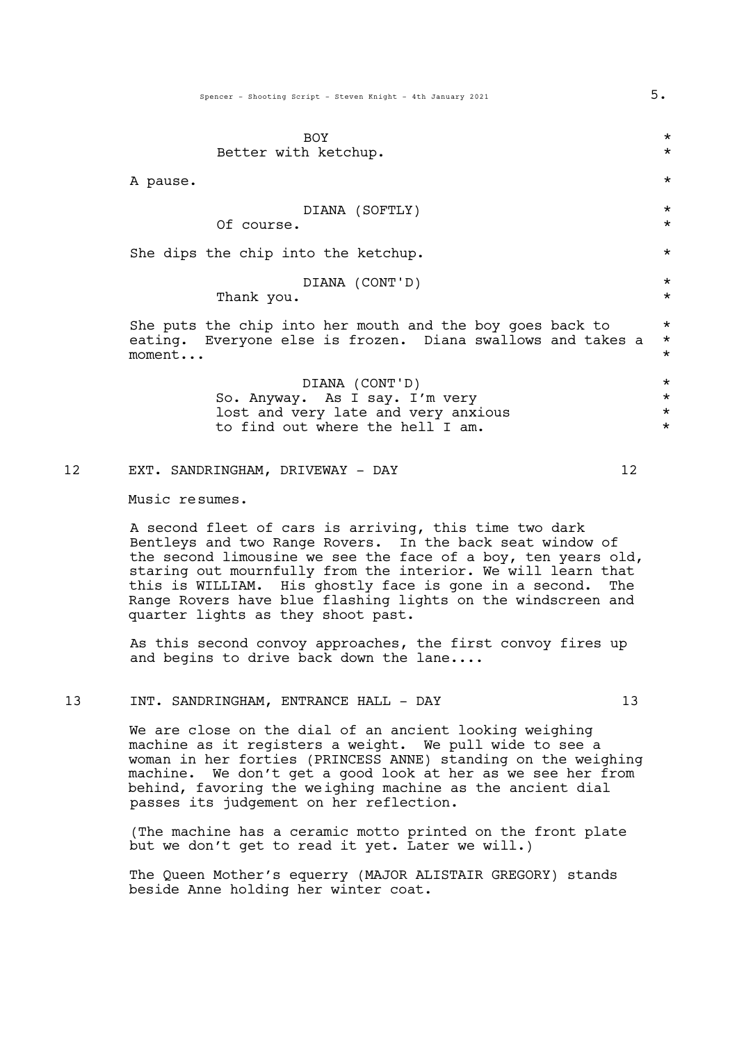| BOY                                                         | $^\star$ |
|-------------------------------------------------------------|----------|
| Better with ketchup.                                        | $\star$  |
| A pause.                                                    | $\star$  |
| DIANA (SOFTLY)                                              | $\star$  |
| Of course.                                                  | $\star$  |
| She dips the chip into the ketchup.                         | $\star$  |
| DIANA (CONT'D)                                              | $\star$  |
| Thank you.                                                  | $\star$  |
| She puts the chip into her mouth and the boy goes back to   | $\star$  |
| eating. Everyone else is frozen. Diana swallows and takes a | $\star$  |
| moment                                                      | $\star$  |

DIANA (CONT'D) \* So. Anyway. As I say. I'm very<br>lost and very late and very anxious \* \* \* lost and very late and very anxious \* to find out where the hell I am.

# 12 EXT. SANDRINGHAM, DRIVEWAY - DAY 12

Music resumes.

A second fleet of cars is arriving, this time two dark Bentleys and two Range Rovers. In the back seat window of the second limousine we see the face of a boy, ten years old, staring out mournfully from the interior. We will learn that this is WILLIAM. His ghostly face is gone in a second. The Range Rovers have blue flashing lights on the windscreen and quarter lights as they shoot past.

As this second convoy approaches, the first convoy fires up and begins to drive back down the lane....

### 13 INT. SANDRINGHAM, ENTRANCE HALL - DAY 13

We are close on the dial of an ancient looking weighing machine as it registers a weight. We pull wide to see a woman in her forties (PRINCESS ANNE) standing on the weighing machine. We don't get a good look at her as we see her from behind, favoring the weighing machine as the ancient dial passes its judgement on her reflection.

(The machine has a ceramic motto printed on the front plate but we don't get to read it yet. Later we will.)

The Queen Mother's equerry (MAJOR ALISTAIR GREGORY) stands beside Anne holding her winter coat.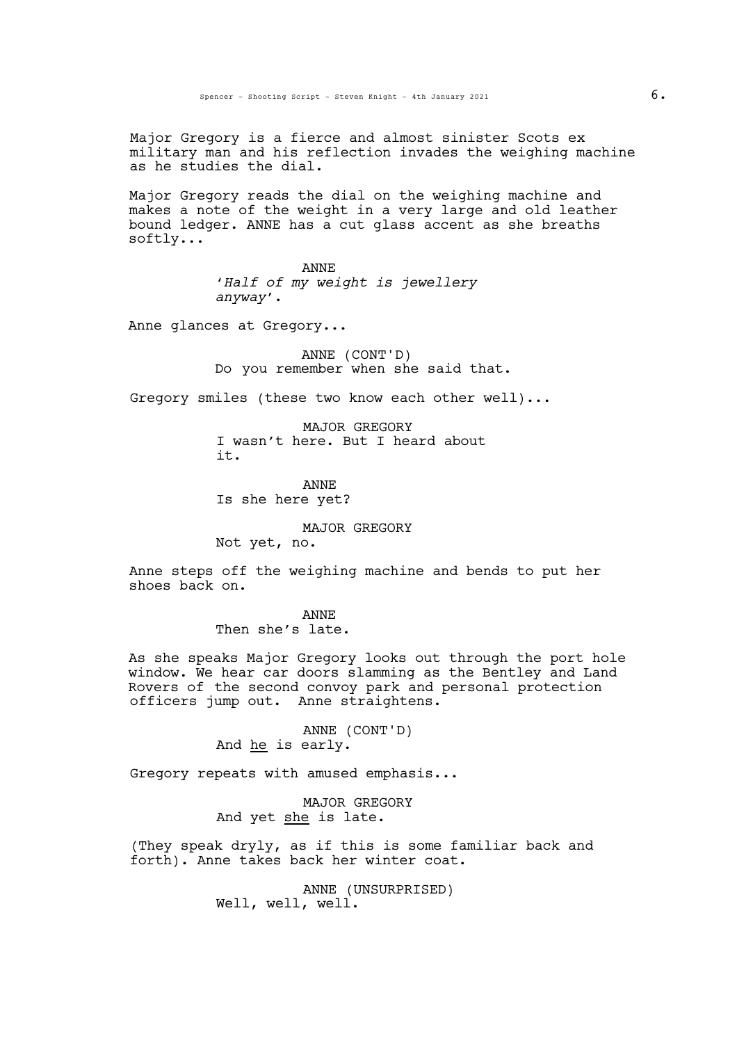Major Gregory is a fierce and almost sinister Scots ex military man and his reflection invades the weighing machine as he studies the dial.

Major Gregory reads the dial on the weighing machine and makes a note of the weight in a very large and old leather bound ledger. ANNE has a cut glass accent as she breaths softly...

> ANNE '*Half of my weight is jewellery anyway*'.

Anne glances at Gregory...

ANNE (CONT'D) Do you remember when she said that.

Gregory smiles (these two know each other well)...

MAJOR GREGORY I wasn't here. But I heard about it.

ANNE Is she here yet?

MAJOR GREGORY

Not yet, no.

Anne steps off the weighing machine and bends to put her shoes back on.

ANNE

Then she's late.

As she speaks Major Gregory looks out through the port hole window. We hear car doors slamming as the Bentley and Land Rovers of the second convoy park and personal protection officers jump out. Anne straightens.

> ANNE (CONT'D) And he is early.

Gregory repeats with amused emphasis...

MAJOR GREGORY And yet she is late.

(They speak dryly, as if this is some familiar back and forth). Anne takes back her winter coat.

> ANNE (UNSURPRISED) Well, well, well.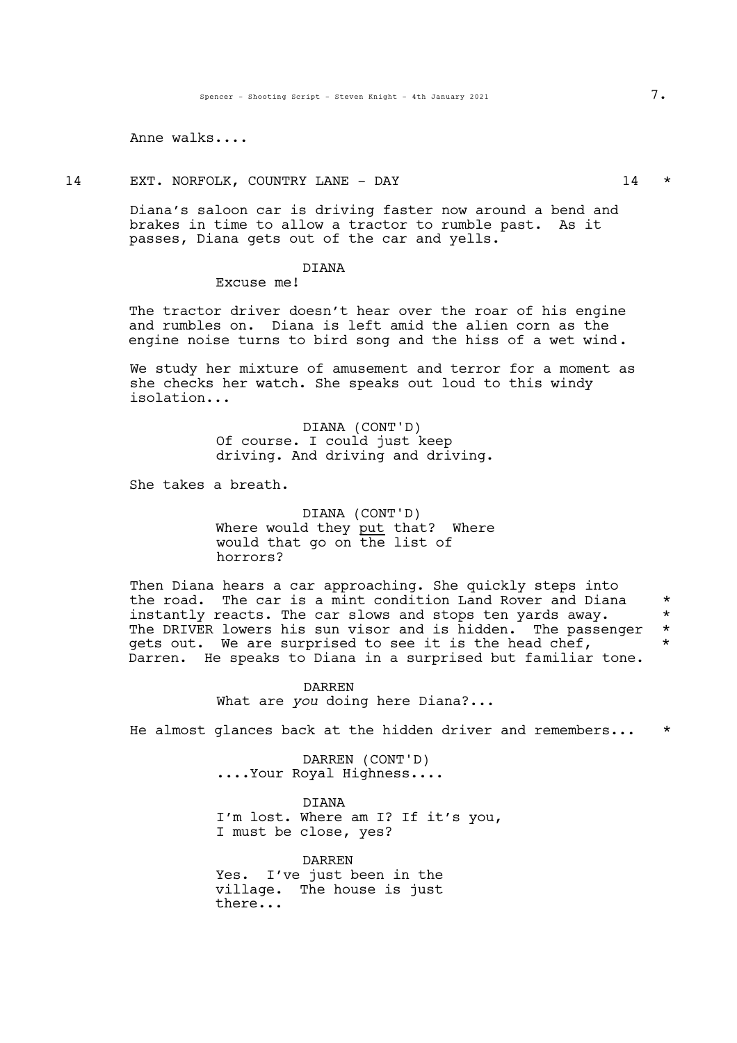Anne walks....

14 EXT. NORFOLK, COUNTRY LANE - DAY 14  $\star$ 

Diana's saloon car is driving faster now around a bend and brakes in time to allow a tractor to rumble past. As it passes, Diana gets out of the car and yells.

### DIANA

Excuse me!

The tractor driver doesn't hear over the roar of his engine and rumbles on. Diana is left amid the alien corn as the engine noise turns to bird song and the hiss of a wet wind.

We study her mixture of amusement and terror for a moment as she checks her watch. She speaks out loud to this windy isolation...

> DIANA (CONT'D) Of course. I could just keep driving. And driving and driving.

She takes a breath.

DIANA (CONT'D) Where would they put that? Where would that go on the list of horrors?

Then Diana hears a car approaching. She quickly steps into the road. The car is a mint condition Land Rover and Diana  $*$ instantly reacts. The car slows and stops ten yards away.  $*$ The DRIVER lowers his sun visor and is hidden. The passenger  $*$  dets out. We are surprised to see it is the head chef. gets out. We are surprised to see it is the head chef, Darren. He speaks to Diana in a surprised but familiar tone.

> DARREN What are *you* doing here Diana?...

He almost glances back at the hidden driver and remembers...

DARREN (CONT'D) ....Your Royal Highness....

DIANA I'm lost. Where am I? If it's you, <sup>I</sup> must be close, yes?

DARREN Yes. I've just been in the village. The house is just there...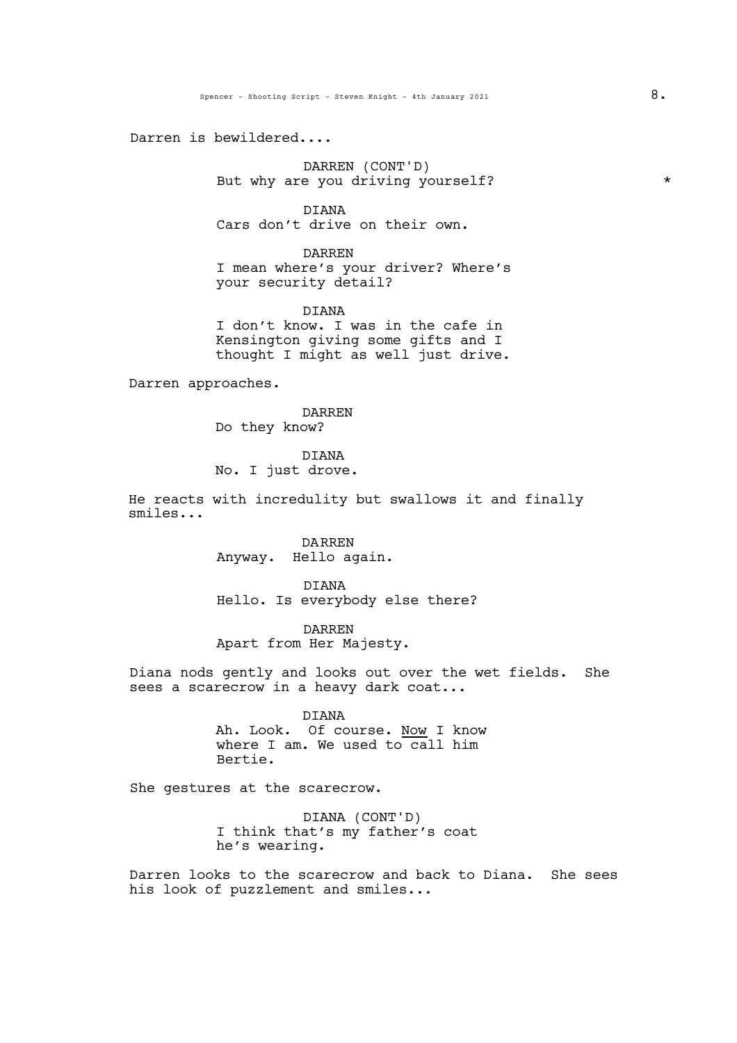Darren is bewildered....

DARREN (CONT'D) But why are you driving yourself?  $*$ 

DIANA Cars don't drive on their own.

DARREN

I mean where's your driver? Where's your security detail?

DIANA I don't know. I was in the cafe in Kensington giving some gifts and I thought I might as well just drive.

Darren approaches.

DARREN Do they know?

DIANA

No. I just drove.

He reacts with incredulity but swallows it and finally smiles...

> DARREN Anyway. Hello again.

DIANA Hello. Is everybody else there?

DARREN Apart from Her Majesty.

Diana nods gently and looks out over the wet fields. She sees a scarecrow in a heavy dark coat...

> DIANA Ah. Look. Of course. Now I know where I am. We used to call him Bertie.

She gestures at the scarecrow.

DIANA (CONT'D) I think that's my father's coat he's wearing.

Darren looks to the scarecrow and back to Diana. She sees his look of puzzlement and smiles...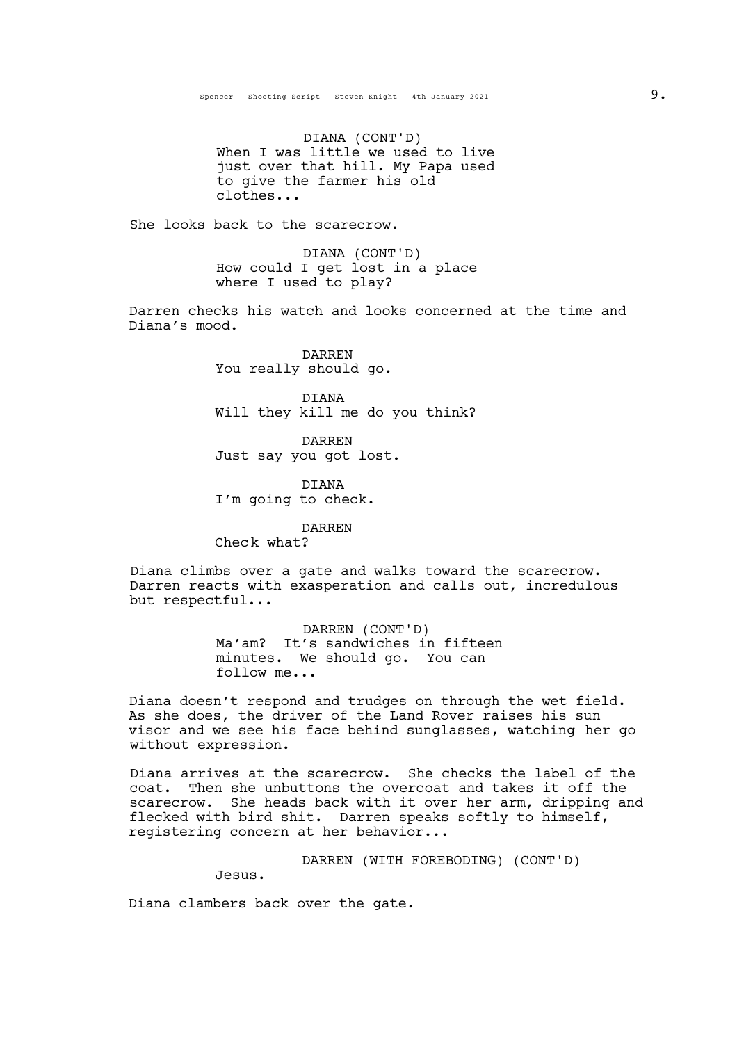DIANA (CONT'D) When I was little we used to live just over that hill. My Papa used to give the farmer his old clothes...

She looks back to the scarecrow.

DIANA (CONT'D) How could I get lost in a place where I used to play?

Darren checks his watch and looks concerned at the time and Diana's mood.

> DARREN You really should go.

DIANA Will they kill me do you think?

DARREN Just say you got lost.

DIANA I'm going to check.

DARREN

Check what?

Diana climbs over <sup>a</sup> gate and walks toward the scarecrow. Darren reacts with exasperation and calls out, incredulous but respectful...

> DARREN (CONT'D) Ma'am? It's sandwiches in fifteen minutes. We should go. You can follow me...

Diana doesn't respond and trudges on through the wet field. As she does, the driver of the Land Rover raises his sun visor and we see his face behind sunglasses, watching her go without expression.

Diana arrives at the scarecrow. She checks the label of the coat. Then she unbuttons the overcoat and takes it off the scarecrow. She heads back with it over her arm, dripping and flecked with bird shit. Darren speaks softly to himself, registering concern at her behavior...

DARREN (WITH FOREBODING) (CONT'D)

Jesus.

Diana clambers back over the gate.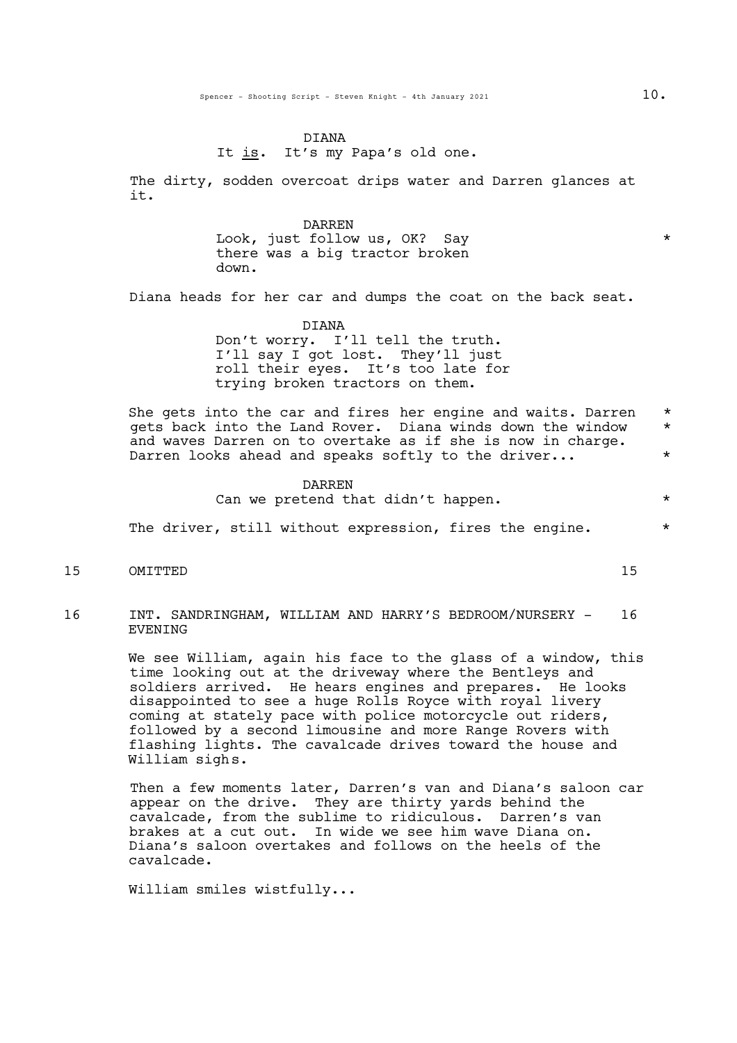#### DIANA

It is. It's my Papa's old one.

The dirty, sodden overcoat drips water and Darren glances at it.

> DARREN Look, just follow us, OK? Say  $*$ there was a big tractor broken down.

Diana heads for her car and dumps the coat on the back seat.

#### DIANA

Don't worry. I'll tell the truth. I'll say I got lost. They'll just roll their eyes. It's too late for trying broken tractors on them.

She gets into the car and fires her engine and waits. Darren \* gets back into the Land Rover. Diana winds down the window \* and waves Darren on to overtake as if she is now in charge.<br>Darren looks ahead and speaks softly to the driver... \*

> DARREN Can we pretend that didn't happen.  $*$

The driver, still without expression, fires the engine.  $*$ 

15 OMITTED 15

16 INT. SANDRINGHAM, WILLIAM AND HARRY'S BEDROOM/NURSERY - 16 EVENING

> We see William, again his face to the glass of a window, this time looking out at the driveway where the Bentleys and soldiers arrived. He hears engines and prepares. He looks disappointed to see a huge Rolls Royce with royal livery coming at stately pace with police motorcycle out riders, followed by a second limousine and more Range Rovers with flashing lights. The cavalcade drives toward the house and William sighs.

> Then a few moments later, Darren's van and Diana's saloon car appear on the drive. They are thirty yards behind the cavalcade, from the sublime to ridiculous. Darren's van brakes at a cut out. In wide we see him wave Diana on. Diana's saloon overtakes and follows on the heels of the cavalcade.

William smiles wistfully...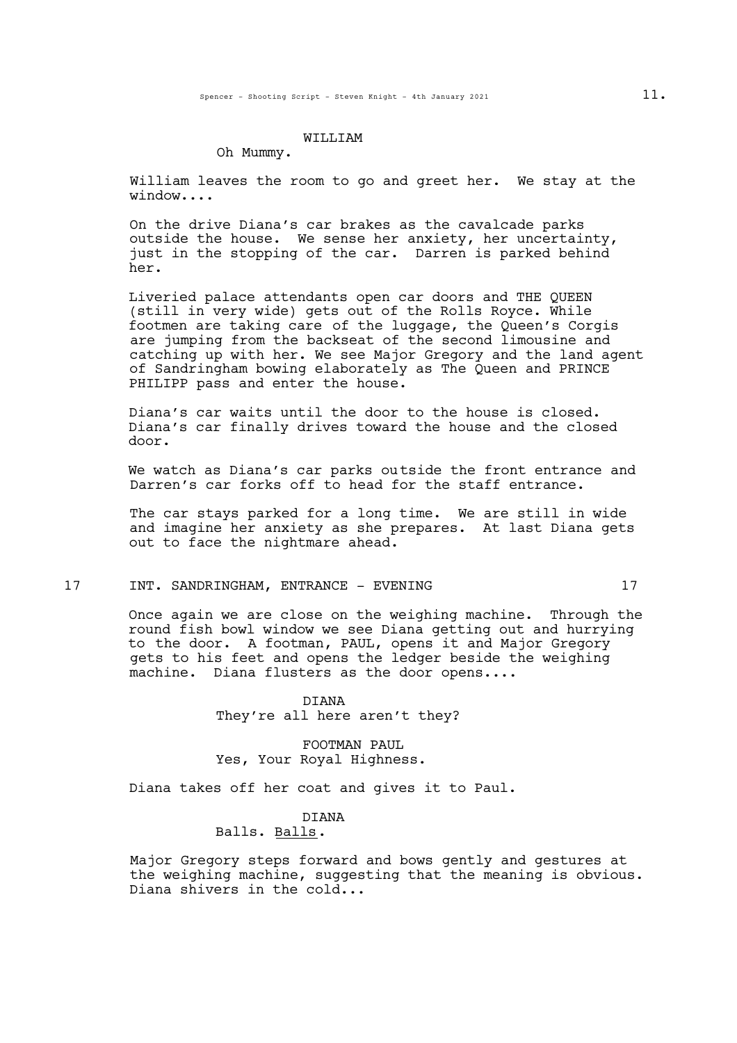#### WILLIAM

#### Oh Mummy.

William leaves the room to go and greet her. We stay at the window....

On the drive Diana's car brakes as the cavalcade parks outside the house. We sense her anxiety, her uncertainty, just in the stopping of the car. Darren is parked behind her.

Liveried palace attendants open car doors and THE QUEEN (still in very wide) gets out of the Rolls Royce. While footmen are taking care of the luggage, the Queen's Corgis are jumping from the backseat of the second limousine and catching up with her. We see Major Gregory and the land agent of Sandringham bowing elaborately as The Queen and PRINCE PHILIPP pass and enter the house.

Diana's car waits until the door to the house is closed. Diana's car finally drives toward the house and the closed door.

We watch as Diana's car parks outside the front entrance and Darren's car forks off to head for the staff entrance.

The car stays parked for a long time. We are still in wide and imagine her anxiety as she prepares. At last Diana gets out to face the nightmare ahead.

### 17 INT. SANDRINGHAM, ENTRANCE - EVENING 17

Once again we are close on the weighing machine. Through the round fish bowl window we see Diana getting out and hurrying to the door. A footman, PAUL, opens it and Major Gregory gets to his feet and opens the ledger beside the weighing machine. Diana flusters as the door opens....

> DIANA They're all here aren't they?

FOOTMAN PAUL Yes, Your Royal Highness.

Diana takes off her coat and gives it to Paul.

### DIANA

# Balls. Balls.

Major Gregory steps forward and bows gently and gestures at the weighing machine, suggesting that the meaning is obvious. Diana shivers in the cold...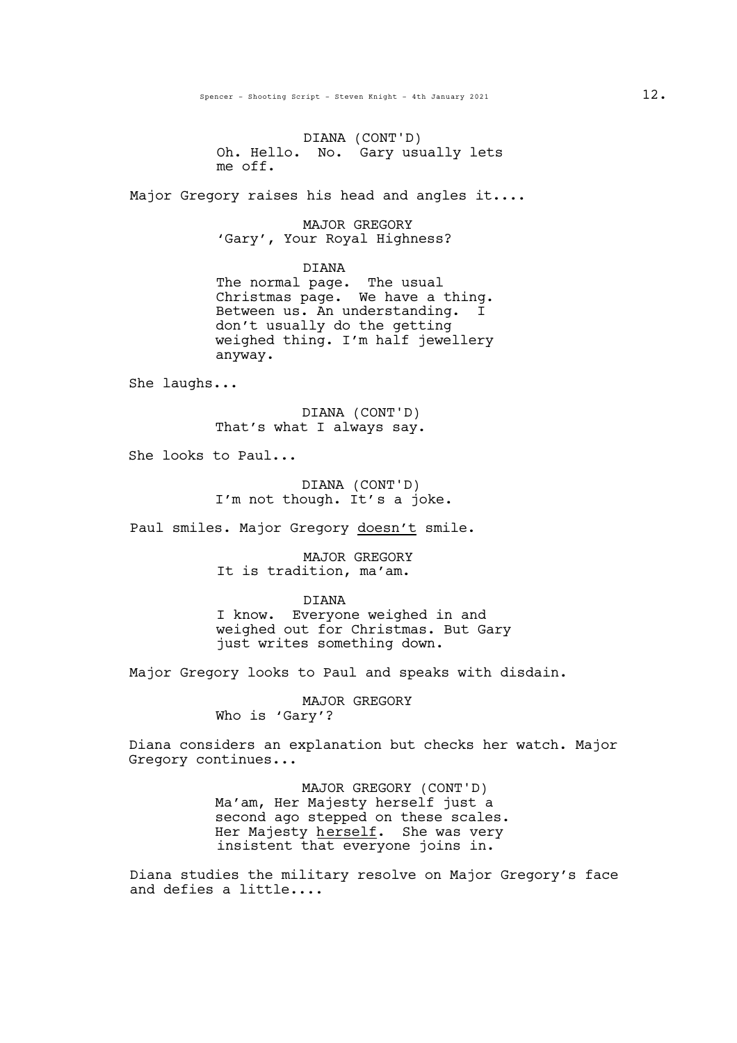DIANA (CONT'D) Oh. Hello. No. Gary usually lets me off.

Major Gregory raises his head and angles it....

MAJOR GREGORY<br>Gary', Your Royal Highness?

DIANA

The normal page. The usual Christmas page. We have <sup>a</sup> thing. Between us. An understanding. <sup>I</sup> don't usually do the getting weighed thing. I'm half jewellery anyway.

She laughs...

DIANA (CONT'D) That's what I always say.

She looks to Paul...

DIANA (CONT'D) I'm not though. It's a joke.

Paul smiles. Major Gregory doesn't smile.

MAJOR GREGORY It is tradition, ma'am.

DIANA

I know. Everyone weighed in and weighed out for Christmas. But Gary just writes something down.

Major Gregory looks to Paul and speaks with disdain.

MAJOR GREGORY Who is 'Gary'?

Diana considers an explanation but checks her watch. Major Gregory continues...

> MAJOR GREGORY (CONT'D) Ma'am, Her Majesty herself just a second ago stepped on these scales.<br>Her Majesty herself. She was very insistent that everyone joins in.

Diana studies the military resolve on Major Gregory's face and defies a little....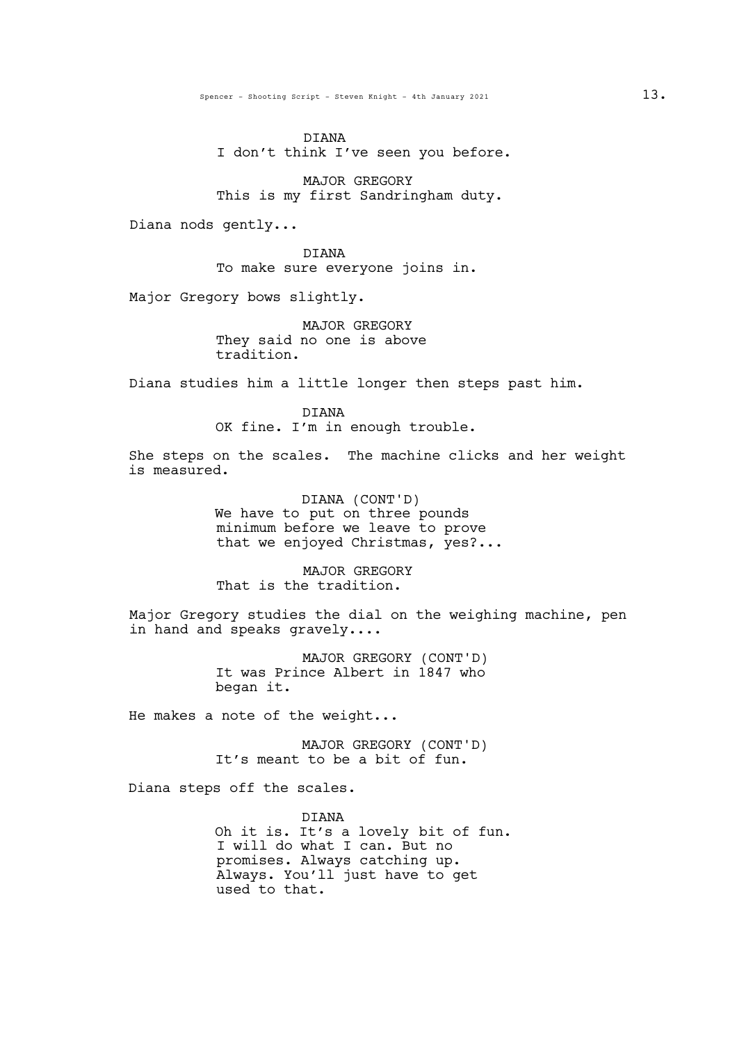Spencer - Shooting Script - Steven Knight - 4th January 2021 13.

DIANA I don't think I've seen you before.

MAJOR GREGORY This is my first Sandringham duty.

Diana nods gently...

DIANA To make sure everyone joins in.

Major Gregory bows slightly.

MAJOR GREGORY They said no one is above tradition.

Diana studies him a little longer then steps past him.

DIANA OK fine. I'm in enough trouble.

She steps on the scales. The machine clicks and her weight is measured.

> DIANA (CONT'D) We have to put on three pounds minimum before we leave to prove that we enjoyed Christmas, yes?...

MAJOR GREGORY That is the tradition.

Major Gregory studies the dial on the weighing machine, pen in hand and speaks gravely....

> MAJOR GREGORY (CONT'D) It was Prince Albert in 1847 who began it.

He makes a note of the weight...

MAJOR GREGORY (CONT'D) It's meant to be a bit of fun.

Diana steps off the scales.

DIANA Oh it is. It's a lovely bit of fun. I will do what I can. But no<br>promises. Always catching up. Always. You'll just have to get used to that.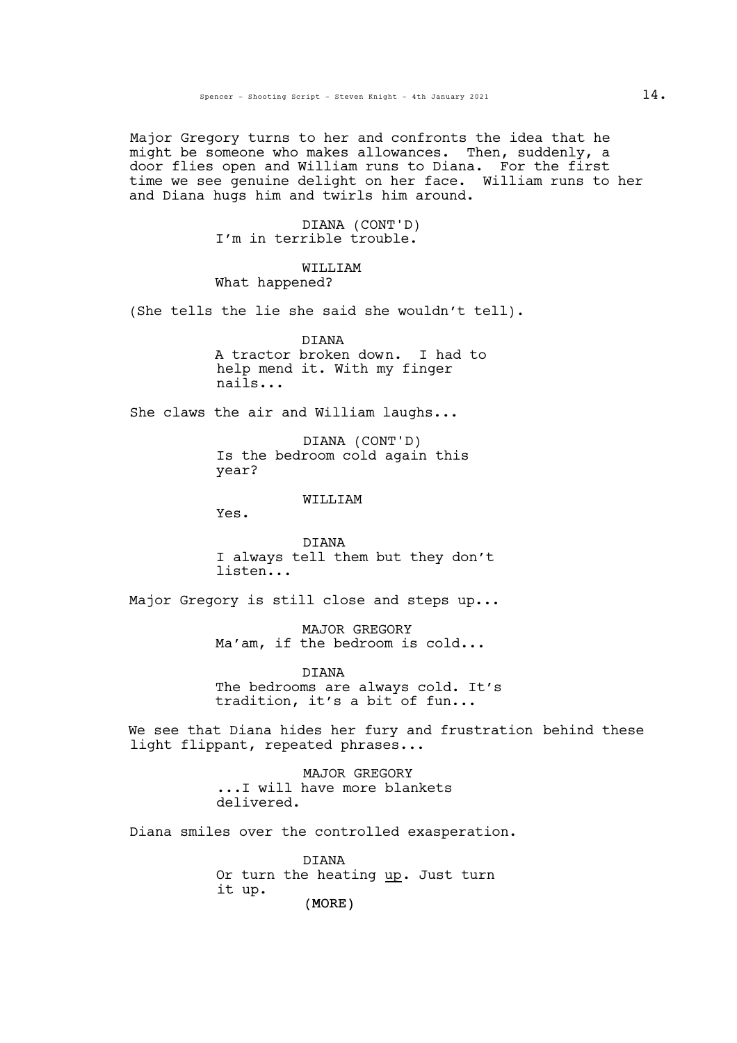Major Gregory turns to her and confronts the idea that he might be someone who makes allowances. Then, suddenly, a door flies open and William runs to Diana. For the first time we see genuine delight on her face. William runs to her and Diana hugs him and twirls him around.

> DIANA (CONT'D) I'm in terrible trouble.

## WILLIAM What happened?

(She tells the lie she said she wouldn't tell).

DIANA A tractor broken down. I had to help mend it. With my finger nails...

She claws the air and William laughs...

DIANA (CONT'D) Is the bedroom cold again this year?

WILLIAM

Yes.

DIANA I always tell them but they don't listen...

Major Gregory is still close and steps up...

MAJOR GREGORY Ma'am, if the bedroom is cold...

DIANA The bedrooms are always cold. It's tradition, it's a bit of fun...

We see that Diana hides her fury and frustration behind these light flippant, repeated phrases...

> MAJOR GREGORY ...I will have more blankets delivered.

Diana smiles over the controlled exasperation.

(MORE) DIANA Or turn the heating up. Just turn it up.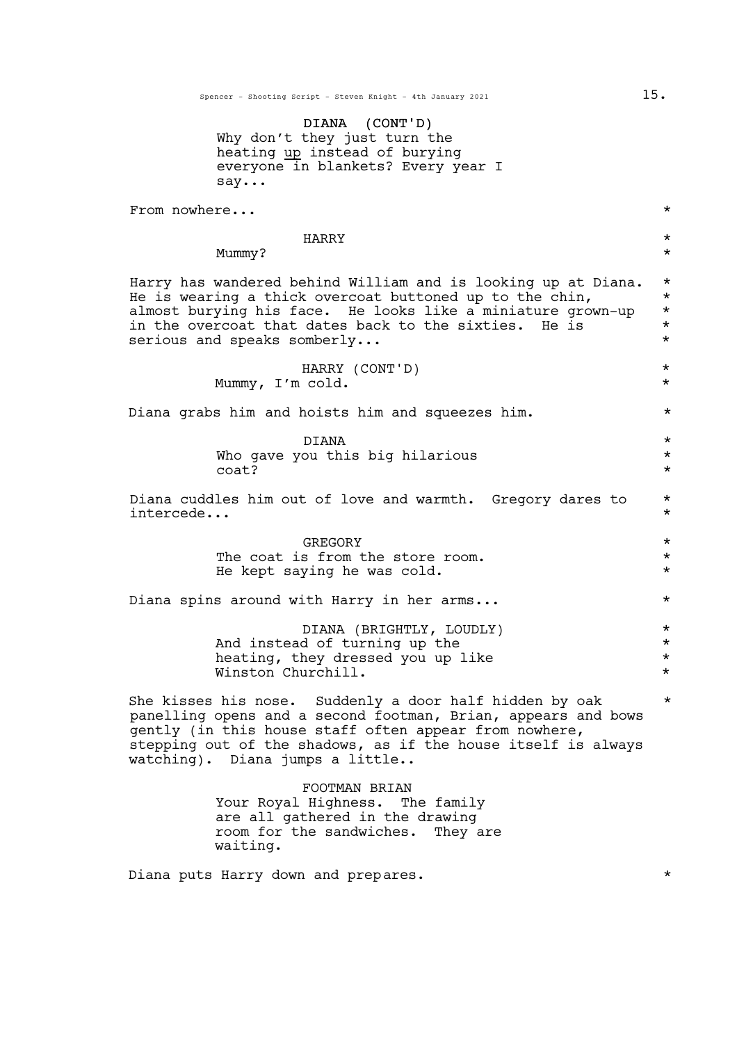Spencer - Shooting Script - Steven Knight - 4th January 2021 15.

DIANA (CONT'D) Why don't they just turn the heating up instead of burying everyone in blankets? Every year I say...

From nowhere...  $\star$ 

HARRY \*

Mummy? \*

Harry has wandered behind William and is looking up at Diana. \* He is wearing a thick overcoat buttoned up to the chin,  $*$  almost burying his face. He looks like a miniature grown-up  $*$ almost burying his face. He looks like a miniature grown-up  $*$  in the overcoat that dates back to the sixties a He is  $*$ in the overcoat that dates back to the sixties. He is serious and speaks somberly...  $\star$ 

> HARRY (CONT'D) \* Mummy, I'm cold. \*

Diana grabs him and hoists him and squeezes him.  $*$ 

 $DIANA$  \*  $*$ Who gave you this big hilarious  $\text{coat?}$ 

Diana cuddles him out of love and warmth. Gregory dares to \* intercede... \*

> GREGORY \* The coat is from the store room. He kept saying he was cold. \* \*

Diana spins around with Harry in her arms...  $*$ 

DIANA (BRIGHTLY, LOUDLY) \* And instead of turning up the  $*$ <br>heating, they dressed you up like  $*$ heating, they dressed you up like \* Winston Churchill.

She kisses his nose. Suddenly a door half hidden by oak  $*$ panelling opens and a second footman, Brian, appears and bows gently (in this house staff often appear from nowhere, stepping out of the shadows, as if the house itself is always watching). Diana jumps a little..

> FOOTMAN BRIAN Your Royal Highness. The family are all gathered in the drawing room for the sandwiches. They are waiting.

Diana puts Harry down and prepares.  $\star$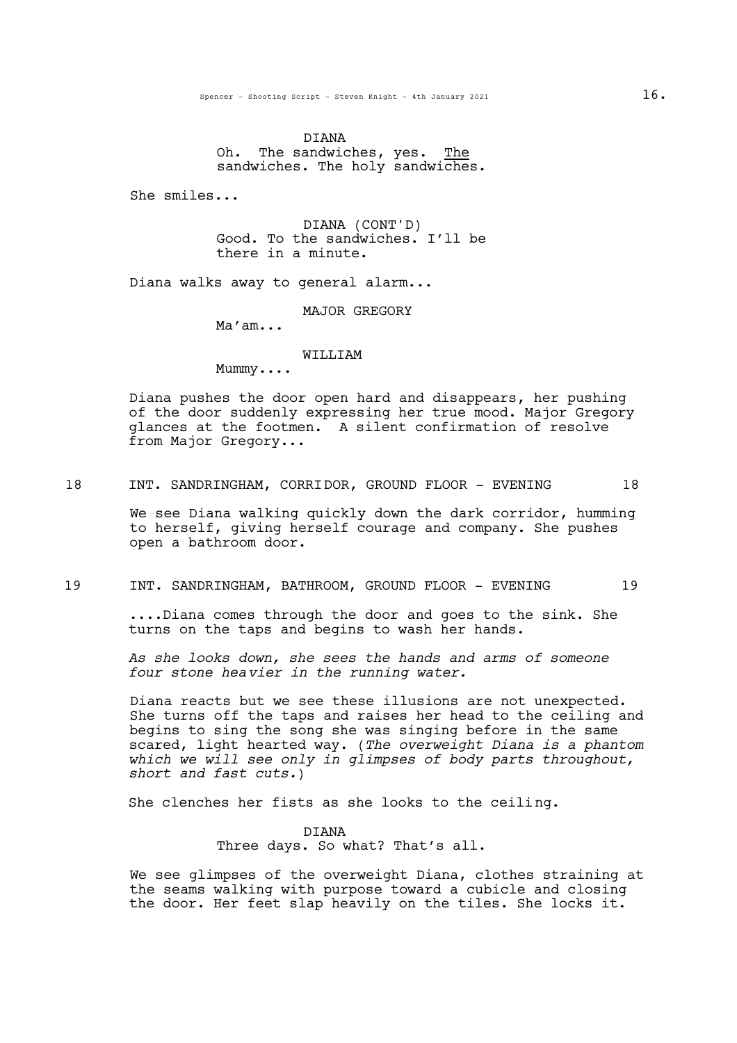DIANA Oh. The sandwiches, yes. The sandwiches. The holy sandwiches.

She smiles...

DIANA (CONT'D) Good. To the sandwiches. I'll be there in a minute.

Diana walks away to general alarm...

MAJOR GREGORY

Ma'am...

#### WILLIAM

Mummy....

Diana pushes the door open hard and disappears, her pushing of the door suddenly expressing her true mood. Major Gregory glances at the footmen. A silent confirmation of resolve from Major Gregory...

18 INT. SANDRINGHAM, CORRIDOR, GROUND FLOOR - EVENING 18

We see Diana walking quickly down the dark corridor, humming to herself, giving herself courage and company. She pushes open a bathroom door.

## 19 INT. SANDRINGHAM, BATHROOM, GROUND FLOOR - EVENING 19

....Diana comes through the door and goes to the sink. She turns on the taps and begins to wash her hands.

*As she looks down, she sees the hands and arms of someone four stone heavier in the running water.*

Diana reacts but we see these illusions are not unexpected. She turns off the taps and raises her head to the ceiling and begins to sing the song she was singing before in the same scared, light hearted way. (*The overweight Diana is a phantom which we will see only in glimpses of body parts throughout, short and fast cuts.*)

She clenches her fists as she looks to the ceiling.

DIANA Three days. So what? That's all.

We see glimpses of the overweight Diana, clothes straining at the seams walking with purpose toward a cubicle and closing the door. Her feet slap heavily on the tiles. She locks it.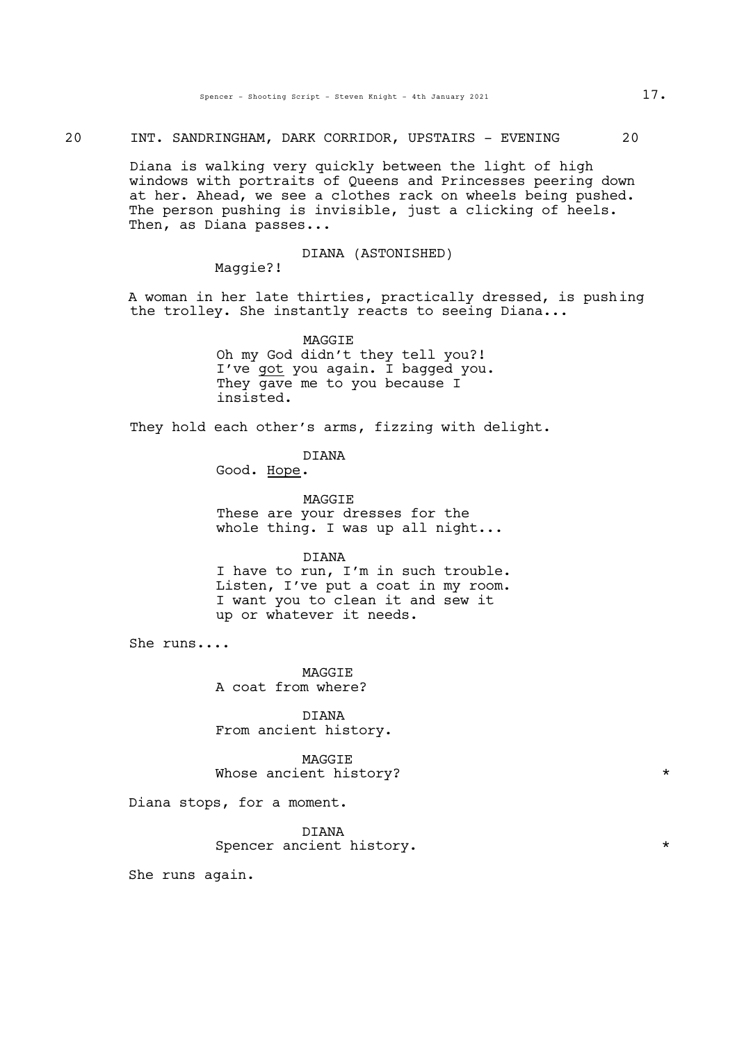20 INT. SANDRINGHAM, DARK CORRIDOR, UPSTAIRS - EVENING 20

Diana is walking very quickly between the light of high windows with portraits of Queens and Princesses peering down at her. Ahead, we see a clothes rack on wheels being pushed. The person pushing is invisible, just a clicking of heels. Then, as Diana passes...

DIANA (ASTONISHED)

Maggie?!

A woman in her late thirties, practically dressed, is pushing the trolley. She instantly reacts to seeing Diana...

> MAGGIE Oh my God didn't they tell you?! I've got you again. I bagged you. They gave me to you because I insisted.

They hold each other's arms, fizzing with delight.

DIANA

Good. Hope.

MAGGIE These are your dresses for the whole thing. I was up all night...

DIANA

<sup>I</sup> have to run, I'm in such trouble. Listen, I've put <sup>a</sup> coat in my room. I want you to clean it and sew it up or whatever it needs.

She runs....

MAGGIE A coat from where?

**DIANA** From ancient history.

MAGGIE Whose ancient history?  $*$ 

Diana stops, for a moment.

DIANA Spencer ancient history.

She runs again.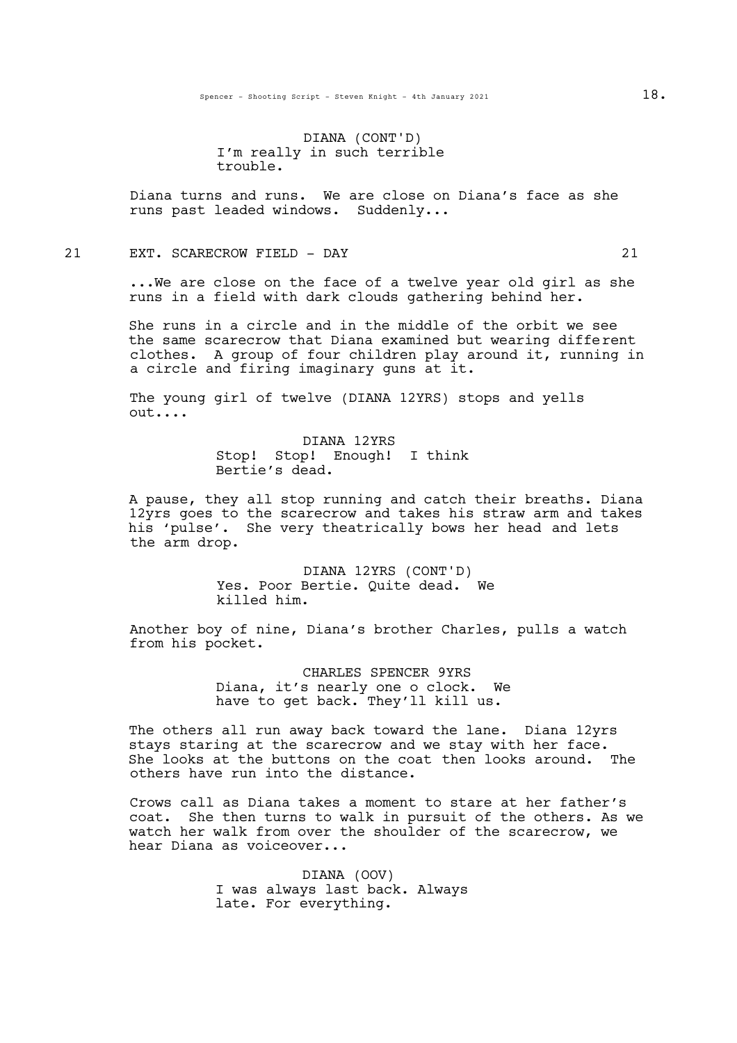DIANA (CONT'D) I'm really in such terrible trouble.

Diana turns and runs. We are close on Diana's face as she runs past leaded windows. Suddenly...

21 EXT. SCARECROW FIELD - DAY 21

...We are close on the face of a twelve year old girl as she runs in a field with dark clouds gathering behind her.

She runs in a circle and in the middle of the orbit we see the same scarecrow that Diana examined but wearing different clothes. A group of four children play around it, running in a circle and firing imaginary guns at it.

The young girl of twelve (DIANA 12YRS) stops and yells out....

> DIANA 12YRS Stop! Stop! Enough! I think Bertie's dead.

A pause, they all stop running and catch their breaths. Diana 12yrs goes to the scarecrow and takes his straw arm and takes his 'pulse'. She very theatrically bows her head and lets the arm drop.

> DIANA 12YRS (CONT'D) Yes. Poor Bertie. Quite dead. We killed him.

Another boy of nine, Diana's brother Charles, pulls a watch from his pocket.

> CHARLES SPENCER 9YRS Diana, it's nearly one o clock. We have to get back. They'll kill us.

The others all run away back toward the lane. Diana 12yrs stays staring at the scarecrow and we stay with her face. She looks at the buttons on the coat then looks around. The others have run into the distance.

Crows call as Diana takes a moment to stare at her father's coat. She then turns to walk in pursuit of the others. As we watch her walk from over the shoulder of the scarecrow, we hear Diana as voiceover...

> DIANA (OOV) I was always last back. Always late. For everything.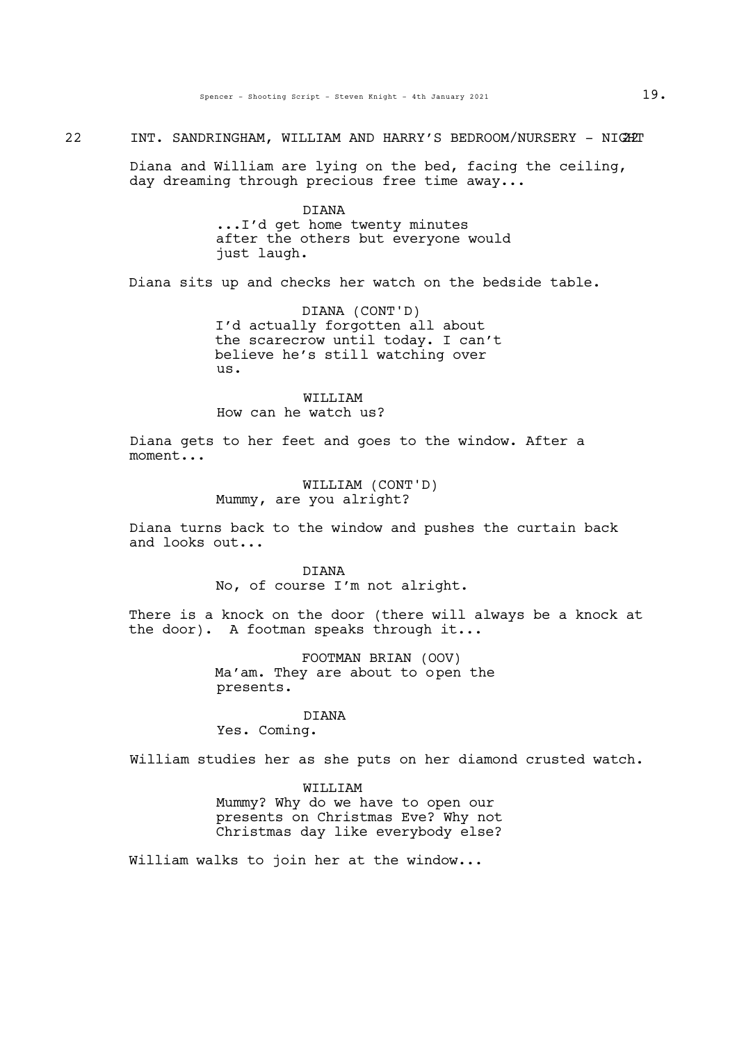22 INT. SANDRINGHAM, WILLIAM AND HARRY'S BEDROOM/NURSERY - NIGHT

Diana and William are lying on the bed, facing the ceiling, day dreaming through precious free time away...

> DIANA ...I'd get home twenty minutes after the others but everyone would just laugh.

Diana sits up and checks her watch on the bedside table.

DIANA (CONT'D) I'd actually forgotten all about the scarecrow until today. I can't believe he's still watching over us.

WILLIAM How can he watch us?

Diana gets to her feet and goes to the window. After a moment...

> WILLIAM (CONT'D) Mummy, are you alright?

Diana turns back to the window and pushes the curtain back and looks out...

> DIANA No, of course I'm not alright.

There is a knock on the door (there will always be a knock at the door). A footman speaks through it...

> FOOTMAN BRIAN (OOV) Ma'am. They are about to open the presents.

> > **DIANA**

Yes. Coming.

William studies her as she puts on her diamond crusted watch.

### WILLIAM

Mummy? Why do we have to open our presents on Christmas Eve? Why not Christmas day like everybody else?

William walks to join her at the window...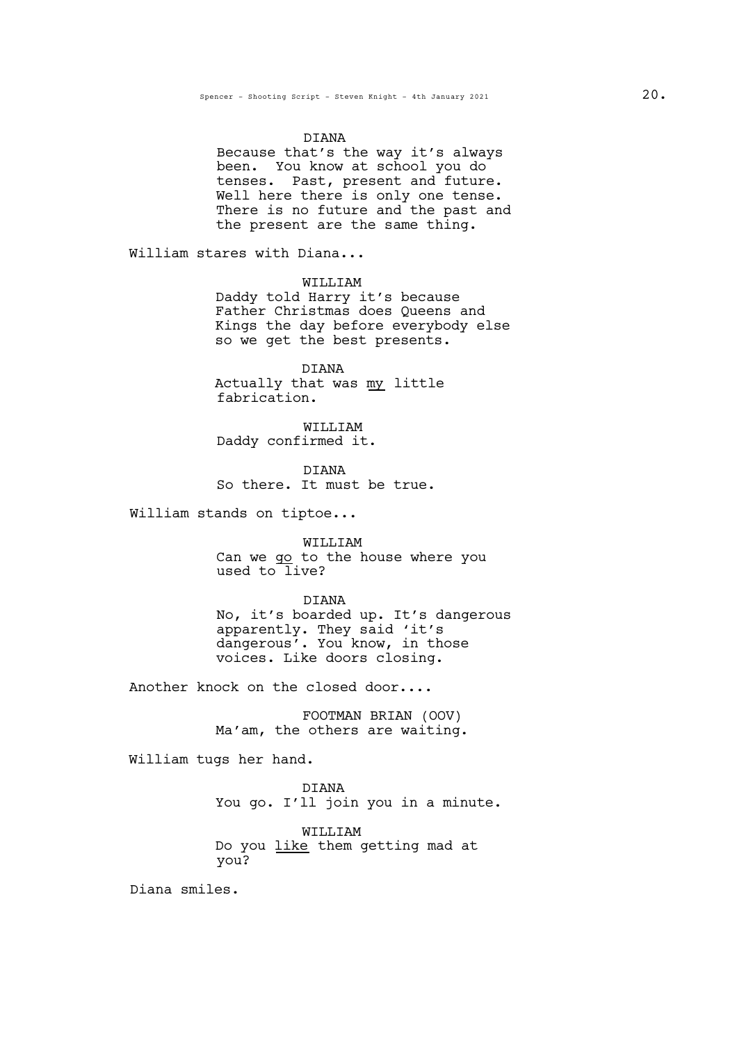#### DIANA

Because that's the way it's always been. You know at school you do tenses. Past, present and future.<br>Well here there is only one tense. There is no future and the past and the present are the same thing.

William stares with Diana...

WILLIAM

Daddy told Harry it's because Father Christmas does Queens and Kings the day before everybody else so we get the best presents.

DIANA Actually that was my little fabrication.

WILLIAM Daddy confirmed it.

DIANA So there. It must be true.

William stands on tiptoe...

WILLIAM Can we go to the house where you used to  $\overline{live}$ ?

DIANA

No, it's boarded up. It's dangerous apparently. They said 'it's dangerous'. You know, in those voices. Like doors closing.

Another knock on the closed door....

FOOTMAN BRIAN (OOV) Ma'am, the others are waiting.

William tugs her hand.

DIANA You go. I'll join you in a minute.

WILLIAM Do you like them getting mad at you?

Diana smiles.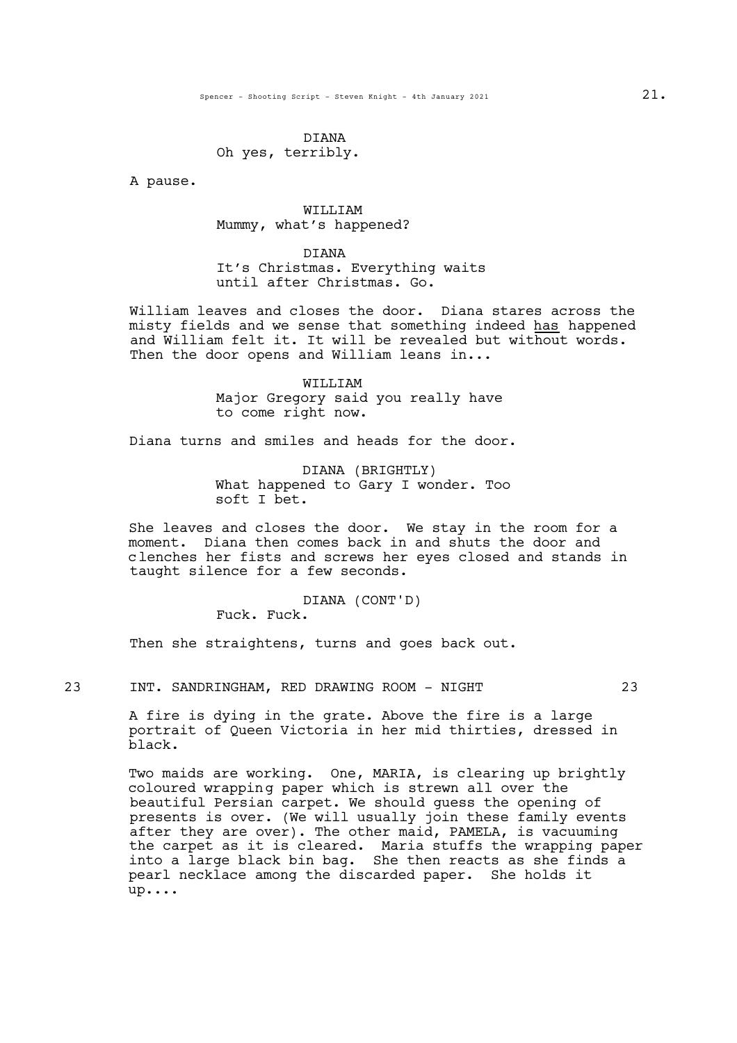### DIANA Oh yes, terribly.

A pause.

## WILLIAM Mummy, what's happened?

DIANA It's Christmas. Everything waits until after Christmas. Go.

William leaves and closes the door. Diana stares across the misty fields and we sense that something indeed has happened and  $\overline{W}$ illiam felt it. It will be revealed but without words. Then the door opens and William leans in...

> WILLIAM Major Gregory said you really have to come right now.

Diana turns and smiles and heads for the door.

DIANA (BRIGHTLY) What happened to Gary I wonder. Too soft I bet.

She leaves and closes the door. We stay in the room for a moment. Diana then comes back in and shuts the door and clenches her fists and screws her eyes closed and stands in taught silence for a few seconds.

> DIANA (CONT'D) Fuck. Fuck.

Then she straightens, turns and goes back out.

23 INT. SANDRINGHAM, RED DRAWING ROOM - NIGHT 23

A fire is dying in the grate. Above the fire is a large portrait of Queen Victoria in her mid thirties, dressed in black.

Two maids are working. One, MARIA, is clearing up brightly coloured wrapping paper which is strewn all over the beautiful Persian carpet. We should guess the opening of presents is over. (We will usually join these family events after they are over). The other maid, PAMELA, is vacuuming the carpet as it is cleared. Maria stuffs the wrapping paper into a large black bin bag. She then reacts as she finds a pearl necklace among the discarded paper. She holds it up....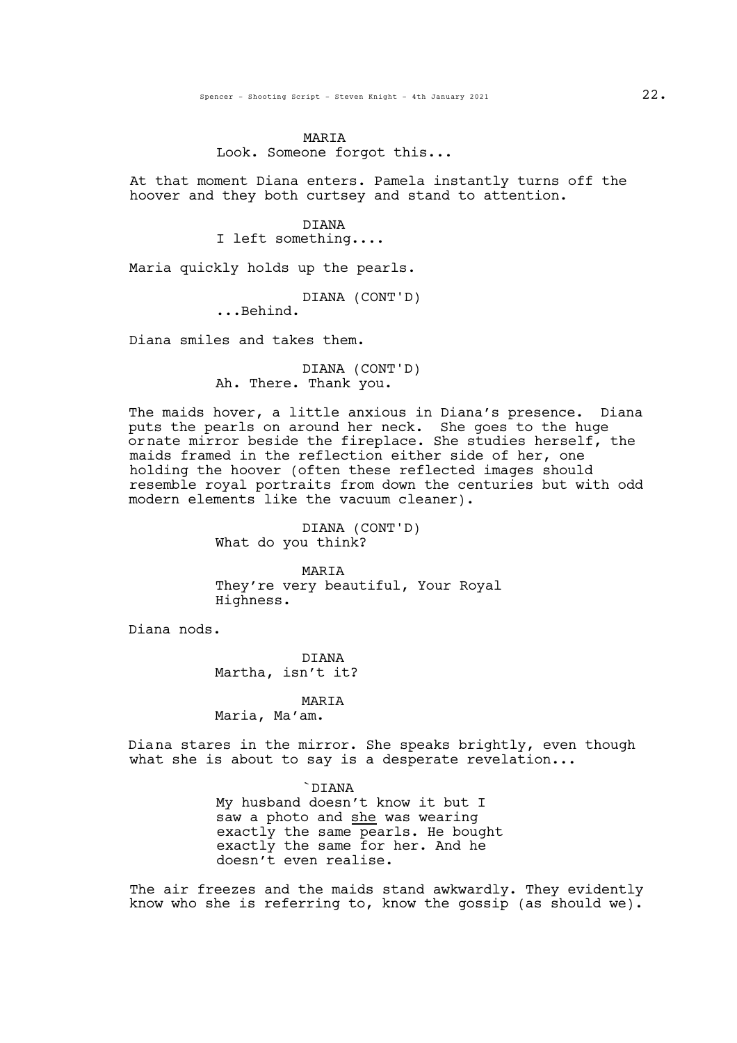#### MARIA

Look. Someone forgot this...

At that moment Diana enters. Pamela instantly turns off the hoover and they both curtsey and stand to attention.

> DIANA I left something....

Maria quickly holds up the pearls.

DIANA (CONT'D)<br>...Behind.

Diana smiles and takes them.

DIANA (CONT'D) Ah. There. Thank you.

The maids hover, a little anxious in Diana's presence. Diana puts the pearls on around her neck. She goes to the huge ornate mirror beside the fireplace. She studies herself, the maids framed in the reflection either side of her, one holding the hoover (often these reflected images should resemble royal portraits from down the centuries but with odd modern elements like the vacuum cleaner).

> DIANA (CONT'D) What do you think?

MARIA They're very beautiful, Your Royal Highness.

Diana nods.

DIANA Martha, isn't it?

### MARIA

Maria, Ma'am.

Diana stares in the mirror. She speaks brightly, even though what she is about to say is a desperate revelation...

> `DIANA My husband doesn't know it but I saw a photo and she was wearing exactly the same pearls. He bought exactly the same for her. And he doesn't even realise.

The air freezes and the maids stand awkwardly. They evidently know who she is referring to, know the gossip (as should we).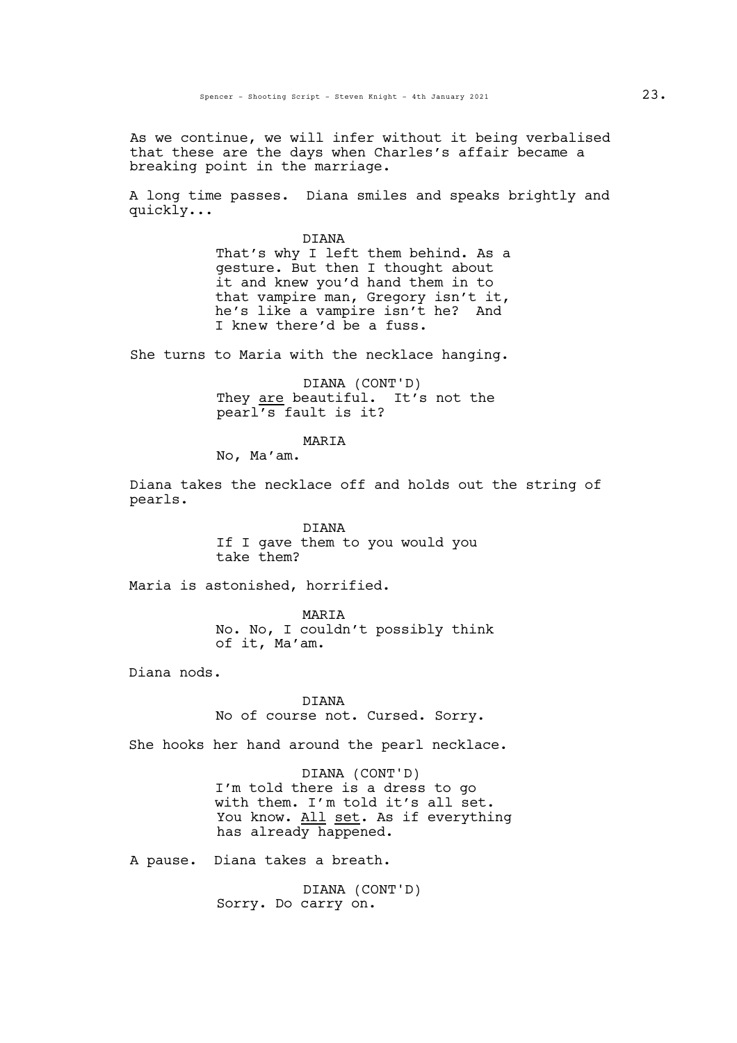As we continue, we will infer without it being verbalised that these are the days when Charles's affair became a breaking point in the marriage.

A long time passes. Diana smiles and speaks brightly and quickly...

> DIANA That's why I left them behind. As a gesture. But then I thought about it and knew you'd hand them in to<br>that vampire man, Gregory isn't it, he's like a vampire isn't he? And I knew there'd be a fuss.

She turns to Maria with the necklace hanging.

DIANA (CONT'D) They are beautiful. It's not the pearl's fault is it?

MARIA

No, Ma'am.

Diana takes the necklace off and holds out the string of pearls.

> DIANA If I gave them to you would you take them?

Maria is astonished, horrified.

MARIA No. No, I couldn't possibly think of it, Ma'am.

Diana nods.

DIANA No of course not. Cursed. Sorry.

She hooks her hand around the pearl necklace.

DIANA (CONT'D) I'm told there is a dress to go with them. I'm told it's all set. You know. All set. As if everything has already happened.

A pause. Diana takes a breath.

DIANA (CONT'D) Sorry. Do carry on.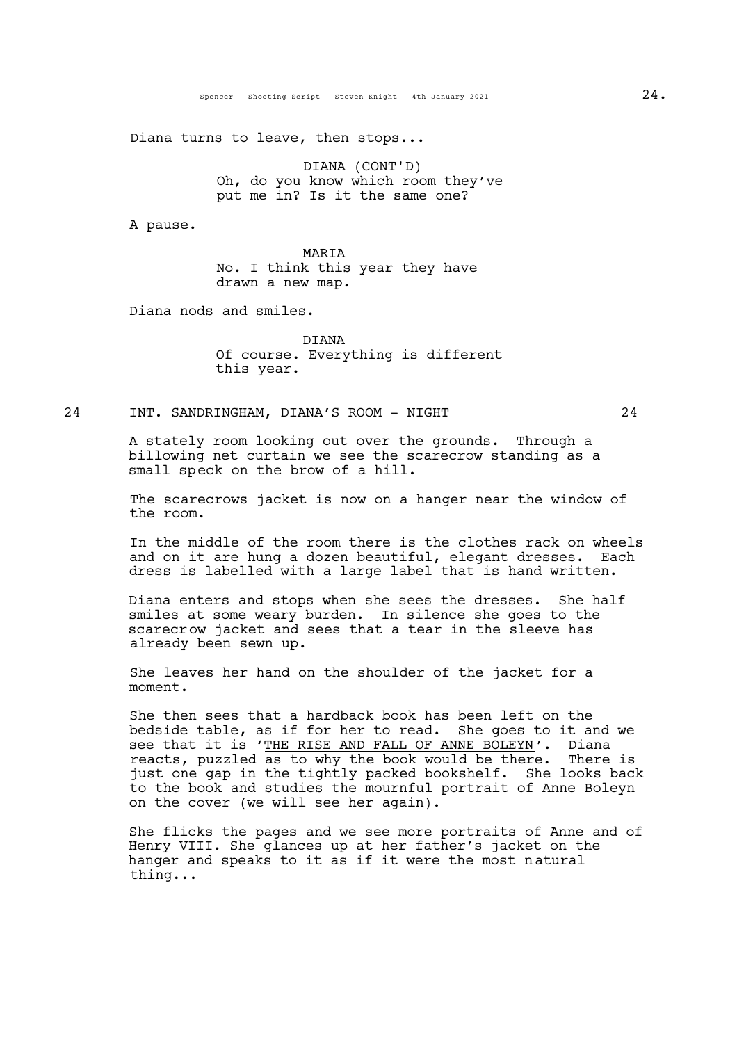Diana turns to leave, then stops...

DIANA (CONT'D) Oh, do you know which room they've put me in? Is it the same one?

A pause.

MARIA No. I think this year they have drawn a new map.

Diana nods and smiles.

DIANA Of course. Everything is different this year.

## 24 INT. SANDRINGHAM, DIANA'S ROOM - NIGHT 24

A stately room looking out over the grounds. Through a billowing net curtain we see the scarecrow standing as a small speck on the brow of a hill.

The scarecrows jacket is now on a hanger near the window of the room.

In the middle of the room there is the clothes rack on wheels and on it are hung a dozen beautiful, elegant dresses. Each dress is labelled with a large label that is hand written.

Diana enters and stops when she sees the dresses. She half smiles at some weary burden. In silence she goes to the scarecrow jacket and sees that a tear in the sleeve has already been sewn up.

She leaves her hand on the shoulder of the jacket for a moment.

She then sees that a hardback book has been left on the bedside table, as if for her to read. She goes to it and we see that it is 'THE RISE AND FALL OF ANNE BOLEYN'. Diana reacts, puzzled as to why the book would be there. There is just one gap in the tightly packed bookshelf. She looks back to the book and studies the mournful portrait of Anne Boleyn on the cover (we will see her again).

She flicks the pages and we see more portraits of Anne and of Henry VIII. She glances up at her father's jacket on the hanger and speaks to it as if it were the most natural thing...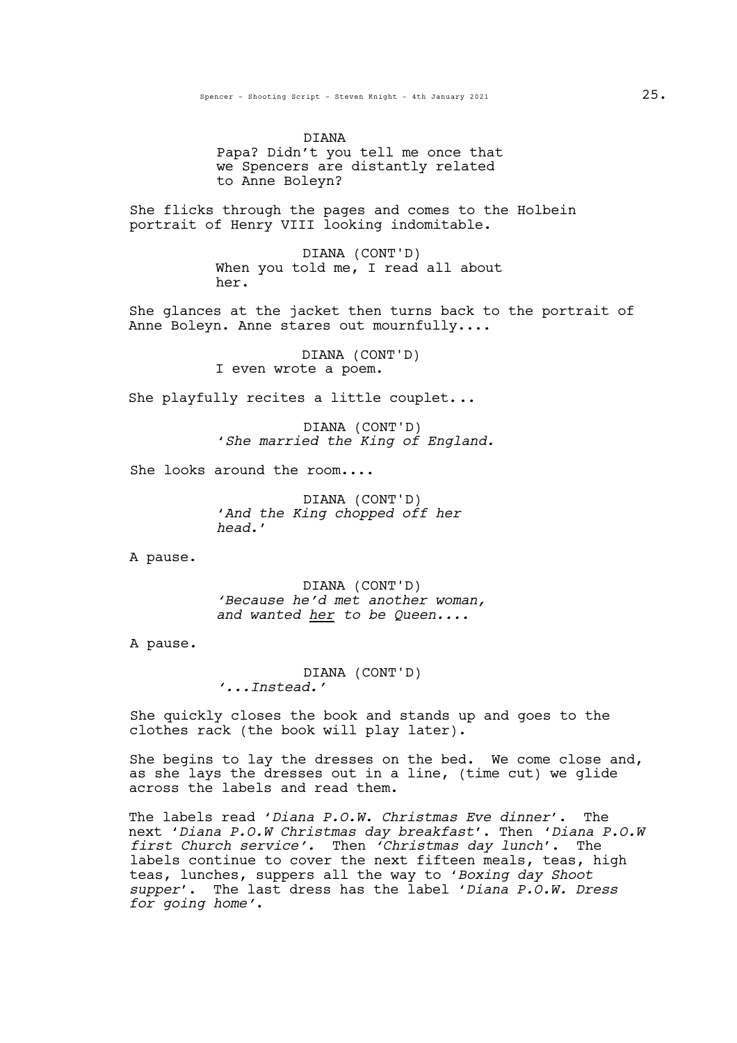DIANA Papa? Didn't you tell me once that we Spencers are distantly related to Anne Boleyn?

She flicks through the pages and comes to the Holbein portrait of Henry VIII looking indomitable.

> DIANA (CONT'D) When you told me, I read all about her.

She glances at the jacket then turns back to the portrait of Anne Boleyn. Anne stares out mournfully....

> DIANA (CONT'D) I even wrote a poem.

She playfully recites a little couplet...

DIANA (CONT'D) '*She married the King of England.*

She looks around the room....

DIANA (CONT'D) '*And the King chopped off her head*.'

A pause.

DIANA (CONT'D) *'Because he'd met another woman, and wanted her to be Queen....*

A pause.

DIANA (CONT'D) *'...Instead.'*

She quickly closes the book and stands up and goes to the clothes rack (the book will play later).

She begins to lay the dresses on the bed. We come close and, as she lays the dresses out in a line, (time cut) we glide across the labels and read them.

The labels read '*Diana P.O.W. Christmas Eve dinner*'. The next '*Diana P.O.W Christmas day breakfast*'. Then '*Diana P.O.W first Church service'.* Then *'Christmas day lunch*'. The labels continue to cover the next fifteen meals, teas, high teas, lunches, suppers all the way to '*Boxing day Shoot supper*'. The last dress has the label '*Diana P.O.W. Dress for going home'*.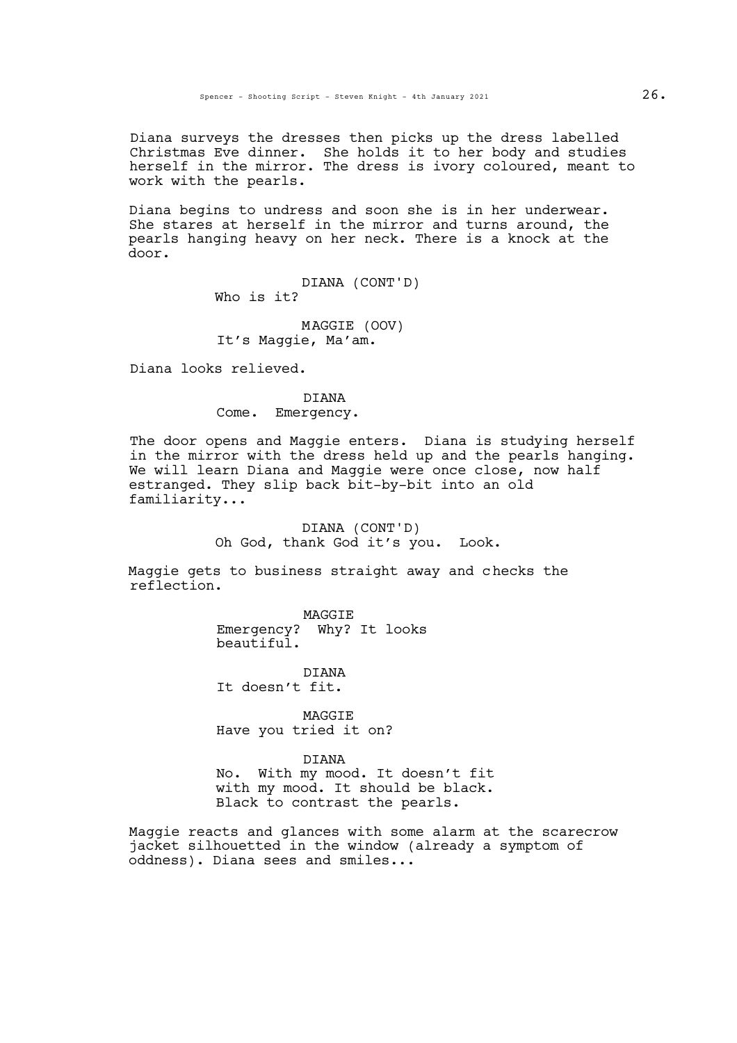Diana surveys the dresses then picks up the dress labelled Christmas Eve dinner. She holds it to her body and studies herself in the mirror. The dress is ivory coloured, meant to work with the pearls.

Diana begins to undress and soon she is in her underwear. She stares at herself in the mirror and turns around, the pearls hanging heavy on her neck. There is a knock at the door.

> DIANA (CONT'D) Who is it?

MAGGIE (OOV) It's Maggie, Ma'am.

Diana looks relieved.

DIANA Come. Emergency.

The door opens and Maggie enters. Diana is studying herself in the mirror with the dress held up and the pearls hanging. We will learn Diana and Maggie were once close, now half estranged. They slip back bit-by-bit into an old familiarity...

> DIANA (CONT'D) Oh God, thank God it's you. Look.

Maggie gets to business straight away and checks the reflection.

> MAGGIE Emergency? Why? It looks beautiful.

DIANA It doesn't fit.

**MAGGTE** Have you tried it on?

DIANA

No. With my mood. It doesn't fit with my mood. It should be black. Black to contrast the pearls.

Maggie reacts and glances with some alarm at the scarecrow jacket silhouetted in the window (already a symptom of oddness). Diana sees and smiles...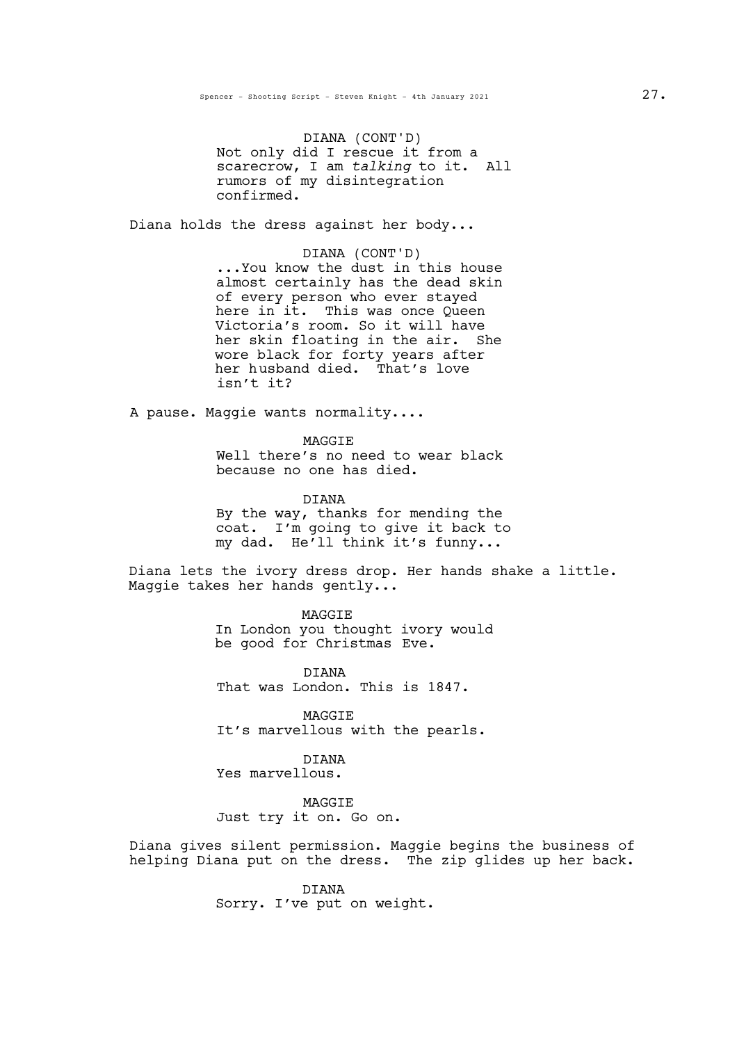DIANA (CONT'D) Not only did I rescue it from a scarecrow, I am *talking* to it. All rumors of my disintegration confirmed.

Diana holds the dress against her body...

DIANA (CONT'D)<br>...You know the dust in this house almost certainly has the dead skin of every person who ever stayed here in it. This was once Queen Victoria's room. So it will have her skin floating in the air. She wore black for forty years after her husband died. That's love isn't it?

A pause. Maggie wants normality....

MAGGIE Well there's no need to wear black because no one has died.

DIANA

By the way, thanks for mending the coat. I'm going to give it back to my dad. He'll think it's funny...

Diana lets the ivory dress drop. Her hands shake a little.<br>Maggie takes her hands gently...

MAGGIE In London you thought ivory would be good for Christmas Eve.

DIANA That was London. This is 1847.

**MAGGTE** It's marvellous with the pearls.

DIANA Yes marvellous.

MAGGIE Just try it on. Go on.

Diana gives silent permission. Maggie begins the business of helping Diana put on the dress. The zip glides up her back.

> DIANA Sorry. I've put on weight.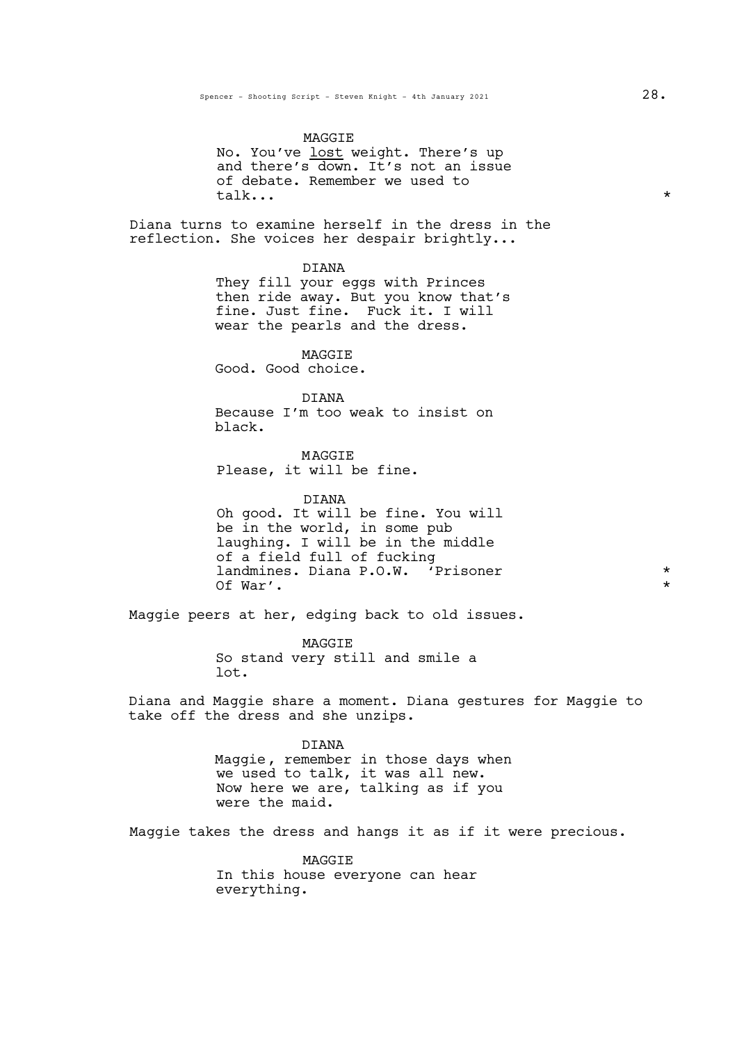#### MAGGIE

No. You've lost weight. There's up and there's down. It's not an issue of debate. Remember we used to<br>talk... talk...  $\star$ 

Diana turns to examine herself in the dress in the reflection. She voices her despair brightly...

DIANA

They fill your eggs with Princes then ride away. But you know that's fine. Just fine. Fuck it. I will wear the pearls and the dress.

MAGGIE Good. Good choice.

DIANA Because I'm too weak to insist on black.

**MAGGTE** Please, it will be fine.

DIANA Oh good. It will be fine. You will be in the world, in some pub laughing. I will be in the middle of a field full of fucking landmines. Diana P.O.W. 'Prisoner \* Of War'.

Maggie peers at her, edging back to old issues.

MAGGIE So stand very still and smile a lot.

Diana and Maggie share a moment. Diana gestures for Maggie to take off the dress and she unzips.

> DIANA Maggie, remember in those days when we used to talk, it was all new. Now here we are, talking as if you were the maid.

Maggie takes the dress and hangs it as if it were precious.

MAGGIE In this house everyone can hear everything.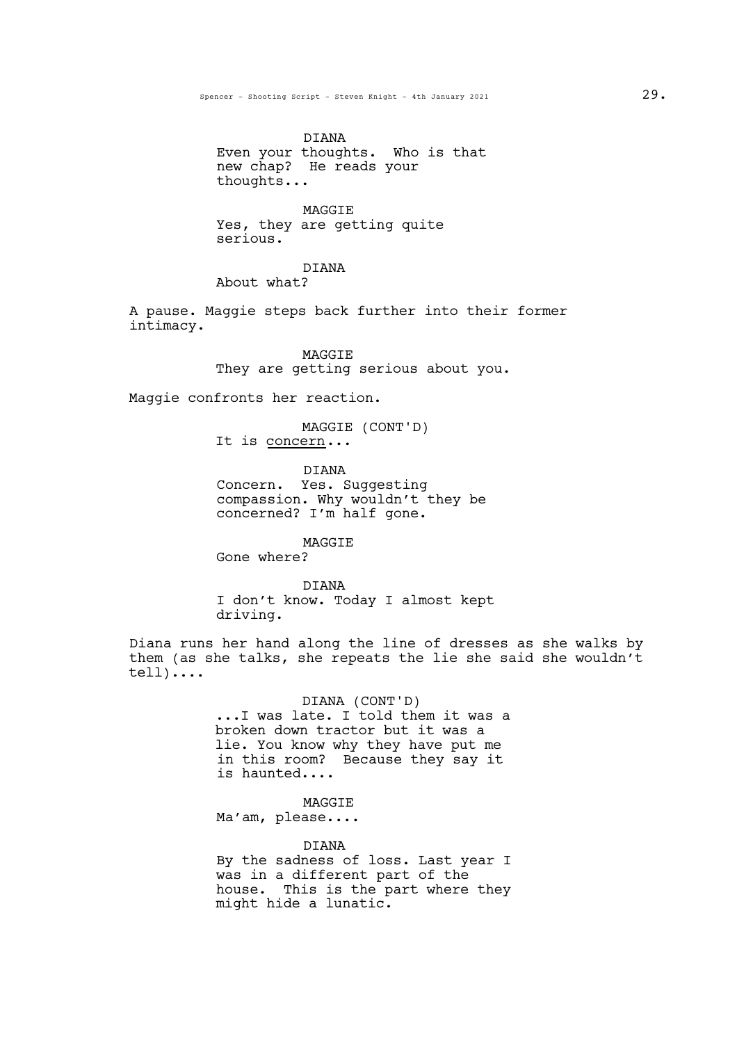DIANA Even your thoughts. Who is that new chap? He reads your thoughts...

MAGGIE Yes, they are getting quite serious.

### DIANA

About what?

A pause. Maggie steps back further into their former intimacy.

> MAGGIE They are getting serious about you.

Maggie confronts her reaction.

MAGGIE (CONT'D) It is concern...

DIANA

Concern. Yes. Suggesting compassion. Why wouldn't they be concerned? I'm half gone.

MAGGIE Gone where?

**DIANA** I don't know. Today I almost kept driving.

Diana runs her hand along the line of dresses as she walks by them (as she talks, she repeats the lie she said she wouldn't tell)....

> DIANA (CONT'D)<br>...I was late. I told them it was a broken down tractor but it was a lie. You know why they have put me in this room? Because they say it is haunted....

> > MAGGIE

Ma'am, please....

#### DIANA

By the sadness of loss. Last year I was in a different part of the house. This is the part where they might hide a lunatic.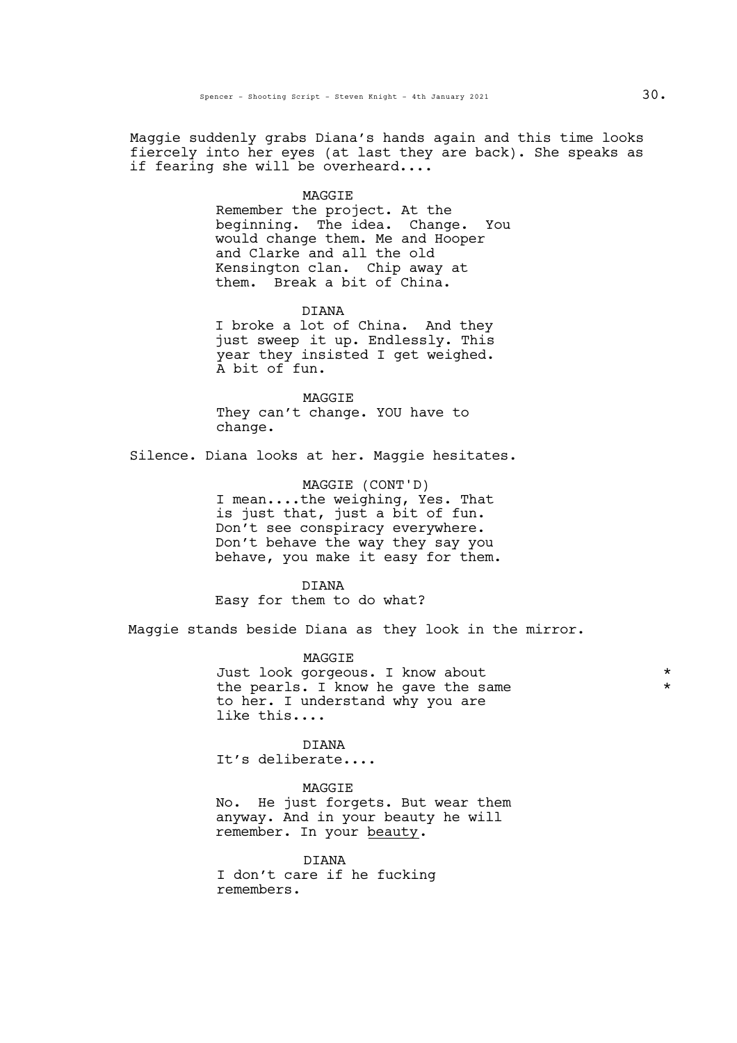Maggie suddenly grabs Diana's hands again and this time looks fiercely into her eyes (at last they are back). She speaks as if fearing she will be overheard....

#### **MAGGTE**

Remember the project. At the beginning. The idea. Change. You would change them. Me and Hooper and Clarke and all the old Kensington clan. Chip away at them. Break a bit of China.

DIANA I broke a lot of China. And they just sweep it up. Endlessly. This year they insisted I get weighed.<br>A bit of fun.

MAGGIE They can't change. YOU have to change.

Silence. Diana looks at her. Maggie hesitates.

MAGGIE (CONT'D) I mean....the weighing, Yes. That is just that, just a bit of fun. Don't see conspiracy everywhere. Don't behave the way they say you behave, you make it easy for them.

DIANA

Easy for them to do what?

Maggie stands beside Diana as they look in the mirror.

MAGGIE Just look gorgeous. I know about \* the pearls. I know he gave the same to her. I understand why you are like this....

DIANA It's deliberate....

**MAGGTE** 

No. He just forgets. But wear them anyway. And in your beauty he will remember. In your beauty.

DIANA I don't care if he fucking remembers.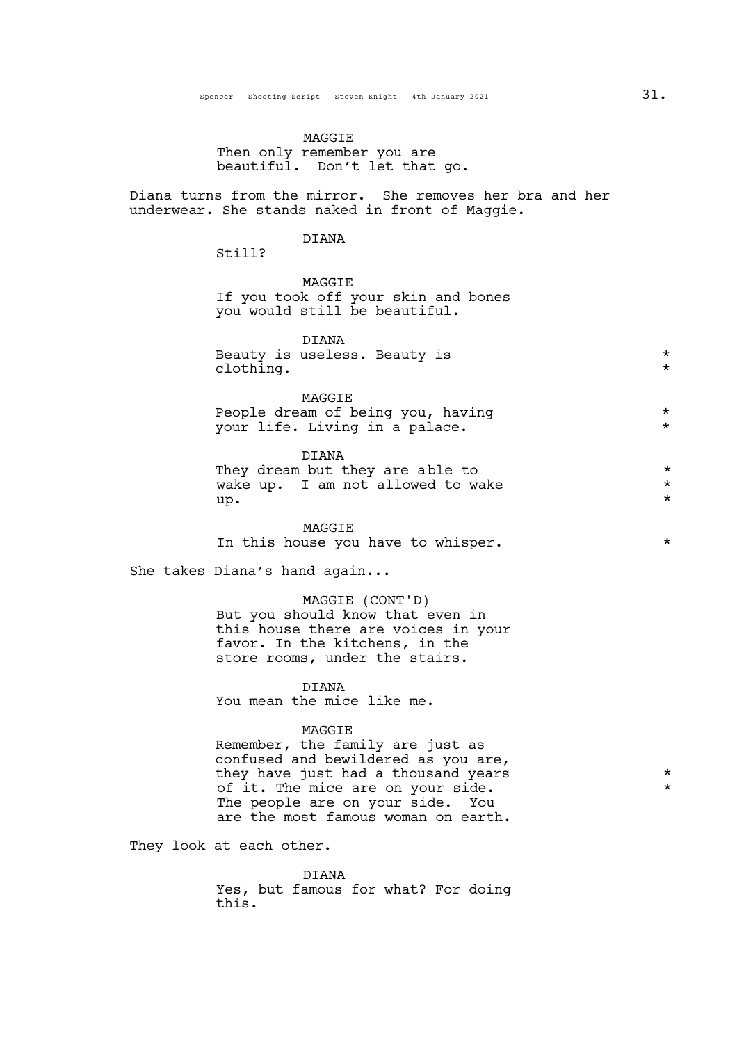## MAGGIE Then only remember you are beautiful. Don't let that go.

Diana turns from the mirror. She removes her bra and her underwear. She stands naked in front of Maggie.

## DIANA

Still?

**MAGGTE** If you took off your skin and bones you would still be beautiful.

| DTANA<br>Beauty is useless. Beauty is |
|---------------------------------------|

MAGGIE People dream of being you, having  $*$ <br>your life Living in a palace your life. Living in a palace.

DIANA They dream but they are able to  $\star$ <br>wake up. I am not allowed to wake  $\star$ wake up. I am not allowed to wake  $\star$ <br>"  $\mathsf{u}\mathsf{p}$ .  $\qquad \qquad \star$ 

MAGGIE In this house you have to whisper.  $*$ 

She takes Diana's hand again...

MAGGIE (CONT'D) But you should know that even in this house there are voices in your favor. In the kitchens, in the store rooms, under the stairs.

**DIANA** 

You mean the mice like me.

#### MAGGIE

Remember, the family are just as confused and bewildered as you are, they have just had a thousand years  $*$ of it. The mice are on your side. The people are on your side. You are the most famous woman on earth.

They look at each other.

DIANA Yes, but famous for what? For doing this.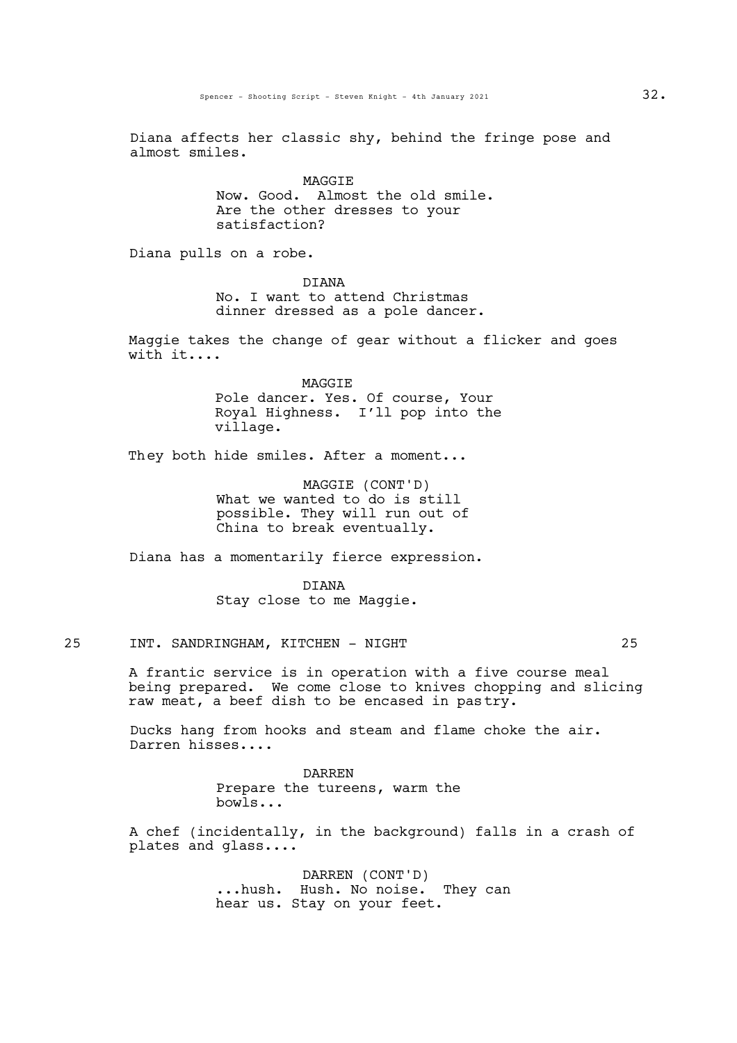Diana affects her classic shy, behind the fringe pose and almost smiles.

> MAGGIE Now. Good. Almost the old smile. Are the other dresses to your satisfaction?

Diana pulls on a robe.

DIANA No. I want to attend Christmas dinner dressed as a pole dancer.

Maggie takes the change of gear without a flicker and goes with it....

> MAGGIE Pole dancer. Yes. Of course, Your Royal Highness. I'll pop into the village.

They both hide smiles. After a moment...

MAGGIE (CONT'D) What we wanted to do is still possible. They will run out of China to break eventually.

Diana has a momentarily fierce expression.

DIANA Stay close to me Maggie.

## 25 INT. SANDRINGHAM, KITCHEN - NIGHT 25

A frantic service is in operation with a five course meal being prepared. We come close to knives chopping and slicing raw meat, a beef dish to be encased in pastry.

Ducks hang from hooks and steam and flame choke the air.<br>Darren hisses....

DARREN Prepare the tureens, warm the bowls...

A chef (incidentally, in the background) falls in a crash of plates and glass....

> DARREN (CONT'D) ...hush. Hush. No noise. They can hear us. Stay on your feet.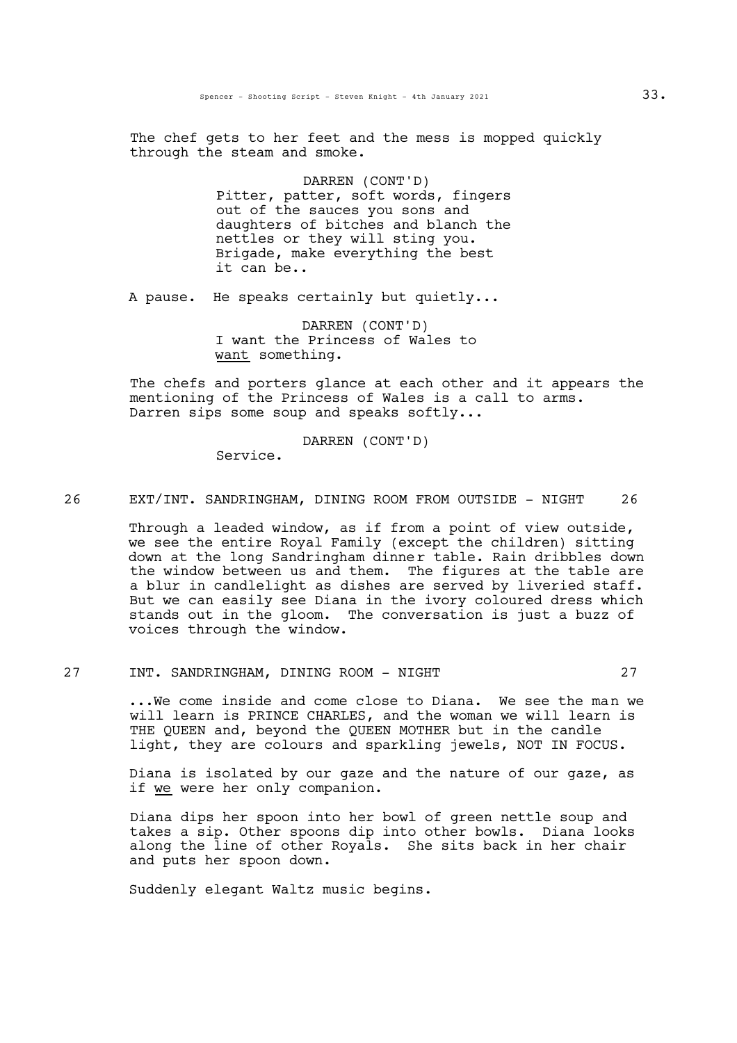The chef gets to her feet and the mess is mopped quickly through the steam and smoke.

> DARREN (CONT'D) Pitter, patter, soft words, fingers out of the sauces you sons and daughters of bitches and blanch the nettles or they will sting you. Brigade, make everything the best it can be..

A pause. He speaks certainly but quietly...

DARREN (CONT'D) I want the Princess of Wales to want something.

The chefs and porters glance at each other and it appears the mentioning of the Princess of Wales is a call to arms.<br>Darren sips some soup and speaks softly...

DARREN (CONT'D)

Service.

26 EXT/INT. SANDRINGHAM, DINING ROOM FROM OUTSIDE - NIGHT 26

Through a leaded window, as if from a point of view outside, we see the entire Royal Family (except the children) sitting down at the long Sandringham dinner table. Rain dribbles down the window between us and them. The figures at the table are <sup>a</sup> blur in candlelight as dishes are served by liveried staff. But we can easily see Diana in the ivory coloured dress which stands out in the gloom. The conversation is just a buzz of voices through the window.

# 27 INT. SANDRINGHAM, DINING ROOM - NIGHT 27

...We come inside and come close to Diana. We see the man we will learn is PRINCE CHARLES, and the woman we will learn is THE QUEEN and, beyond the QUEEN MOTHER but in the candle light, they are colours and sparkling jewels, NOT IN FOCUS.

Diana is isolated by our gaze and the nature of our gaze, as if we were her only companion.

Diana dips her spoon into her bowl of green nettle soup and takes a sip. Other spoons dip into other bowls. Diana looks along the line of other Royals. She sits back in her chair and puts her spoon down.

Suddenly elegant Waltz music begins.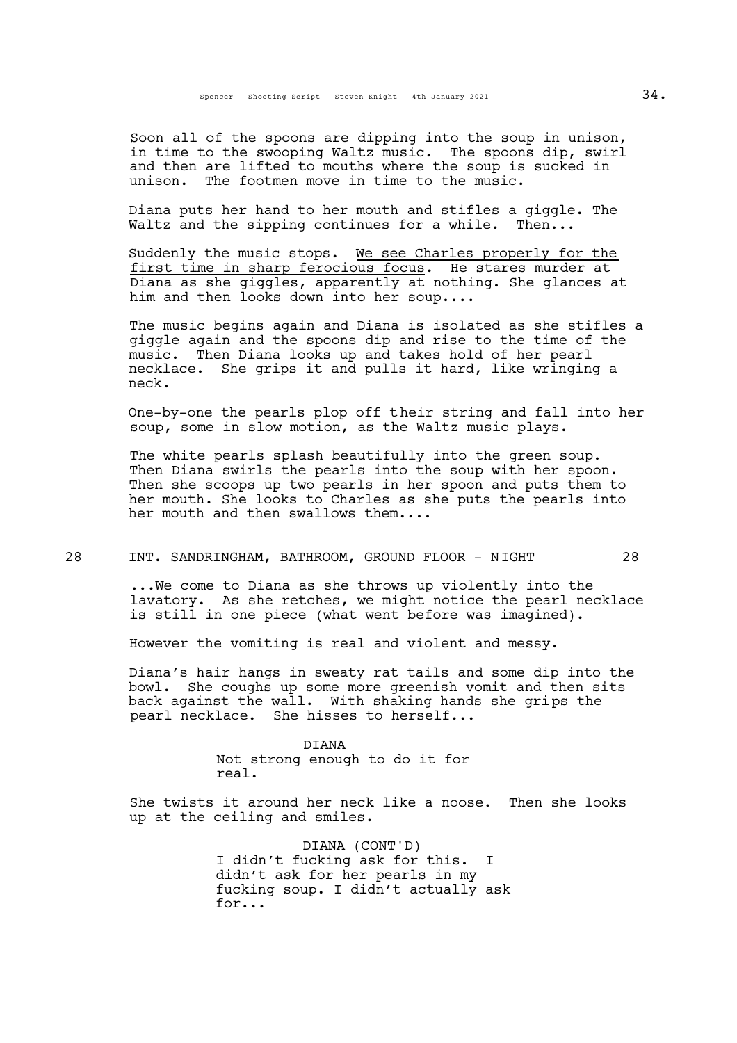Soon all of the spoons are dipping into the soup in unison, in time to the swooping Waltz music. The spoons dip, swirl and then are lifted to mouths where the soup is sucked in unison. The footmen move in time to the music.

Diana puts her hand to her mouth and stifles a giggle. The Waltz and the sipping continues for a while. Then...

Suddenly the music stops. We see Charles properly for the first time in sharp ferocious focus. He stares murder at Diana as she giggles, apparently at nothing. She glances at him and then looks down into her soup....

The music begins again and Diana is isolated as she stifles a giggle again and the spoons dip and rise to the time of the music. Then Diana looks up and takes hold of her pearl necklace. She grips it and pulls it hard, like wringing a neck.

One-by-one the pearls plop off their string and fall into her soup, some in slow motion, as the Waltz music plays.

The white pearls splash beautifully into the green soup. Then Diana swirls the pearls into the soup with her spoon. Then she scoops up two pearls in her spoon and puts them to her mouth. She looks to Charles as she puts the pearls into her mouth and then swallows them....

28 INT. SANDRINGHAM, BATHROOM, GROUND FLOOR - NIGHT 28

...We come to Diana as she throws up violently into the lavatory. As she retches, we might notice the pearl necklace is still in one piece (what went before was imagined).

However the vomiting is real and violent and messy.

Diana's hair hangs in sweaty rat tails and some dip into the bowl. She coughs up some more greenish vomit and then sits back against the wall. With shaking hands she grips the pearl necklace. She hisses to herself...

> DIANA Not strong enough to do it for real.

She twists it around her neck like a noose. Then she looks up at the ceiling and smiles.

> DIANA (CONT'D) I didn't fucking ask for this. I didn't ask for her pearls in my fucking soup. I didn't actually ask for...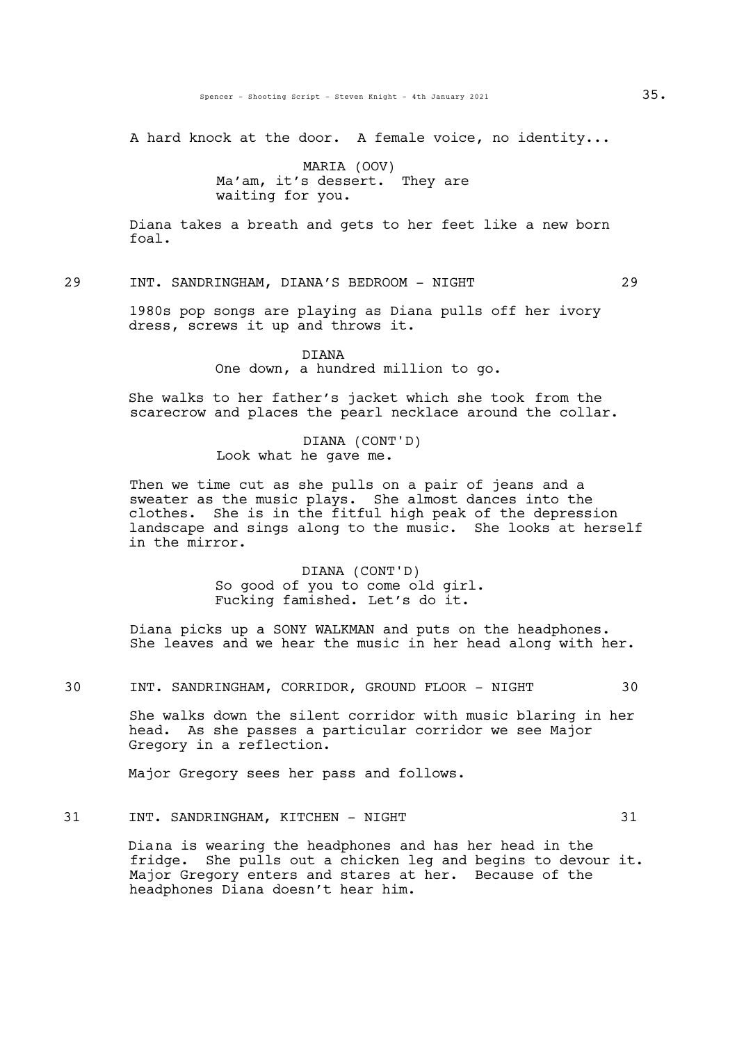A hard knock at the door. A female voice, no identity...

MARIA (OOV) Ma'am, it's dessert. They are waiting for you.

Diana takes a breath and gets to her feet like a new born foal.

29 INT. SANDRINGHAM, DIANA'S BEDROOM - NIGHT 29

1980s pop songs are playing as Diana pulls off her ivory dress, screws it up and throws it.

> DIANA One down, a hundred million to go.

She walks to her father's jacket which she took from the scarecrow and places the pearl necklace around the collar.

> DIANA (CONT'D) Look what he gave me.

Then we time cut as she pulls on a pair of jeans and a sweater as the music plays. She almost dances into the clothes. She is in the fitful high peak of the depression landscape and sings along to the music. She looks at herself in the mirror.

> DIANA (CONT'D) So good of you to come old girl. Fucking famished. Let's do it.

Diana picks up a SONY WALKMAN and puts on the headphones.<br>She leaves and we hear the music in her head along with her.

30 INT. SANDRINGHAM, CORRIDOR, GROUND FLOOR - NIGHT 30

She walks down the silent corridor with music blaring in her head. As she passes a particular corridor we see Major Gregory in a reflection.

Major Gregory sees her pass and follows.

## 31 INT. SANDRINGHAM, KITCHEN - NIGHT 31

Diana is wearing the headphones and has her head in the fridge. She pulls out a chicken leg and begins to devour it. Major Gregory enters and stares at her. Because of the headphones Diana doesn't hear him.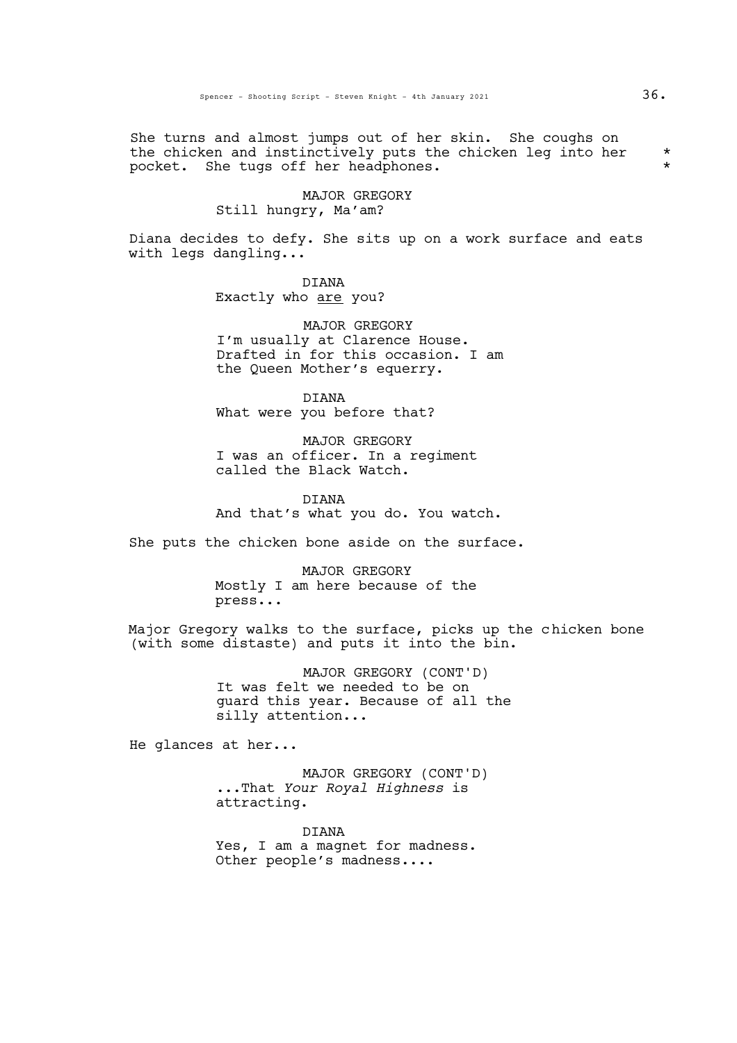She turns and almost jumps out of her skin. She coughs on the chicken and instinctively puts the chicken leg into her  $*$ pocket. She tugs off her headphones. \*

# MAJOR GREGORY Still hungry, Ma'am?

Diana decides to defy. She sits up on a work surface and eats with legs dangling...

> DIANA Exactly who are you?

MAJOR GREGORY I'm usually at Clarence House. Drafted in for this occasion. I am the Queen Mother's equerry.

DIANA What were you before that?

MAJOR GREGORY I was an officer. In a regiment called the Black Watch.

DIANA And that's what you do. You watch.

She puts the chicken bone aside on the surface.

MAJOR GREGORY Mostly I am here because of the press...

Major Gregory walks to the surface, picks up the chicken bone (with some distaste) and puts it into the bin.

> MAJOR GREGORY (CONT'D) It was felt we needed to be on guard this year. Because of all the silly attention...

He glances at her...

MAJOR GREGORY (CONT'D) ...That *Your Royal Highness* is attracting.

DIANA Yes, I am a magnet for madness. Other people's madness....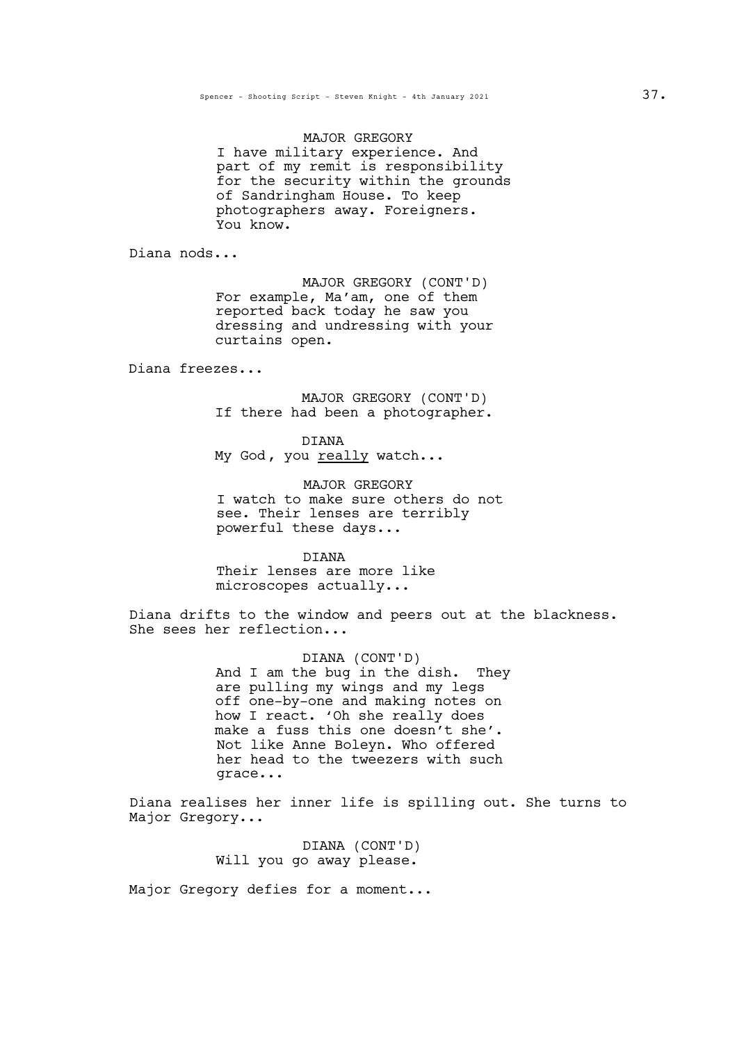MAJOR GREGORY I have military experience. And part of my remit is responsibility for the security within the grounds of Sandringham House. To keep photographers away. Foreigners. You know.

Diana nods...

MAJOR GREGORY (CONT'D) For example, Ma'am, one of them reported back today he saw you dressing and undressing with your curtains open.

Diana freezes...

MAJOR GREGORY (CONT'D) If there had been a photographer.

DIANA My God, you really watch...

MAJOR GREGORY I watch to make sure others do not see. Their lenses are terribly powerful these days...

DIANA Their lenses are more like microscopes actually...

Diana drifts to the window and peers out at the blackness.<br>She sees her reflection...

DIANA (CONT'D) And I am the bug in the dish. They are pulling my wings and my legs off one-by-one and making notes on how I react. 'Oh she really does make a fuss this one doesn't she'. Not like Anne Boleyn. Who offered her head to the tweezers with such grace...

Diana realises her inner life is spilling out. She turns to Major Gregory...

> DIANA (CONT'D) Will you go away please.

Major Gregory defies for a moment...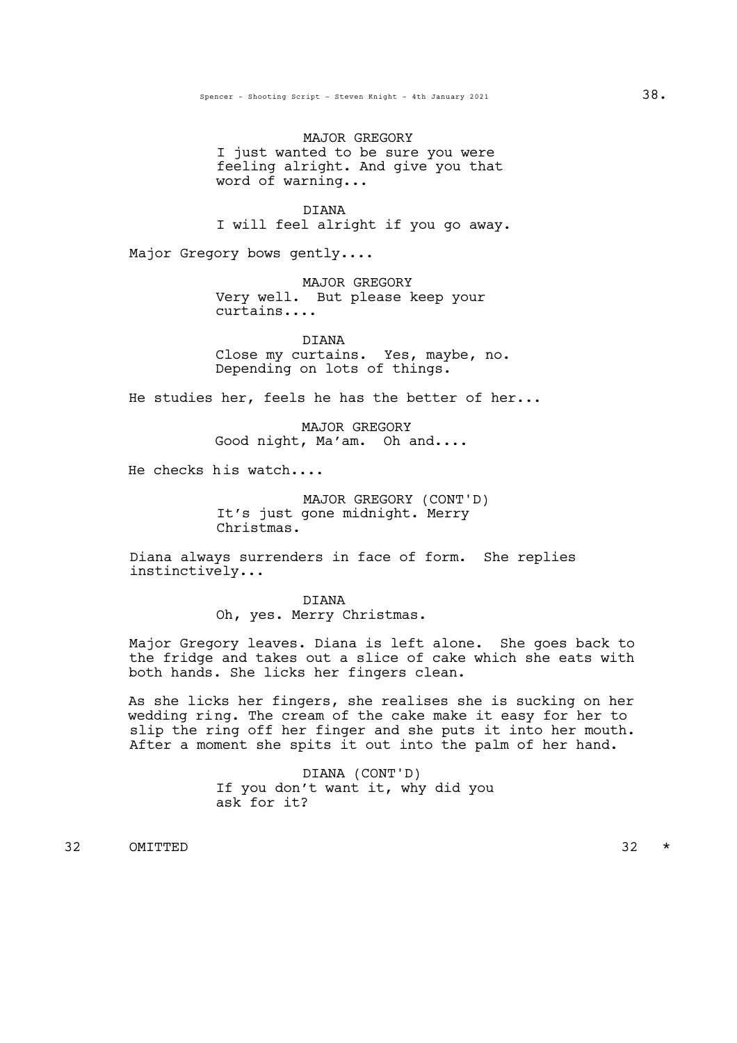MAJOR GREGORY I just wanted to be sure you were feeling alright. And give you that word of warning...

DIANA I will feel alright if you go away.

Major Gregory bows gently....

MAJOR GREGORY Very well. But please keep your curtains....

DIANA Close my curtains. Yes, maybe, no. Depending on lots of things.

He studies her, feels he has the better of her...

MAJOR GREGORY Good night, Ma'am. Oh and....

He checks his watch....

MAJOR GREGORY (CONT'D) It's just gone midnight. Merry Christmas.

Diana always surrenders in face of form. She replies instinctively...

> DIANA Oh, yes. Merry Christmas.

Major Gregory leaves. Diana is left alone. She goes back to the fridge and takes out a slice of cake which she eats with both hands. She licks her fingers clean.

As she licks her fingers, she realises she is sucking on her wedding ring. The cream of the cake make it easy for her to slip the ring off her finger and she puts it into her mouth. After a moment she spits it out into the palm of her hand.

> DIANA (CONT'D) If you don't want it, why did you ask for it?

32 OMITTED 32 \*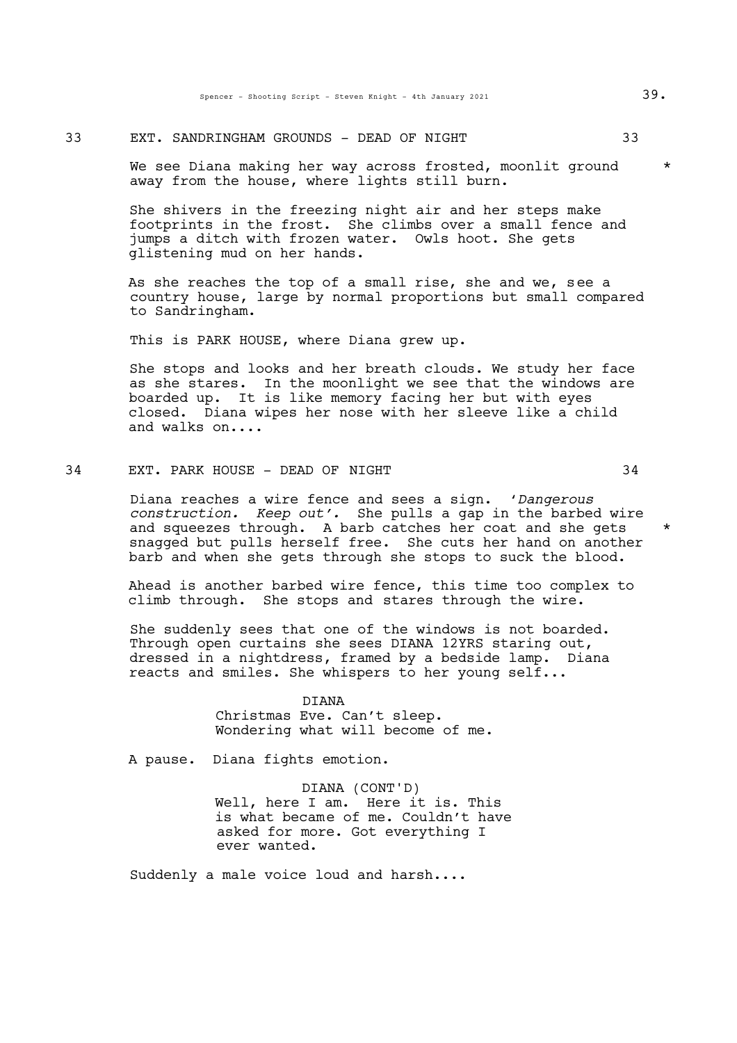33 EXT. SANDRINGHAM GROUNDS - DEAD OF NIGHT 33

We see Diana making her way across frosted, moonlit ground \* away from the house, where lights still burn.

She shivers in the freezing night air and her steps make footprints in the frost. She climbs over a small fence and jumps a ditch with frozen water. Owls hoot. She gets glistening mud on her hands.

As she reaches the top of a small rise, she and we, see a country house, large by normal proportions but small compared to Sandringham.

This is PARK HOUSE, where Diana grew up.

She stops and looks and her breath clouds. We study her face as she stares. In the moonlight we see that the windows are boarded up. It is like memory facing her but with eyes closed. Diana wipes her nose with her sleeve like a child and walks on....

# 34 EXT. PARK HOUSE - DEAD OF NIGHT 34

Diana reaches a wire fence and sees a sign. '*Dangerous construction. Keep out'.* She pulls a gap in the barbed wire and squeezes through. A barb catches her coat and she gets \* snagged but pulls herself free. She cuts her hand on another barb and when she gets through she stops to suck the blood.

Ahead is another barbed wire fence, this time too complex to climb through. She stops and stares through the wire.

She suddenly sees that one of the windows is not boarded. Through open curtains she sees DIANA 12YRS staring out, dressed in a nightdress, framed by a bedside lamp. Diana reacts and smiles. She whispers to her young self...

## DIANA

Christmas Eve. Can't sleep. Wondering what will become of me.

A pause. Diana fights emotion.

DIANA (CONT'D) Well, here I am. Here it is. This is what became of me. Couldn't have asked for more. Got everything I ever wanted.

Suddenly a male voice loud and harsh....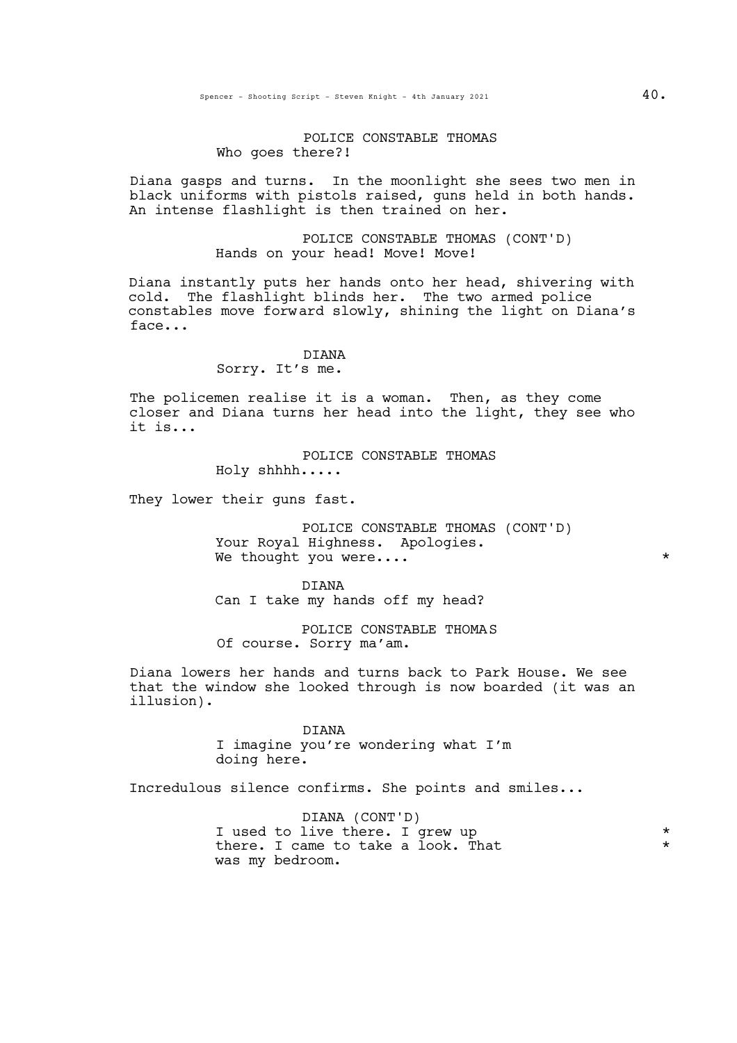## POLICE CONSTABLE THOMAS Who goes there?!

Diana gasps and turns. In the moonlight she sees two men in black uniforms with pistols raised, guns held in both hands. An intense flashlight is then trained on her.

> POLICE CONSTABLE THOMAS (CONT'D) Hands on your head! Move! Move!

Diana instantly puts her hands onto her head, shivering with cold. The flashlight blinds her. The two armed police constables move forward slowly, shining the light on Diana's face...

#### DIANA

#### Sorry. It's me.

The policemen realise it is a woman. Then, as they come closer and Diana turns her head into the light, they see who it is...

### POLICE CONSTABLE THOMAS

Holy shhhh.....

They lower their guns fast.

POLICE CONSTABLE THOMAS (CONT'D) Your Royal Highness. Apologies. We thought you were....  $*$ 

DIANA Can I take my hands off my head?

POLICE CONSTABLE THOMAS Of course. Sorry ma'am.

Diana lowers her hands and turns back to Park House. We see that the window she looked through is now boarded (it was an illusion).

> DIANA I imagine you're wondering what I'm doing here.

Incredulous silence confirms. She points and smiles...

DIANA (CONT'D) I used to live there. I grew up  $*$ <br>there I game to take a look what there. I came to take a look. That was my bedroom.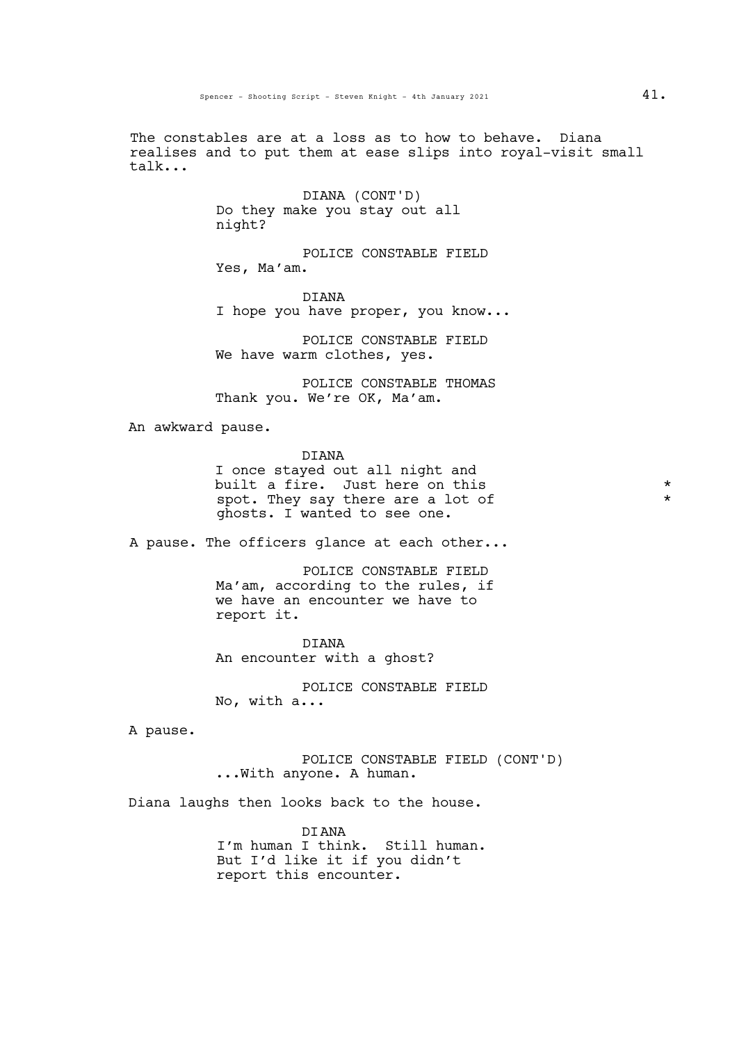The constables are at a loss as to how to behave. Diana realises and to put them at ease slips into royal-visit small talk...

> DIANA (CONT'D) Do they make you stay out all night?

POLICE CONSTABLE FIELD Yes, Ma'am.

DIANA I hope you have proper, you know...

POLICE CONSTABLE FIELD We have warm clothes, yes.

POLICE CONSTABLE THOMAS Thank you. We're OK, Ma'am.

An awkward pause.

DIANA

I once stayed out all night and built a fire. Just here on this  $*$ spot. They say there are a lot of \* ghosts. I wanted to see one.

A pause. The officers glance at each other...

POLICE CONSTABLE FIELD Ma'am, according to the rules, if we have an encounter we have to report it.

DIANA An encounter with a ghost?

POLICE CONSTABLE FIELD No, with a...

A pause.

POLICE CONSTABLE FIELD (CONT'D) ...With anyone. A human.

Diana laughs then looks back to the house.

DIANA I'm human I think. Still human. But I'd like it if you didn't report this encounter.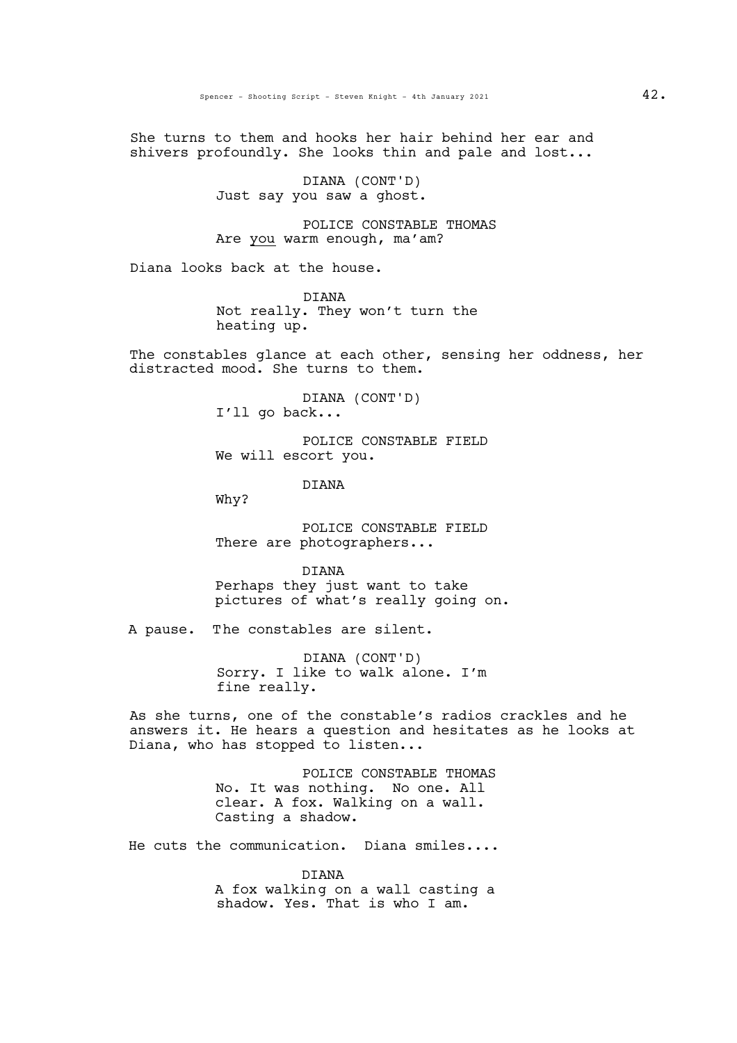She turns to them and hooks her hair behind her ear and shivers profoundly. She looks thin and pale and lost...

> DIANA (CONT'D) Just say you saw a ghost.

POLICE CONSTABLE THOMAS Are you warm enough, ma'am?

Diana looks back at the house.

DIANA Not really. They won't turn the heating up.

The constables glance at each other, sensing her oddness, her distracted mood. She turns to them.

> DIANA (CONT'D) I'll go back...

POLICE CONSTABLE FIELD We will escort you.

DIANA

Why?

POLICE CONSTABLE FIELD There are photographers...

DIANA Perhaps they just want to take pictures of what's really going on.

A pause. The constables are silent.

DIANA (CONT'D) Sorry. I like to walk alone. I'm fine really.

As she turns, one of the constable's radios crackles and he answers it. He hears a question and hesitates as he looks at Diana, who has stopped to listen...

> POLICE CONSTABLE THOMAS No. It was nothing. No one. All clear. A fox. Walking on a wall. Casting a shadow.

He cuts the communication. Diana smiles....

DIANA A fox walking on a wall casting a shadow. Yes. That is who I am.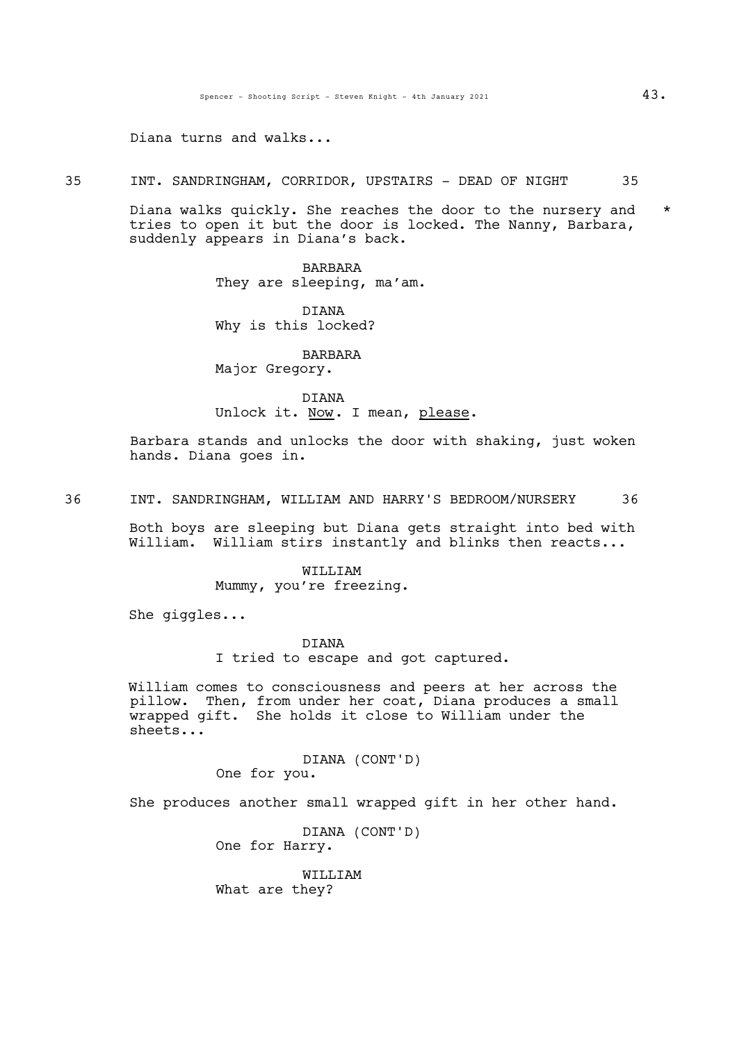Diana turns and walks...

35 INT. SANDRINGHAM, CORRIDOR, UPSTAIRS - DEAD OF NIGHT 35

Diana walks quickly. She reaches the door to the nursery and \* tries to open it but the door is locked. The Nanny, Barbara, suddenly appears in Diana's back.

> BARBARA They are sleeping, ma'am.

DIANA Why is this locked?

BARBARA Major Gregory.

DIANA Unlock it. Now. I mean, please.

Barbara stands and unlocks the door with shaking, just woken hands. Diana goes in.

36 INT. SANDRINGHAM, WILLIAM AND HARRY'S BEDROOM/NURSERY 36

Both boys are sleeping but Diana gets straight into bed with William. William stirs instantly and blinks then reacts...

> WILLIAM Mummy, you're freezing.

She giggles...

DIANA

I tried to escape and got captured.

William comes to consciousness and peers at her across the pillow. Then, from under her coat, Diana produces a small wrapped gift. She holds it close to William under the sheets...

> DIANA (CONT'D) One for you.

She produces another small wrapped gift in her other hand.

DIANA (CONT'D) One for Harry.

WILLIAM What are they?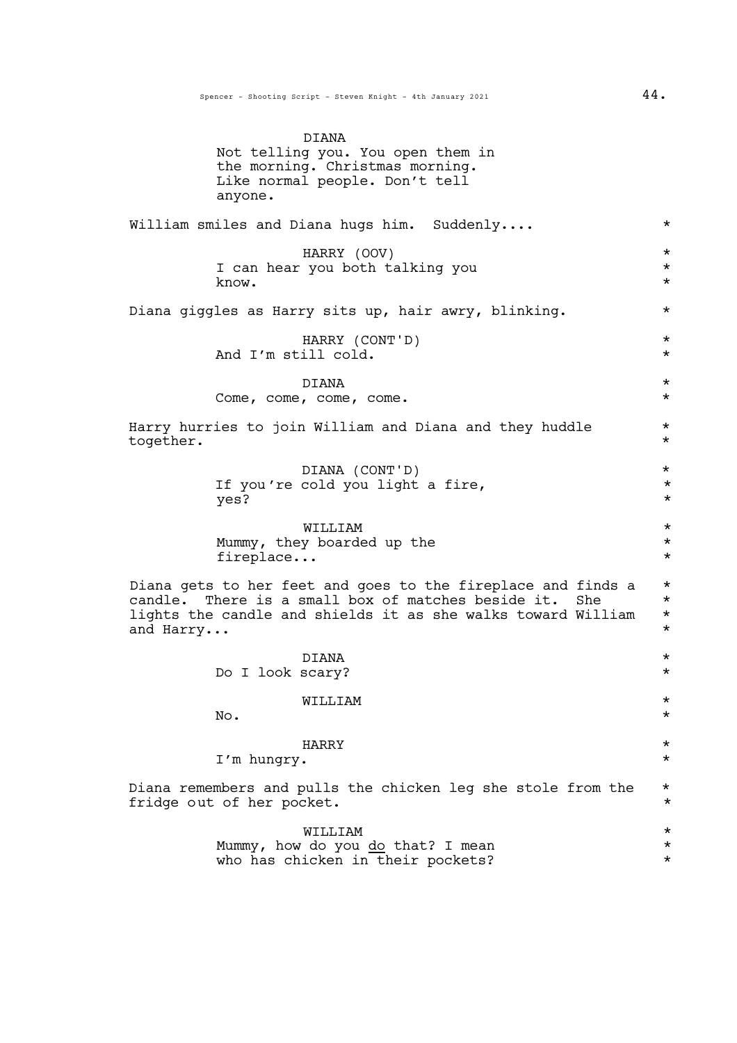| anyone.                   | DIANA<br>Not telling you. You open them in<br>the morning. Christmas morning.<br>Like normal people. Don't tell                                                                           |                                              |
|---------------------------|-------------------------------------------------------------------------------------------------------------------------------------------------------------------------------------------|----------------------------------------------|
|                           | William smiles and Diana hugs him. Suddenly                                                                                                                                               | $^\star$                                     |
| know.                     | HARRY (OOV)<br>I can hear you both talking you                                                                                                                                            | $^\star$<br>$^\star$<br>$^\star$             |
|                           | Diana giggles as Harry sits up, hair awry, blinking.                                                                                                                                      | $^\star$                                     |
|                           | HARRY (CONT'D)<br>And I'm still cold.                                                                                                                                                     | $^\star$<br>$^\star$                         |
|                           | DIANA<br>Come, come, come, come.                                                                                                                                                          | $\star$<br>$\star$                           |
| together.                 | Harry hurries to join William and Diana and they huddle                                                                                                                                   | $^\star$<br>$\star$                          |
| yes?                      | DIANA (CONT'D)<br>If you're cold you light a fire,                                                                                                                                        | $\star$<br>$^\star$<br>$^\star$              |
| fireplace                 | WILLIAM<br>Mummy, they boarded up the                                                                                                                                                     | $^\star$<br>$^\star$<br>$^\star$             |
| and Harry                 | Diana gets to her feet and goes to the fireplace and finds a<br>candle. There is a small box of matches beside it.<br>She<br>lights the candle and shields it as she walks toward William | $^\star$<br>$^\star$<br>$^\star$<br>$^\star$ |
| Do I look scary?          | DIANA                                                                                                                                                                                     | $^\star$<br>$\star$                          |
| No.                       | WILLIAM                                                                                                                                                                                   | $^\star$<br>$^\star$                         |
| I'm hungry.               | HARRY                                                                                                                                                                                     | $^\star$<br>$^\star$                         |
| fridge out of her pocket. | Diana remembers and pulls the chicken leg she stole from the                                                                                                                              | $^\star$<br>$^\star$                         |
|                           | WILLIAM<br>Mummy, how do you do that? I mean                                                                                                                                              | *<br>$^\star$                                |

who has chicken in their pockets?  $*$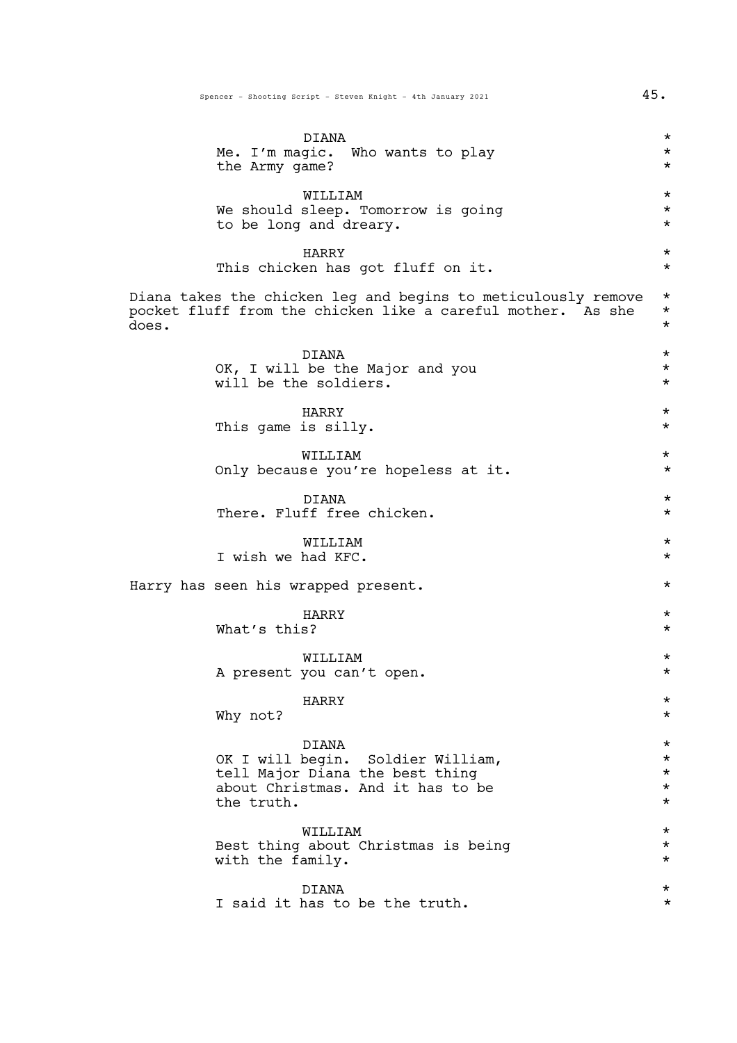|       | DIANA<br>Me. I'm magic. Who wants to play<br>the Army game?                                                                      | $^\star$<br>$^\star$<br>$^\star$                        |
|-------|----------------------------------------------------------------------------------------------------------------------------------|---------------------------------------------------------|
|       | WILLIAM<br>We should sleep. Tomorrow is going<br>to be long and dreary.                                                          | $^\star$<br>$^\star$<br>$^\star$                        |
|       | HARRY<br>This chicken has got fluff on it.                                                                                       | $^\star$<br>$^\star$                                    |
| does. | Diana takes the chicken leg and begins to meticulously remove<br>pocket fluff from the chicken like a careful mother. As she     | $\star$<br>$\star$<br>$^\star$                          |
|       | DIANA<br>OK, I will be the Major and you<br>will be the soldiers.                                                                | $\star$<br>$\star$<br>$\star$                           |
|       | HARRY<br>This game is silly.                                                                                                     | $\star$<br>$\star$                                      |
|       | WILLIAM<br>Only because you're hopeless at it.                                                                                   | $\star$<br>$^\star$                                     |
|       | <b>DIANA</b><br>There. Fluff free chicken.                                                                                       | $^\star$<br>$^\star$                                    |
|       | WILLIAM<br>I wish we had KFC.                                                                                                    | $^\star$<br>$^\star$                                    |
|       | Harry has seen his wrapped present.                                                                                              | $^\star$                                                |
|       | HARRY<br>What's this?                                                                                                            | $^\star$<br>$^\star$                                    |
|       | WILLIAM<br>A present you can't open.                                                                                             | $^\star$<br>$^\star$                                    |
|       | HARRY<br>Why not?                                                                                                                | $^\star$<br>$^\star$                                    |
|       | DIANA<br>OK I will begin. Soldier William,<br>tell Major Diana the best thing<br>about Christmas. And it has to be<br>the truth. | $^\star$<br>$\star$<br>$^\star$<br>$^\star$<br>$^\star$ |
|       | WILLIAM<br>Best thing about Christmas is being<br>with the family.                                                               | $^\star$<br>$^\star$<br>$^\star$                        |
|       | <b>DIANA</b><br>I said it has to be the truth.                                                                                   | $^\star$<br>$^\star$                                    |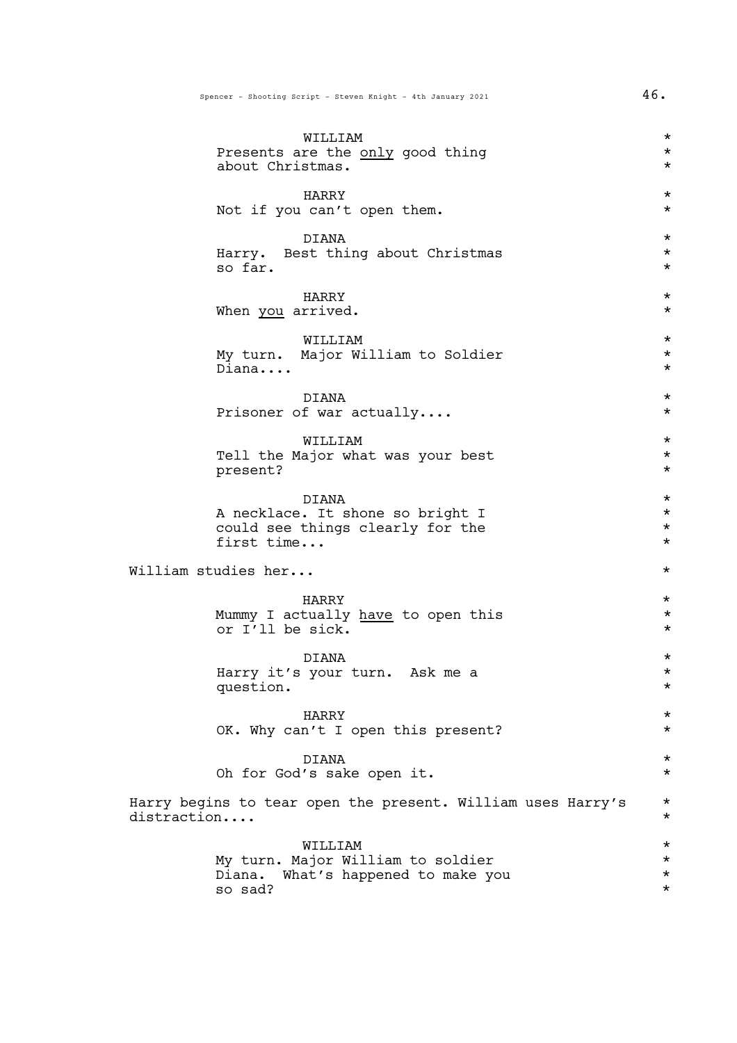|             | WILLIAM<br>Presents are the only good thing<br>about Christmas.                                  | $^\star$<br>$^\star$<br>$^\star$          |
|-------------|--------------------------------------------------------------------------------------------------|-------------------------------------------|
|             | HARRY<br>Not if you can't open them.                                                             | $^\star$<br>$^\star$                      |
|             | DIANA<br>Harry. Best thing about Christmas<br>so far.                                            | $^\star$<br>$^\star$<br>$^\star$          |
|             | HARRY<br>When you arrived.                                                                       | $\star$<br>$^\star$                       |
|             | WILLIAM<br>My turn. Major William to Soldier<br>Diana                                            | $\star$<br>$\star$<br>$^\star$            |
|             | <b>DIANA</b><br>Prisoner of war actually                                                         | $^\star$<br>$^\star$                      |
|             | WILLIAM<br>Tell the Major what was your best<br>present?                                         | $^\star$<br>$\star$<br>$\star$            |
|             | DIANA<br>A necklace. It shone so bright I<br>could see things clearly for the<br>first time      | $^\star$<br>$\star$<br>$\star$<br>$\star$ |
|             | William studies her                                                                              | $^\star$                                  |
|             | HARRY<br>Mummy I actually have to open this<br>or I'll be sick.                                  | $\star$<br>$^\star$<br>$^\star$           |
|             | DIANA<br>Harry it's your turn. Ask me a<br>question.                                             | $^\star$<br>$^\star$<br>$^\star$          |
|             | HARRY<br>OK. Why can't I open this present?                                                      | $^\star$<br>$\star$                       |
|             | <b>DIANA</b><br>Oh for God's sake open it.                                                       | $\star$<br>$\star$                        |
| distraction | Harry begins to tear open the present. William uses Harry's                                      | $\star$<br>$\star$                        |
|             | WILLIAM<br>My turn. Major William to soldier<br>What's happened to make you<br>Diana.<br>so sad? | $\star$<br>$^\star$<br>$\star$<br>$\star$ |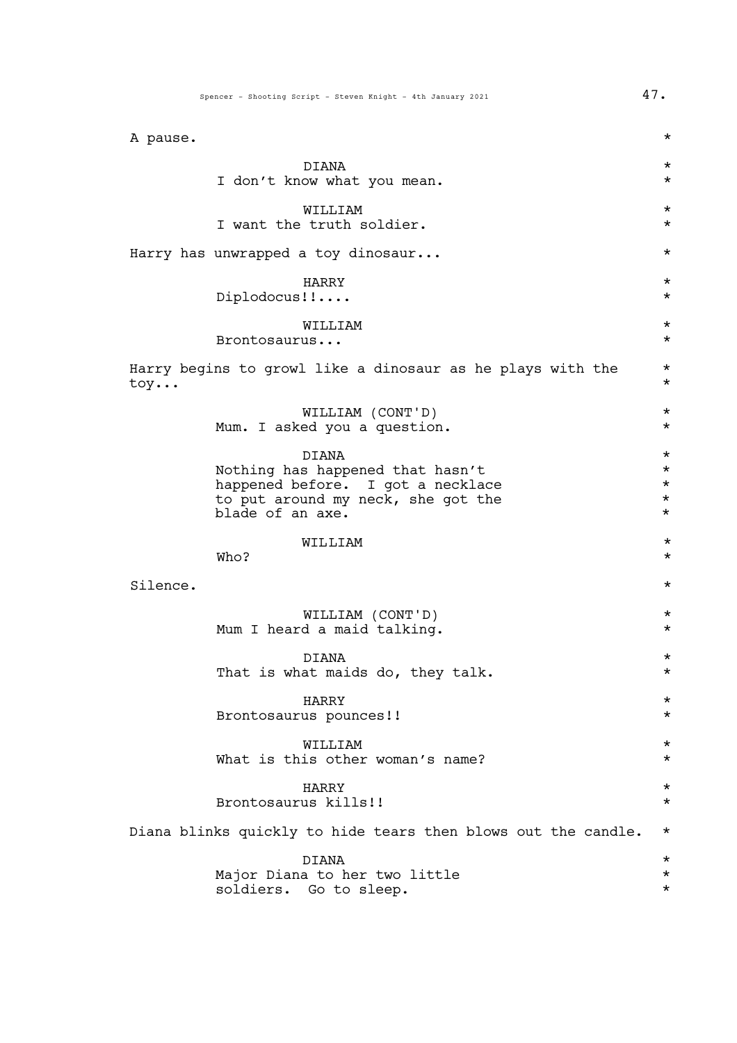| A pause. |                                                                                                                                          | $^\star$                                            |
|----------|------------------------------------------------------------------------------------------------------------------------------------------|-----------------------------------------------------|
|          | <b>DIANA</b><br>I don't know what you mean.                                                                                              | $^\star$<br>$^\star$                                |
|          | WILLIAM<br>I want the truth soldier.                                                                                                     | $^\star$<br>$^\star$                                |
|          | Harry has unwrapped a toy dinosaur                                                                                                       | $^\star$                                            |
|          | HARRY<br>Diplodocus!!                                                                                                                    | $^\star$<br>$^\star$                                |
|          | WILLIAM<br>Brontosaurus                                                                                                                  | $^\star$<br>$^\star$                                |
| toy      | Harry begins to growl like a dinosaur as he plays with the                                                                               | $^\star$<br>$^\star$                                |
|          | WILLIAM (CONT'D)<br>Mum. I asked you a question.                                                                                         | $^\star$<br>$\star$                                 |
|          | DIANA<br>Nothing has happened that hasn't<br>happened before. I got a necklace<br>to put around my neck, she got the<br>blade of an axe. | $\star$<br>$\star$<br>$\star$<br>$\star$<br>$\star$ |
|          | WILLIAM<br>Who?                                                                                                                          | $^\star$<br>$^\star$                                |
| Silence. |                                                                                                                                          | $^\star$                                            |
|          | WILLIAM (CONT'D)<br>Mum I heard a maid talking.                                                                                          | $^\star$<br>$^\star$                                |
|          | DIANA<br>That is what maids do, they talk.                                                                                               | $^\star$                                            |
|          | HARRY<br>Brontosaurus pounces!!                                                                                                          | $^\star$<br>$^\star$                                |
|          | WILLIAM<br>What is this other woman's name?                                                                                              | $^\star$<br>$^\star$                                |
|          | HARRY<br>Brontosaurus kills!!                                                                                                            | $^\star$<br>$^\star$                                |
|          | Diana blinks quickly to hide tears then blows out the candle.                                                                            | $^\star$                                            |
|          | <b>DIANA</b><br>Major Diana to her two little<br>soldiers. Go to sleep.                                                                  | $^\star$<br>$^\star$<br>$^\star$                    |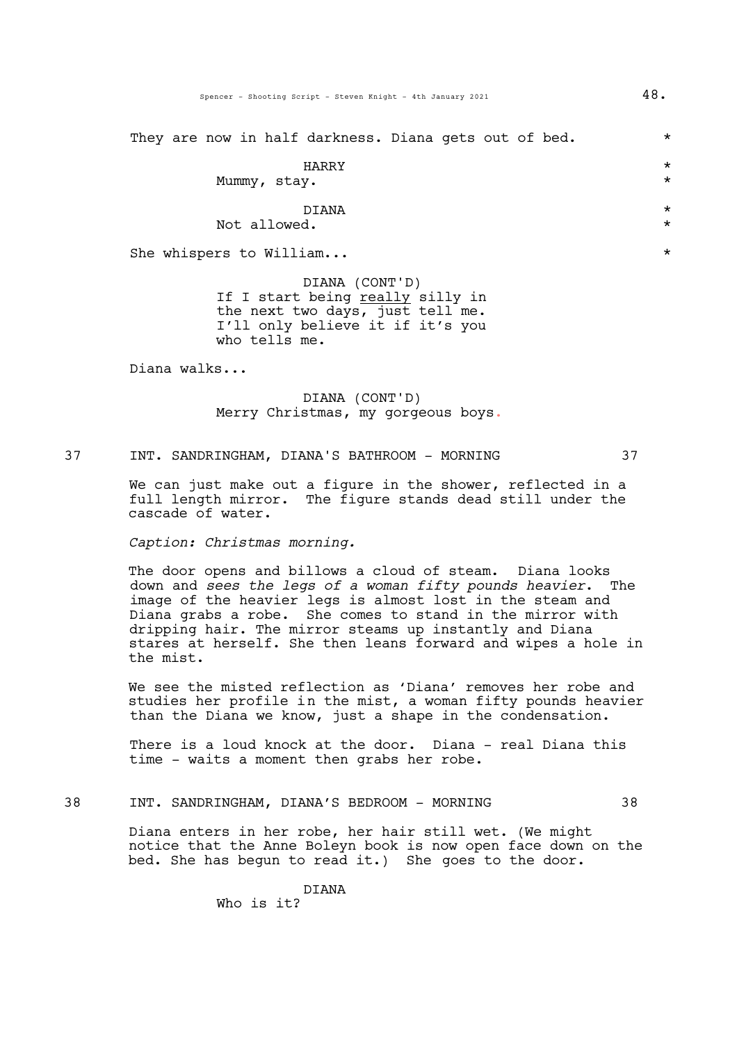They are now in half darkness. Diana gets out of bed.  $*$ 

|              |       | _ |          |
|--------------|-------|---|----------|
|              | HARRY |   | $^\star$ |
| Mummy, stay. |       |   | $\star$  |
|              | DIANA |   | $^\star$ |

Not allowed.  $*$ 

She whispers to William...  $\star$ 

DIANA (CONT'D) If I start being really silly in the next two days, just tell me. I'll only believe it if it's you who tells me.

Diana walks...

DIANA (CONT'D) Merry Christmas, my gorgeous boys.

37 INT. SANDRINGHAM, DIANA'S BATHROOM - MORNING 37

We can just make out a figure in the shower, reflected in a full length mirror. The figure stands dead still under the cascade of water.

*Caption: Christmas morning.*

The door opens and billows a cloud of steam. Diana looks down and *sees the legs of a woman fifty pounds heavier*. The image of the heavier legs is almost lost in the steam and Diana grabs a robe. She comes to stand in the mirror with dripping hair. The mirror steams up instantly and Diana stares at herself. She then leans forward and wipes a hole in the mist.

We see the misted reflection as 'Diana' removes her robe and studies her profile in the mist, a woman fifty pounds heavier than the Diana we know, just a shape in the condensation.

There is a loud knock at the door. Diana - real Diana this time - waits a moment then grabs her robe.

# 38 INT. SANDRINGHAM, DIANA'S BEDROOM - MORNING 38

Diana enters in her robe, her hair still wet. (We might notice that the Anne Boleyn book is now open face down on the bed. She has begun to read it.) She goes to the door.

> DIANA Who is it?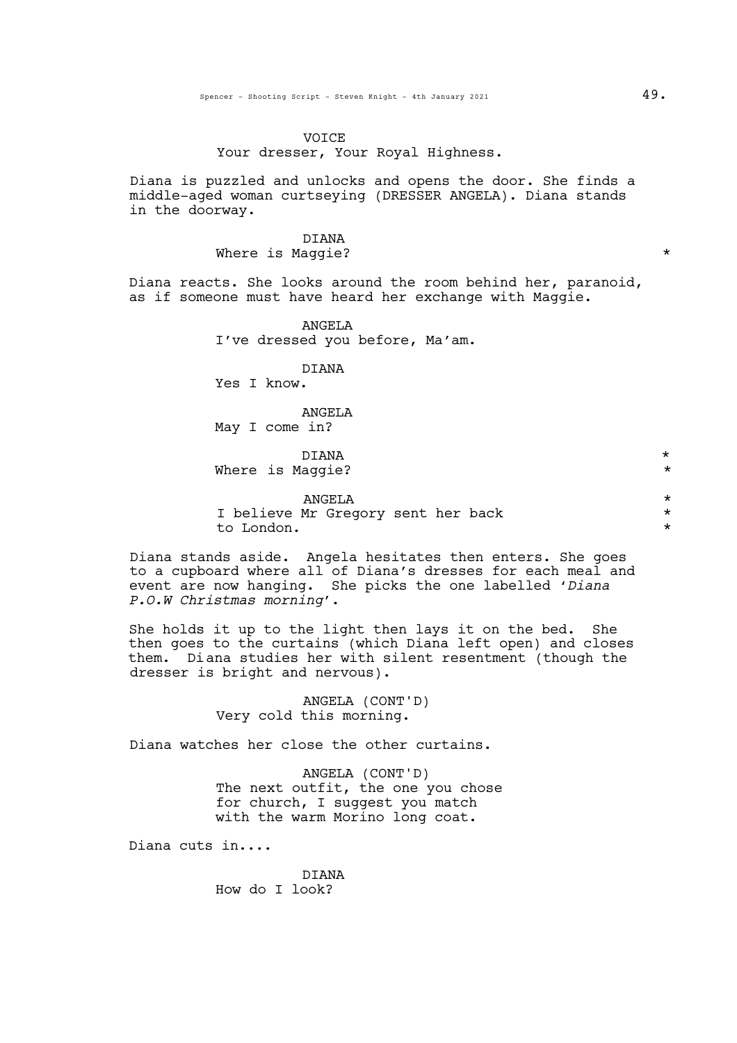## VOICE

# Your dresser, Your Royal Highness.

Diana is puzzled and unlocks and opens the door. She finds a middle-aged woman curtseying (DRESSER ANGELA). Diana stands in the doorway.

# DIANA Where is Maggie?  $\star$

Diana reacts. She looks around the room behind her, paranoid, as if someone must have heard her exchange with Maggie.

> ANGELA I've dressed you before, Ma'am.

> > DIANA

Yes I know.

ANGELA May I come in?

DIANA \* Where is Maggie?  $*$ 

ANGELA<br>Mr Gregory sent her back \* \* \* \* \* I believe Mr Gregory sent her back to London. \*

Diana stands aside. Angela hesitates then enters. She goes to a cupboard where all of Diana's dresses for each meal and event are now hanging. She picks the one labelled '*Diana P.O.W Christmas morning*'.

She holds it up to the light then lays it on the bed. She then goes to the curtains (which Diana left open) and closes them. Diana studies her with silent resentment (though the dresser is bright and nervous).

> ANGELA (CONT'D) Very cold this morning.

Diana watches her close the other curtains.

ANGELA (CONT'D) The next outfit, the one you chose for church, I suggest you match with the warm Morino long coat.

Diana cuts in....

DIANA How do I look?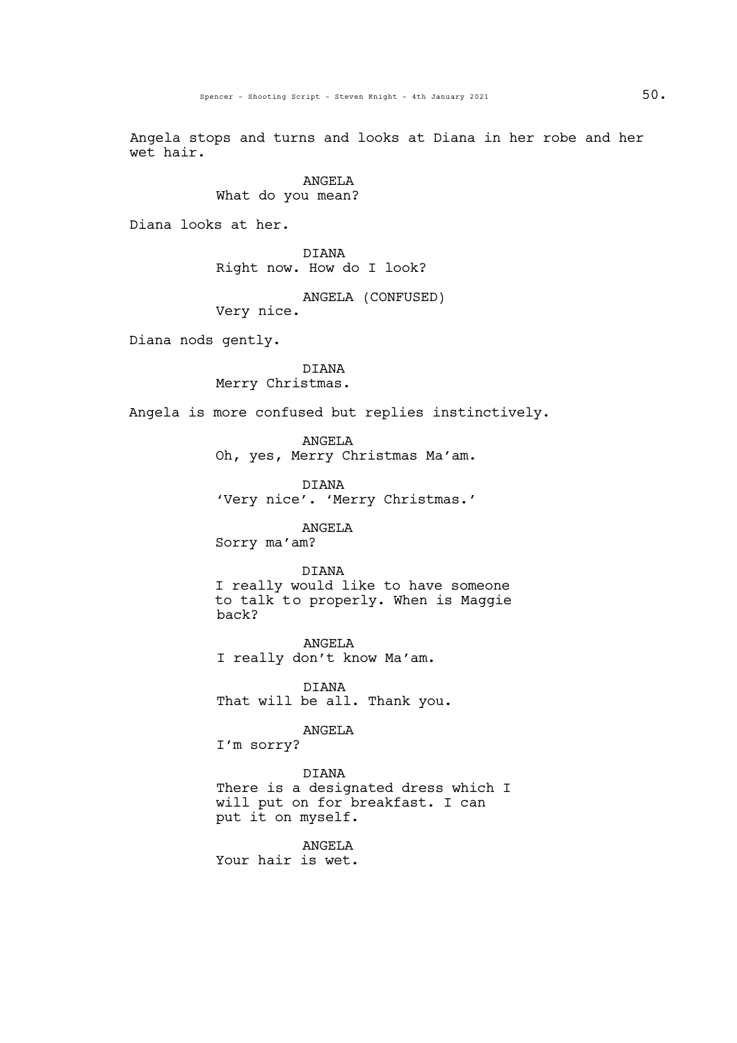Angela stops and turns and looks at Diana in her robe and her wet hair.

> ANGELA What do you mean?

Diana looks at her.

DIANA Right now. How do I look?

ANGELA (CONFUSED) Very nice.

Diana nods gently.

DIANA Merry Christmas.

Angela is more confused but replies instinctively.

ANGELA Oh, yes, Merry Christmas Ma'am.

DIANA 'Very nice'. 'Merry Christmas.'

ANGELA

Sorry ma'am?

### DIANA

I really would like to have someone to talk to properly. When is Maggie back?

ANGELA I really don't know Ma'am.

DIANA That will be all. Thank you.

# ANGELA

I'm sorry?

DIANA There is a designated dress which I will put on for breakfast. I can put it on myself.

ANGELA Your hair is wet.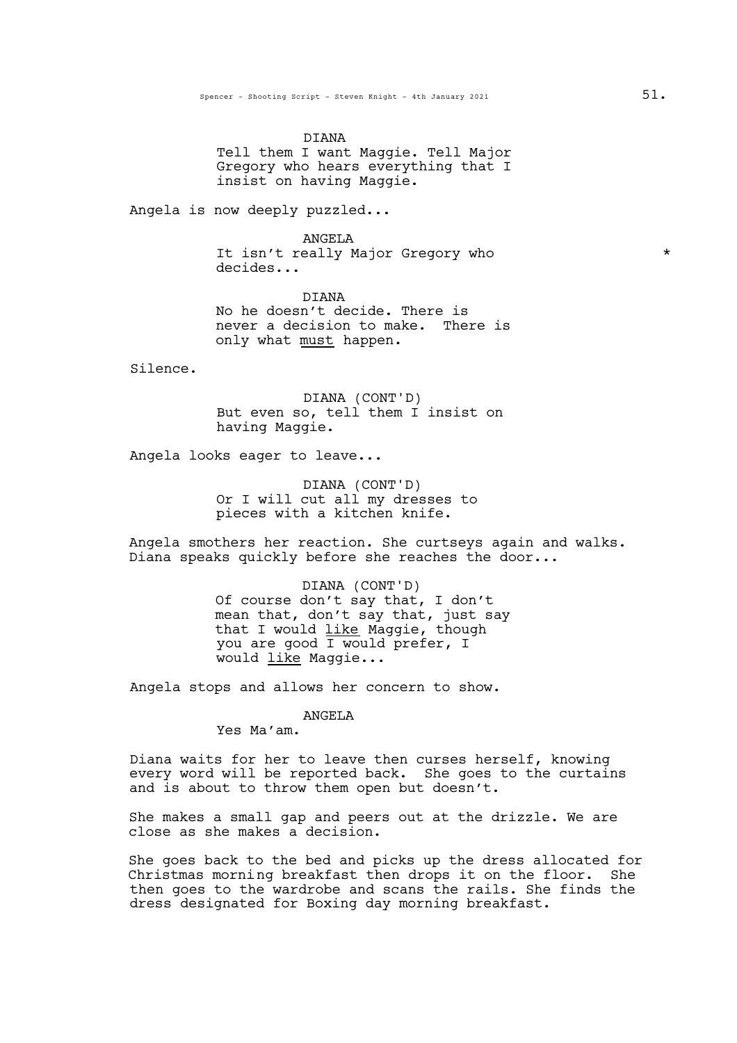DIANA Tell them I want Maggie. Tell Major Gregory who hears everything that I insist on having Maggie.

Angela is now deeply puzzled...

ANGELA It isn't really Major Gregory who \* decides...

DIANA No he doesn't decide. There is never a decision to make. There is only what must happen.

Silence.

DIANA (CONT'D) But even so, tell them I insist on having Maggie.

Angela looks eager to leave...

DIANA (CONT'D) Or I will cut all my dresses to pieces with a kitchen knife.

Angela smothers her reaction. She curtseys again and walks. Diana speaks quickly before she reaches the door...

> DIANA (CONT'D) Of course don't say that, I don't mean that, don't say that, just say that I would like Maggie, though you are good I would prefer, I would like Maggie...

Angela stops and allows her concern to show.

**ANGELA** 

Yes Ma'am.

Diana waits for her to leave then curses herself, knowing every word will be reported back. She goes to the curtains and is about to throw them open but doesn't.

She makes a small gap and peers out at the drizzle. We are close as she makes a decision.

She goes back to the bed and picks up the dress allocated for Christmas morning breakfast then drops it on the floor. She then goes to the wardrobe and scans the rails. She finds the dress designated for Boxing day morning breakfast.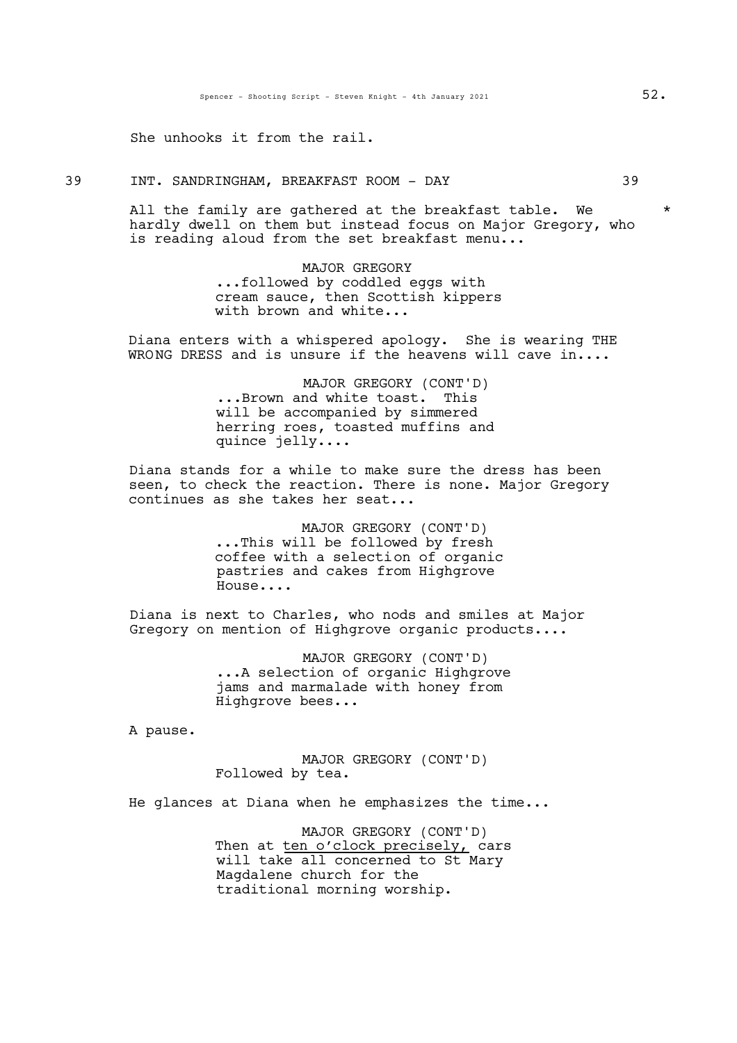She unhooks it from the rail.

39 INT. SANDRINGHAM, BREAKFAST ROOM - DAY 39

All the family are gathered at the breakfast table. We  $*$ hardly dwell on them but instead focus on Major Gregory, who is reading aloud from the set breakfast menu...

> MAJOR GREGORY<br>...followed by coddled eggs with. cream sauce, then Scottish kippers with brown and white...

Diana enters with a whispered apology. She is wearing THE WRONG DRESS and is unsure if the heavens will cave in....

> MAJOR GREGORY (CONT'D) ...Brown and white toast. This will be accompanied by simmered herring roes, toasted muffins and quince jelly....

Diana stands for a while to make sure the dress has been seen, to check the reaction. There is none. Major Gregory continues as she takes her seat...

> MAJOR GREGORY (CONT'D) ...This will be followed by fresh coffee with a selection of organic pastries and cakes from Highgrove House....

Diana is next to Charles, who nods and smiles at Major Gregory on mention of Highgrove organic products....

> MAJOR GREGORY (CONT'D)<br>...A selection of organic Highgrove jams and marmalade with honey from Highgrove bees...

A pause.

MAJOR GREGORY (CONT'D) Followed by tea.

He glances at Diana when he emphasizes the time...

MAJOR GREGORY (CONT'D) Then at ten o'clock precisely, cars will take all concerned to St Mary Magdalene church for the traditional morning worship.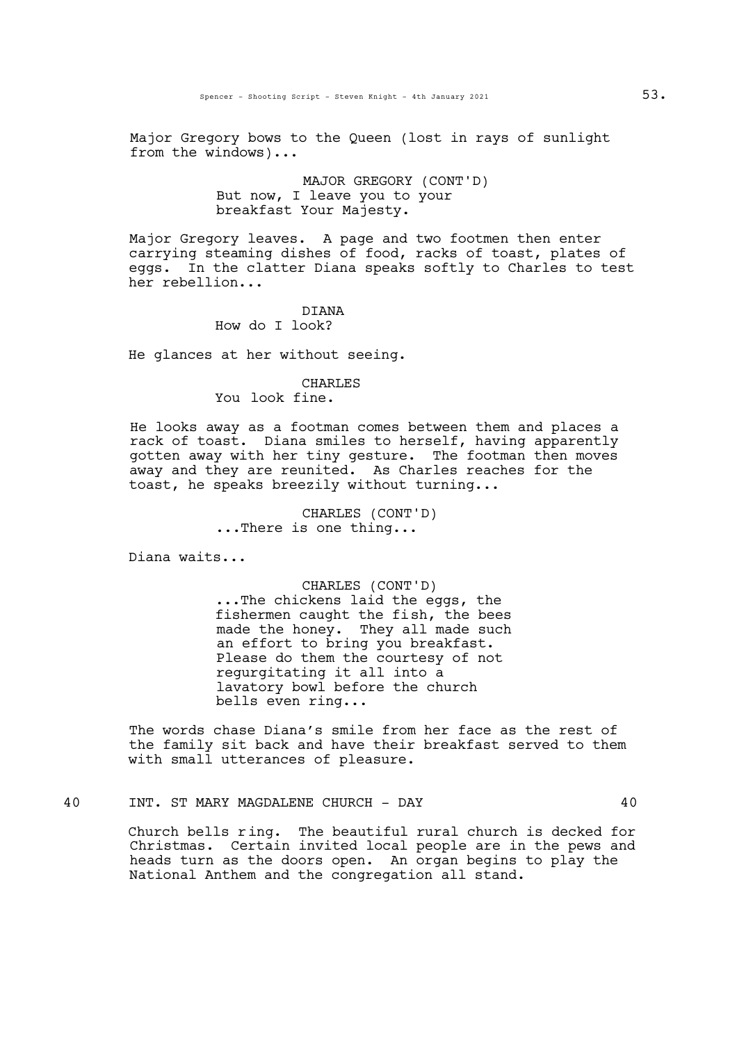Major Gregory bows to the Queen (lost in rays of sunlight from the windows)...

# MAJOR GREGORY (CONT'D) But now, I leave you to your breakfast Your Majesty.

Major Gregory leaves. A page and two footmen then enter carrying steaming dishes of food, racks of toast, plates of eggs. In the clatter Diana speaks softly to Charles to test her rebellion...

#### DIANA How do I look?

He glances at her without seeing.

## CHARLES

You look fine.

He looks away as a footman comes between them and places a rack of toast. Diana smiles to herself, having apparently gotten away with her tiny gesture. The footman then moves away and they are reunited. As Charles reaches for the toast, he speaks breezily without turning...

> CHARLES (CONT'D) ...There is one thing...

Diana waits...

CHARLES (CONT'D)<br>...The chickens laid the eggs, the fishermen caught the fish, the bees made the honey. They all made such<br>an effort to bring you breakfast. Please do them the courtesy of not regurgitating it all into a lavatory bowl before the church bells even ring...

The words chase Diana's smile from her face as the rest of the family sit back and have their breakfast served to them with small utterances of pleasure.

40 INT. ST MARY MAGDALENE CHURCH - DAY 40

Church bells ring. The beautiful rural church is decked for Christmas. Certain invited local people are in the pews and heads turn as the doors open. An organ begins to play the National Anthem and the congregation all stand.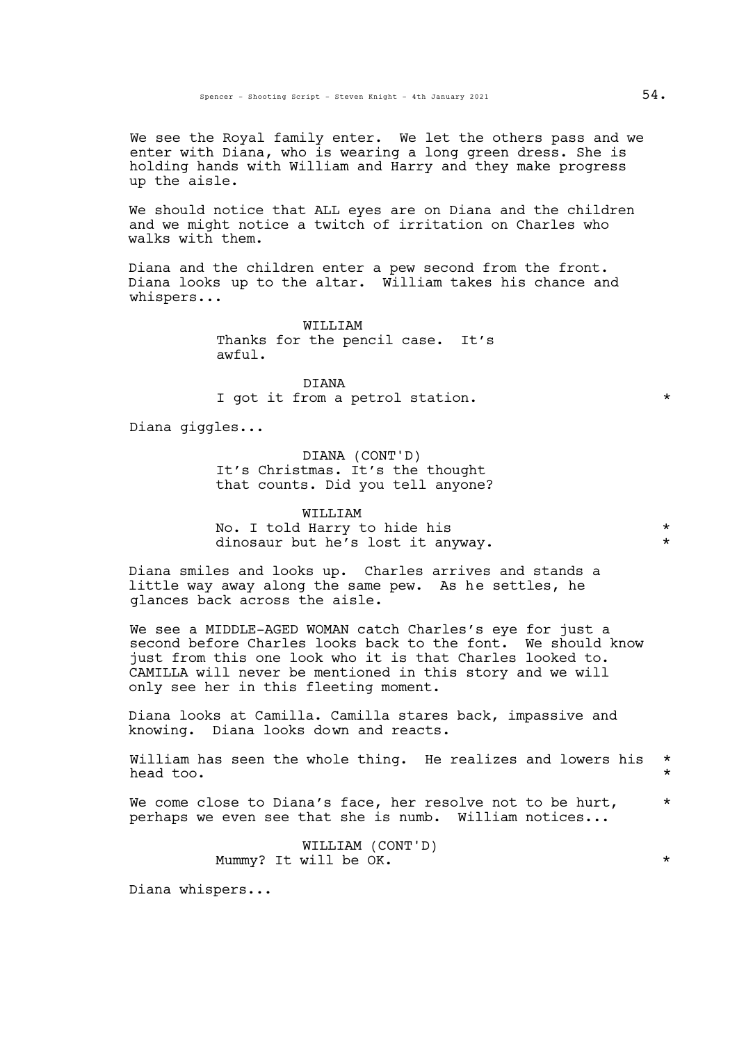We see the Royal family enter. We let the others pass and we enter with Diana, who is wearing a long green dress. She is holding hands with William and Harry and they make progress up the aisle.

We should notice that ALL eyes are on Diana and the children and we might notice a twitch of irritation on Charles who walks with them.

Diana and the children enter <sup>a</sup> pew second from the front. Diana looks up to the altar. William takes his chance and whispers...

> WILLIAM Thanks for the pencil case. It's awful.

DIANA I got it from a petrol station.  $*$ 

Diana giggles...

DIANA (CONT'D) It's Christmas. It's the thought that counts. Did you tell anyone?

WILLIAM No. I told Harry to hide his \* dinosaur but he's lost it anyway.

Diana smiles and looks up. Charles arrives and stands a little way away along the same pew. As he settles, he glances back across the aisle.

We see a MIDDLE-AGED WOMAN catch Charles's eye for just a second before Charles looks back to the font. We should know just from this one look who it is that Charles looked to. CAMILLA will never be mentioned in this story and we will only see her in this fleeting moment.

Diana looks at Camilla. Camilla stares back, impassive and knowing. Diana looks down and reacts.

William has seen the whole thing. He realizes and lowers his \* head too.  $\star$ 

We come close to Diana's face, her resolve not to be hurt,  $*$ perhaps we even see that she is numb. William notices...

> WILLIAM (CONT'D) Mummy? It will be  $\overrightarrow{OR}$ .

Diana whispers...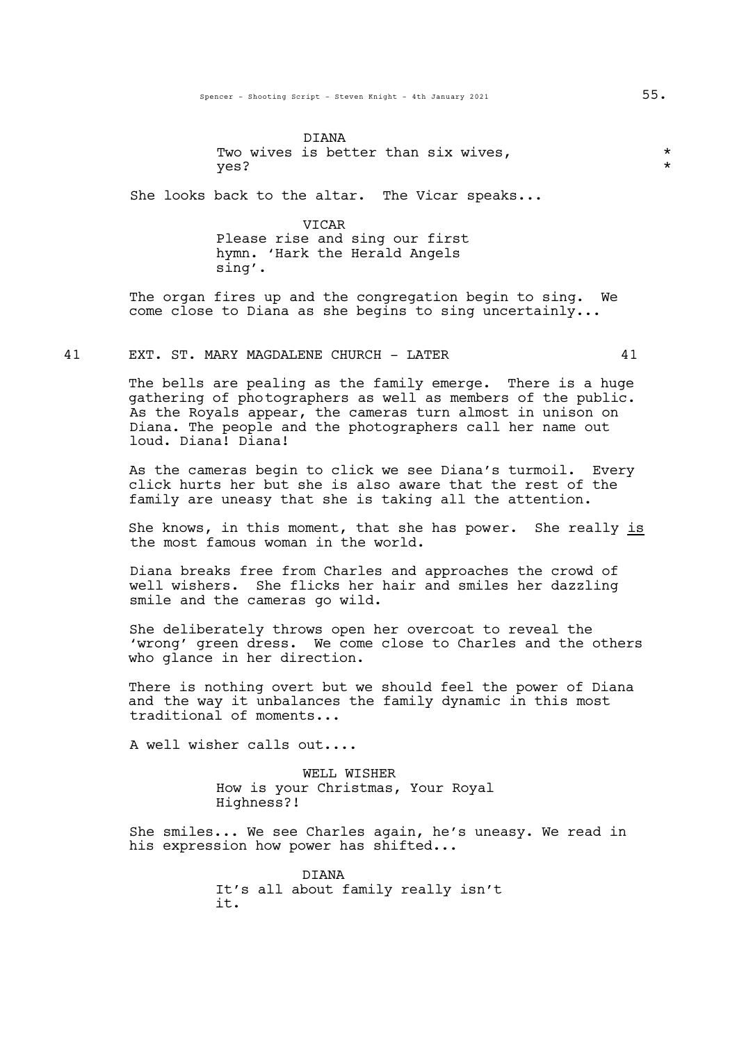DIANA Two wives is better than six wives,  $\star$ yes? \*

She looks back to the altar. The Vicar speaks...

VICAR Please rise and sing our first hymn. 'Hark the Herald Angels sing'.

The organ fires up and the congregation begin to sing. We come close to Diana as she begins to sing uncertainly...

#### 41 EXT. ST. MARY MAGDALENE CHURCH - LATER 41

The bells are pealing as the family emerge. There is a huge gathering of photographers as well as members of the public. As the Royals appear, the cameras turn almost in unison on Diana. The people and the photographers call her name out loud. Diana! Diana!

As the cameras begin to click we see Diana's turmoil. Every click hurts her but she is also aware that the rest of the family are uneasy that she is taking all the attention.

She knows, in this moment, that she has power. She really is the most famous woman in the world.

Diana breaks free from Charles and approaches the crowd of well wishers. She flicks her hair and smiles her dazzling smile and the cameras go wild.

She deliberately throws open her overcoat to reveal the 'wrong' green dress. We come close to Charles and the others who glance in her direction.

There is nothing overt but we should feel the power of Diana and the way it unbalances the family dynamic in this most traditional of moments...

A well wisher calls out....

WELL WISHER How is your Christmas, Your Royal Highness?!

She smiles... We see Charles again, he's uneasy. We read in his expression how power has shifted...

> DIANA It's all about family really isn't it.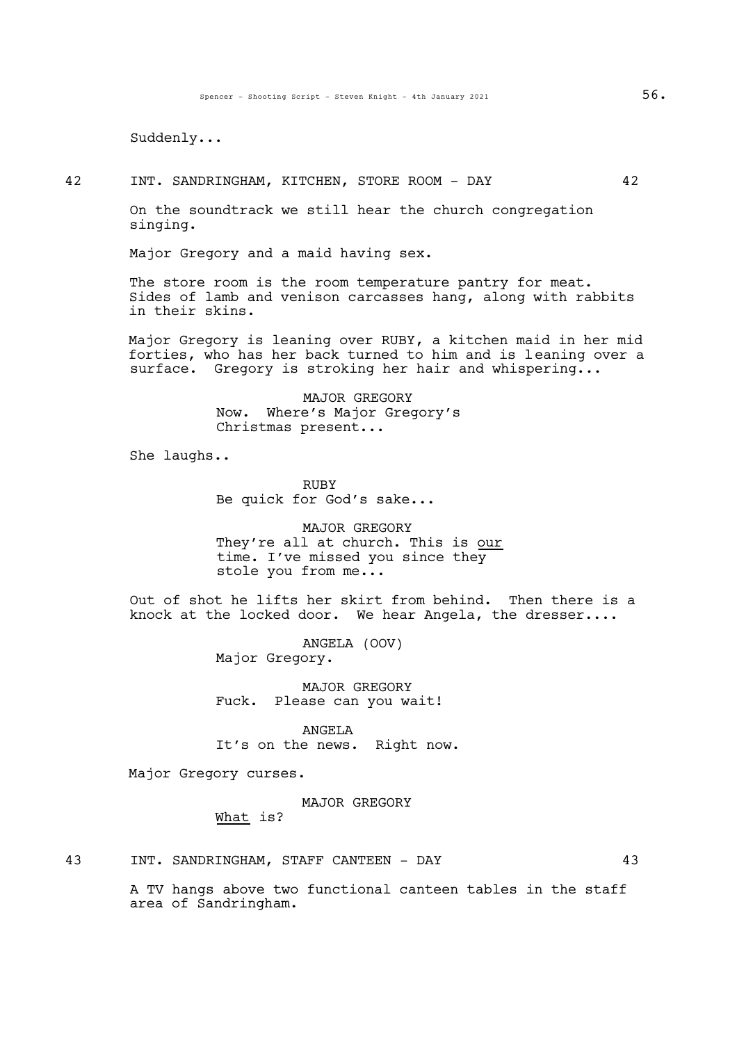Suddenly...

42 INT. SANDRINGHAM, KITCHEN, STORE ROOM - DAY 42

On the soundtrack we still hear the church congregation singing.

Major Gregory and a maid having sex.

The store room is the room temperature pantry for meat. Sides of lamb and venison carcasses hang, along with rabbits in their skins.

Major Gregory is leaning over RUBY, a kitchen maid in her mid forties, who has her back turned to him and is leaning over a surface. Gregory is stroking her hair and whispering...

> MAJOR GREGORY Now. Where's Major Gregory's Christmas present...

She laughs..

RUBY Be quick for God's sake...

MAJOR GREGORY They're all at church. This is our time. I've missed you since they stole you from me...

Out of shot he lifts her skirt from behind. Then there is a knock at the locked door. We hear Angela, the dresser....

> ANGELA (OOV) Major Gregory.

MAJOR GREGORY Fuck. Please can you wait!

ANGELA It's on the news. Right now.

Major Gregory curses.

## MAJOR GREGORY

What is?

A TV hangs above two functional canteen tables in the staff area of Sandringham.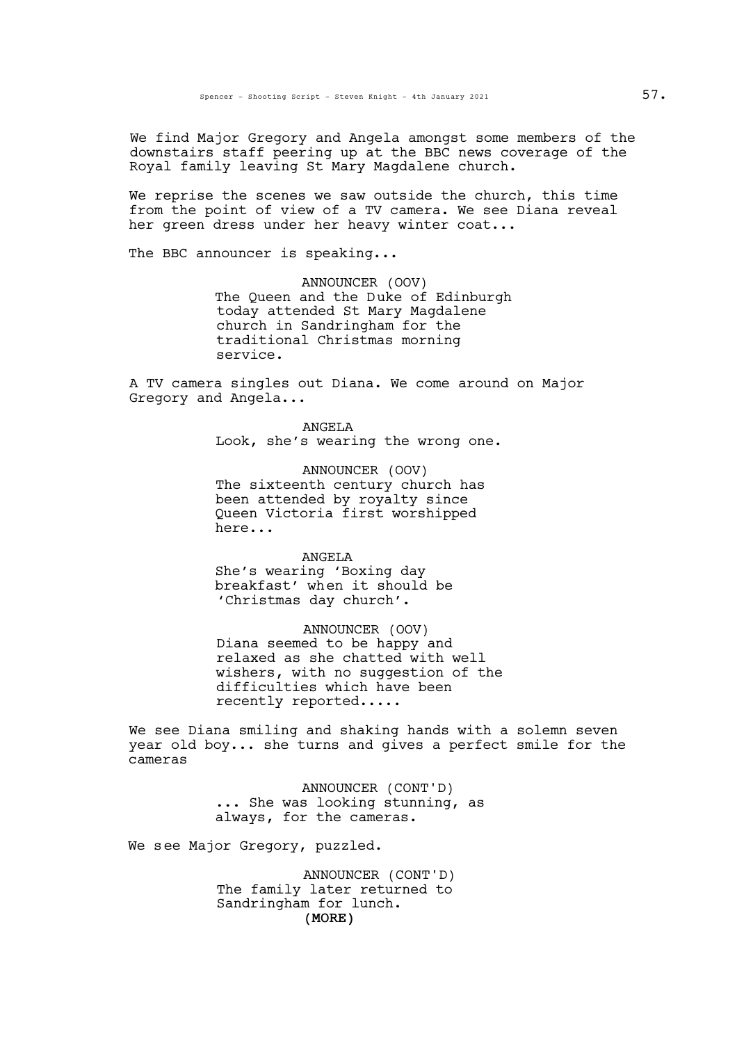We find Major Gregory and Angela amongst some members of the downstairs staff peering up at the BBC news coverage of the Royal family leaving St Mary Magdalene church.

We reprise the scenes we saw outside the church, this time from the point of view of a TV camera. We see Diana reveal her green dress under her heavy winter coat...

The BBC announcer is speaking...

ANNOUNCER (OOV) The Queen and the Duke of Edinburgh today attended St Mary Magdalene church in Sandringham for the traditional Christmas morning service.

A TV camera singles out Diana. We come around on Major Gregory and Angela...

> ANGELA Look, she's wearing the wrong one.

ANNOUNCER (OOV) The sixteenth century church has been attended by royalty since Queen Victoria first worshipped here...

#### **ANGELA**

She's wearing 'Boxing day breakfast' when it should be 'Christmas day church'.

ANNOUNCER (OOV) Diana seemed to be happy and relaxed as she chatted with well wishers, with no suggestion of the difficulties which have been recently reported.....

We see Diana smiling and shaking hands with a solemn seven year old boy... she turns and gives a perfect smile for the cameras

> ANNOUNCER (CONT'D) ... She was looking stunning, as always, for the cameras.

We see Major Gregory, puzzled.

(MORE) ANNOUNCER (CONT'D) The family later returned to Sandringham for lunch.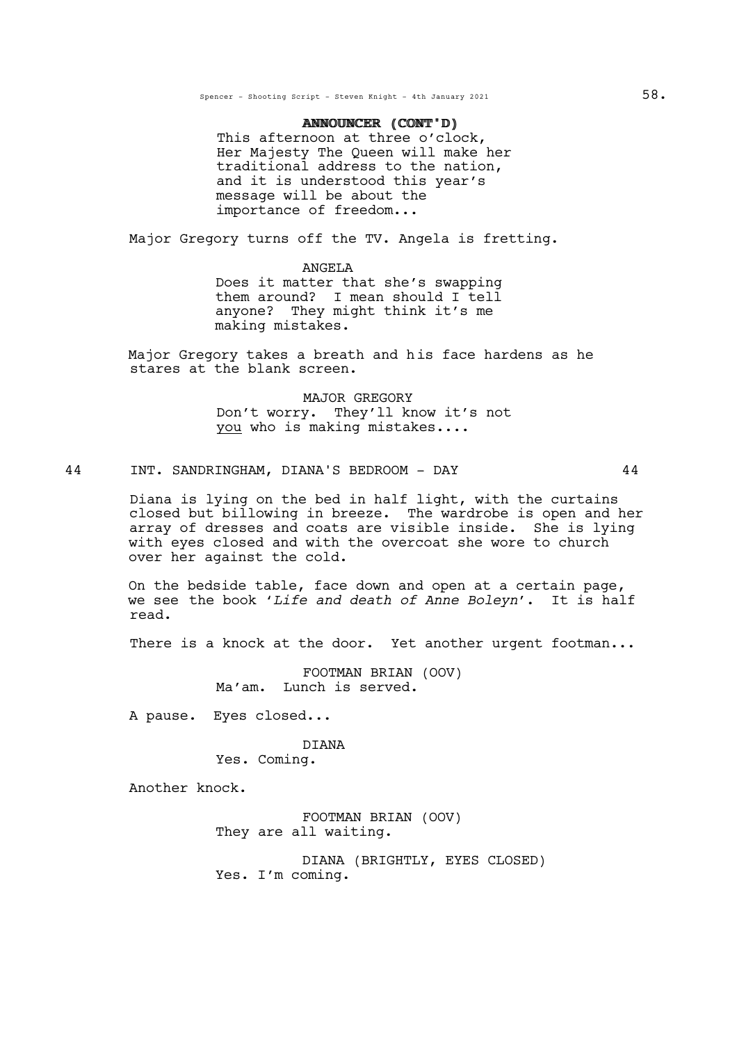# ANNOUNCER (CONT'D) ANNOUNCER (CONT'D)

This afternoon at three o'clock<mark>,</mark><br>Her Majesty The Queen will make her traditional address to the nation, and it is understood this year's message will be about the importance of freedom...

Major Gregory turns off the TV. Angela is fretting.

# ANGELA

Does it matter that she's swapping them around? I mean should I tell anyone? They might think it's me making mistakes.

Major Gregory takes a breath and his face hardens as he stares at the blank screen.

> MAJOR GREGORY Don't worry. They'll know it's not you who is making mistakes....

# 44 INT. SANDRINGHAM, DIANA'S BEDROOM - DAY 44

Diana is lying on the bed in half light, with the curtains closed but billowing in breeze. The wardrobe is open and her array of dresses and coats are visible inside. She is lying with eyes closed and with the overcoat she wore to church over her against the cold.

On the bedside table, face down and open at a certain page, we see the book '*Life and death of Anne Boleyn*'. It is half read.

There is a knock at the door. Yet another urgent footman...

FOOTMAN BRIAN (OOV) Ma'am. Lunch is served.

A pause. Eyes closed...

# DIANA

Yes. Coming.

Another knock.

FOOTMAN BRIAN (OOV) They are all waiting.

DIANA (BRIGHTLY, EYES CLOSED) Yes. I'm coming.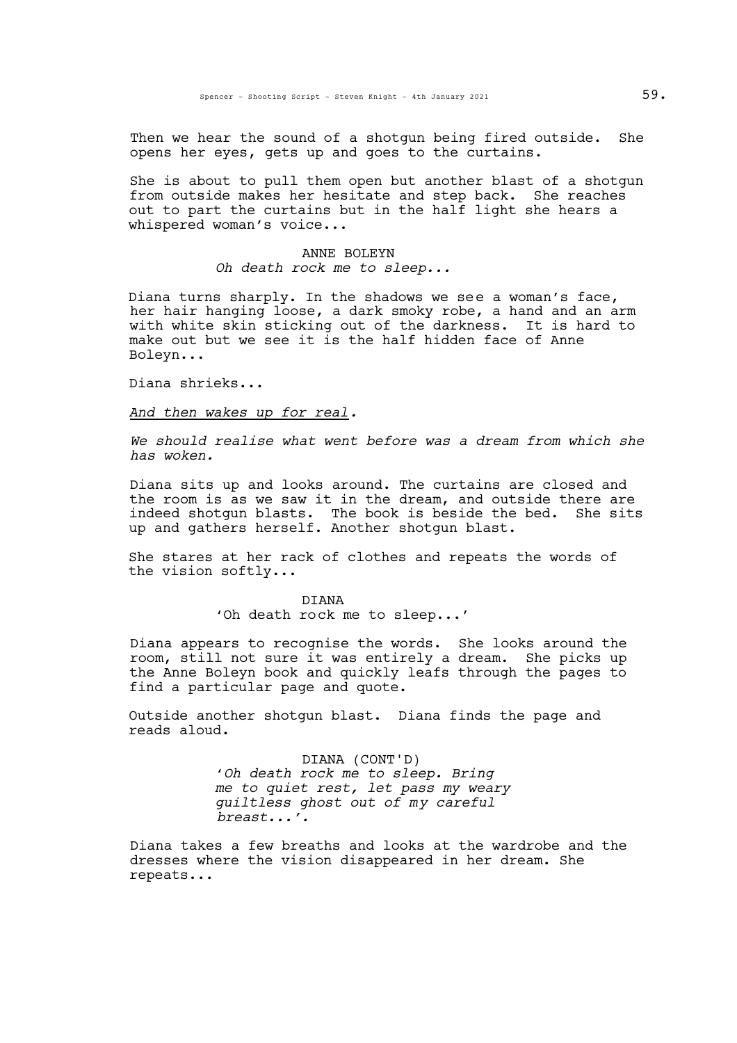Then we hear the sound of a shotgun being fired outside. She opens her eyes, gets up and goes to the curtains.

She is about to pull them open but another blast of a shotgun from outside makes her hesitate and step back. She reaches out to part the curtains but in the half light she hears a whispered woman's voice...

> ANNE BOLEYN *Oh death rock me to sleep...*

Diana turns sharply. In the shadows we see a woman's face,<br>her hair hanging loose, a dark smoky robe, a hand and an arm with white skin sticking out of the darkness. It is hard to make out but we see it is the half hidden face of Anne Boleyn...

Diana shrieks...

*And then wakes up for real.*

*We should realise what went before was a dream from which she has woken.*

Diana sits up and looks around. The curtains are closed and the room is as we saw it in the dream, and outside there are indeed shotgun blasts. The book is beside the bed. She sits up and gathers herself. Another shotgun blast.

She stares at her rack of clothes and repeats the words of the vision softly...

> DIANA 'Oh death rock me to sleep...'

Diana appears to recognise the words. She looks around the room, still not sure it was entirely a dream. She picks up the Anne Boleyn book and quickly leafs through the pages to find a particular page and quote.

Outside another shotgun blast. Diana finds the page and reads aloud.

> DIANA (CONT'D) '*Oh death rock me to sleep. Bring me to quiet rest, let pass my weary guiltless ghost out of my careful breast...'.*

Diana takes a few breaths and looks at the wardrobe and the dresses where the vision disappeared in her dream. She repeats...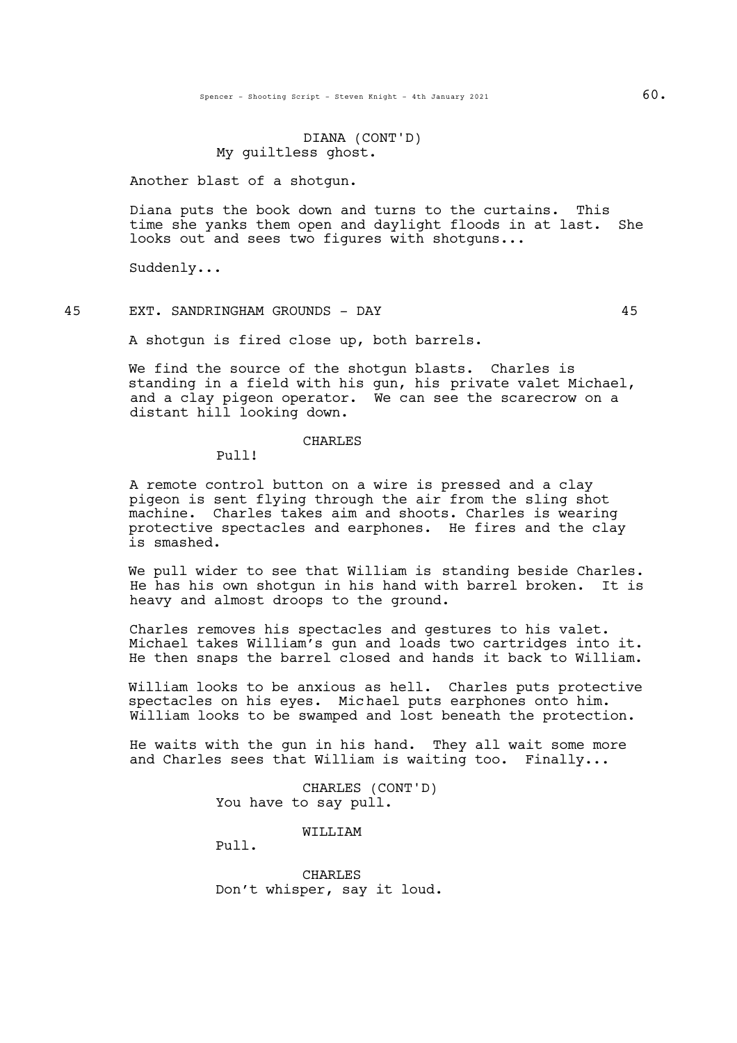Spencer - Shooting Script - Steven Knight - 4th January 2021 60.

DIANA (CONT'D) My guiltless ghost.

Another blast of a shotgun.

Diana puts the book down and turns to the curtains. This time she yanks them open and daylight floods in at last. She looks out and sees two figures with shotguns...

Suddenly...

45 EXT. SANDRINGHAM GROUNDS - DAY 45

A shotgun is fired close up, both barrels.

We find the source of the shotgun blasts. Charles is standing in a field with his gun, his private valet Michael, and a clay pigeon operator. We can see the scarecrow on a distant hill looking down.

#### CHARLES

Pull!

A remote control button on a wire is pressed and a clay pigeon is sent flying through the air from the sling shot machine. Charles takes aim and shoots. Charles is wearing protective spectacles and earphones. He fires and the clay is smashed.

We pull wider to see that William is standing beside Charles.<br>He has his own shotgun in his hand with barrel broken. It is heavy and almost droops to the ground.

Charles removes his spectacles and gestures to his valet. Michael takes William's gun and loads two cartridges into it. He then snaps the barrel closed and hands it back to William.

William looks to be anxious as hell. Charles puts protective spectacles on his eyes. Michael puts earphones onto him. William looks to be swamped and lost beneath the protection.

He waits with the gun in his hand. They all wait some more and Charles sees that William is waiting too. Finally...

> CHARLES (CONT'D) You have to say pull.

> > WILLIAM

Pull.

CHARLES Don't whisper, say it loud.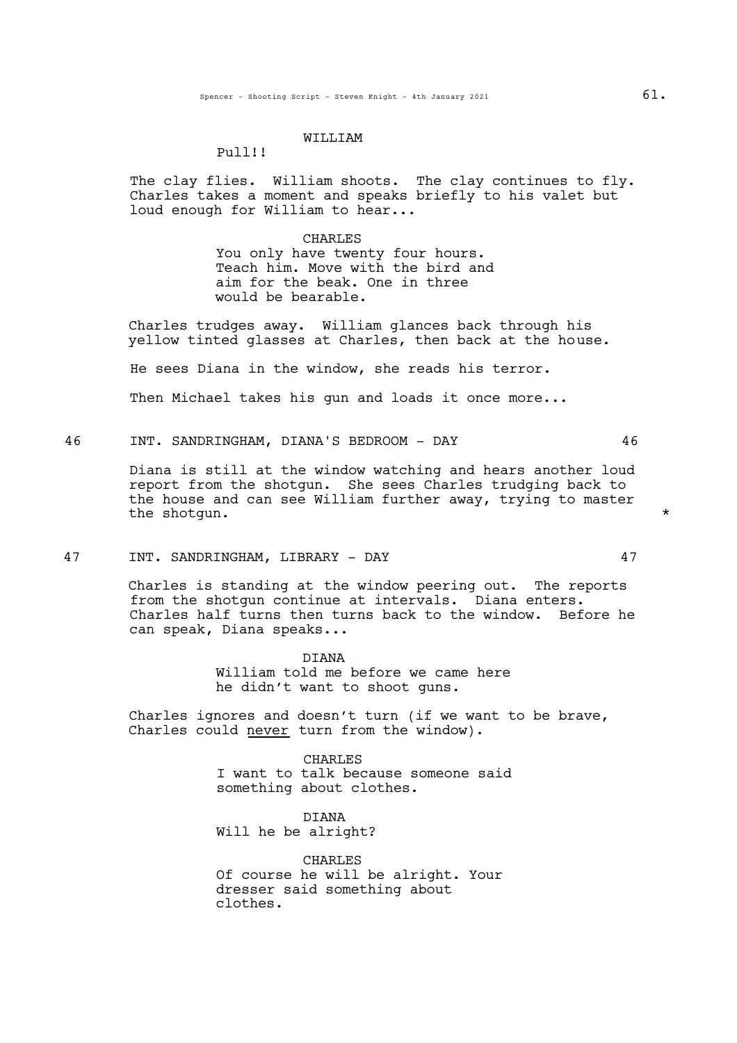#### WILLIAM

#### Pull!!

The clay flies. William shoots. The clay continues to fly.<br>Charles takes a moment and speaks briefly to his valet but loud enough for William to hear...

#### CHARLES

You only have twenty four hours. Teach him. Move with the bird and aim for the beak. One in three would be bearable.

Charles trudges away. William glances back through his yellow tinted glasses at Charles, then back at the house.

He sees Diana in the window, she reads his terror.

Then Michael takes his gun and loads it once more...

46 INT. SANDRINGHAM, DIANA'S BEDROOM - DAY 46

Diana is still at the window watching and hears another loud report from the shotgun. She sees Charles trudging back to the house and can see William further away, trying to master the shotqun.  $\star$ 

## 47 INT. SANDRINGHAM, LIBRARY - DAY 47

Charles is standing at the window peering out. The reports from the shotgun continue at intervals. Diana enters. Charles half turns then turns back to the window. Before he can speak, Diana speaks...

> **DIANA** William told me before we came here he didn't want to shoot guns.

Charles ignores and doesn't turn (if we want to be brave, Charles could never turn from the window).

> CHARLES I want to talk because someone said something about clothes.

DIANA Will he be alright?

CHARLES Of course he will be alright. Your dresser said something about clothes.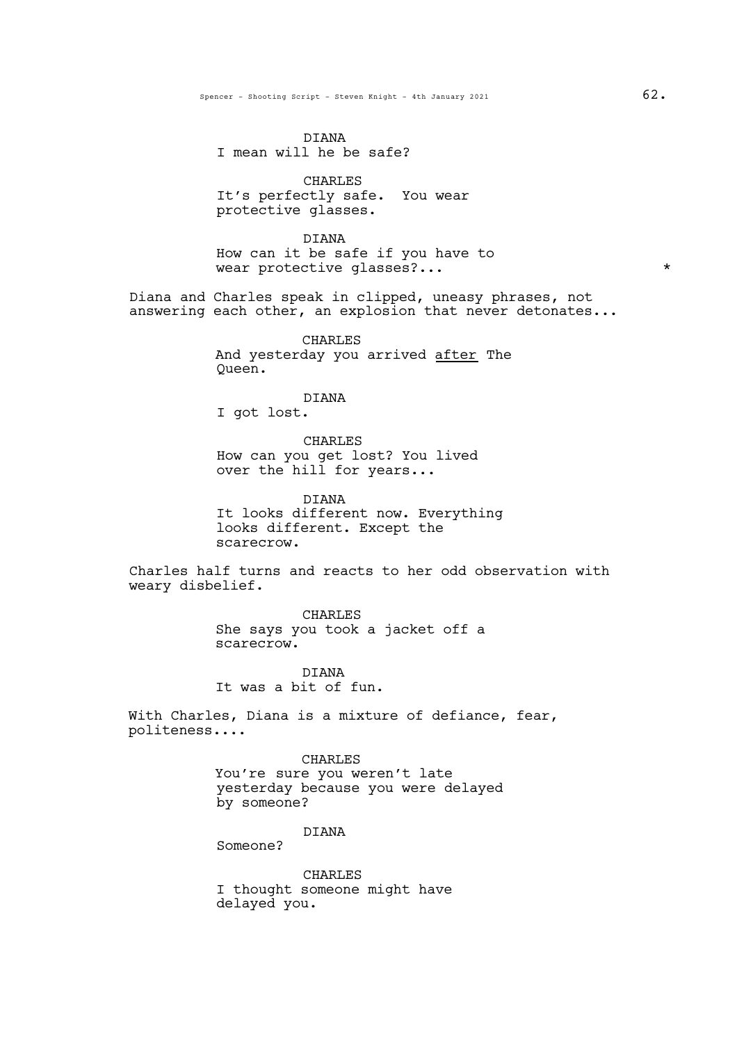DIANA I mean will he be safe?

CHARLES It's perfectly safe. You wear protective glasses.

DIANA How can it be safe if you have to wear protective glasses?... \*

Diana and Charles speak in clipped, uneasy phrases, not answering each other, an explosion that never detonates...

> CHARLES And yesterday you arrived after The Queen.

> > DIANA

I got lost.

CHARLES How can you get lost? You lived over the hill for years...

DIANA It looks different now. Everything looks different. Except the scarecrow.

Charles half turns and reacts to her odd observation with weary disbelief.

> CHARLES She says you took a jacket off a scarecrow.

DIANA It was a bit of fun.

With Charles, Diana is a mixture of defiance, fear, politeness....

## CHARLES

You're sure you weren't late yesterday because you were delayed by someone?

# DIANA

Someone?

CHARLES I thought someone might have delayed you.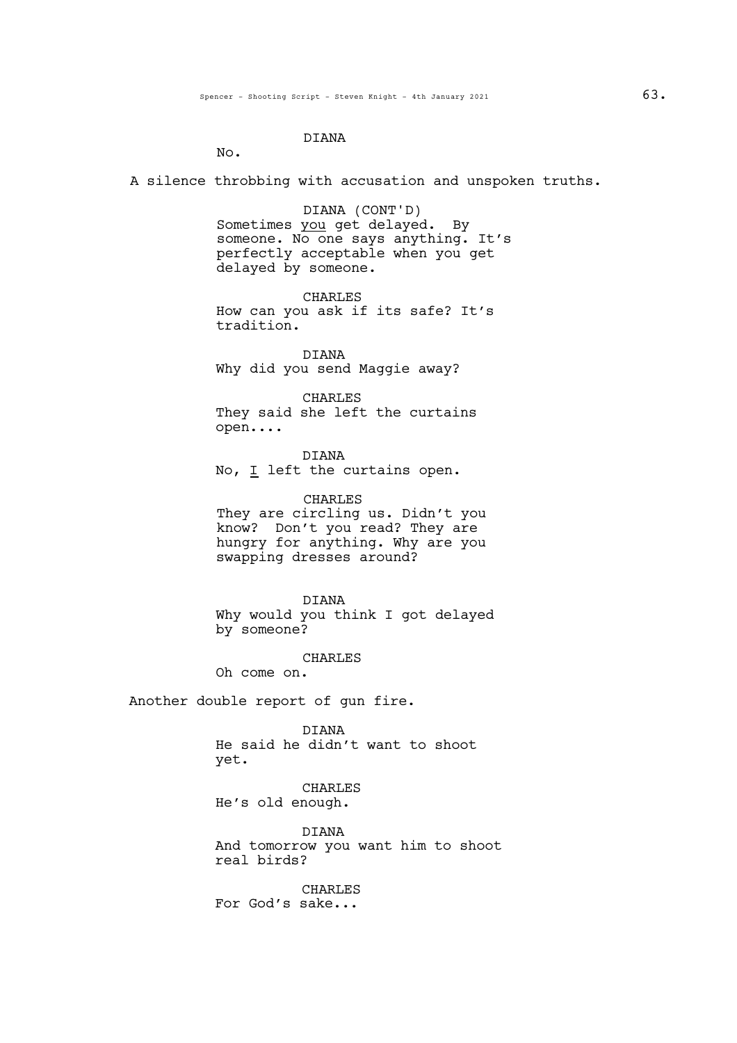# DIANA

No.

A silence throbbing with accusation and unspoken truths.

DIANA (CONT'D) Sometimes you get delayed. By someone. No one says anything. It's perfectly acceptable when you get delayed by someone.

CHARLES How can you ask if its safe? It's tradition.

DIANA Why did you send Maggie away?

CHARLES They said she left the curtains open....

DIANA No, I left the curtains open.

CHARLES They are circling us. Didn't you know? Don't you read? They are hungry for anything. Why are you swapping dresses around?

DIANA Why would you think I got delayed by someone?

CHARLES

Oh come on.

Another double report of gun fire.

DIANA He said he didn't want to shoot yet.

CHARLES He's old enough.

DIANA And tomorrow you want him to shoot real birds?

CHARLES For God's sake...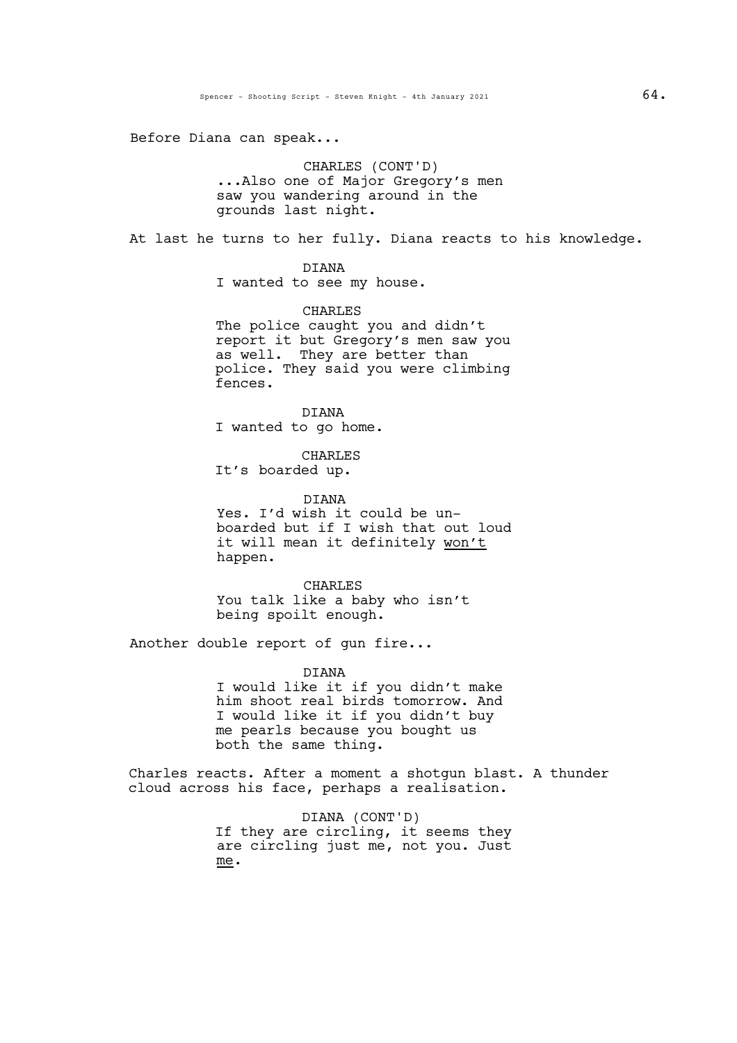Before Diana can speak...

CHARLES (CONT'D) ...Also one of Major Gregory's men saw you wandering around in the grounds last night.

At last he turns to her fully. Diana reacts to his knowledge.

DIANA I wanted to see my house.

CHARLES The police caught you and didn't report it but Gregory's men saw you as well. They are better than police. They said you were climbing fences.

DIANA I wanted to go home.

CHARLES It's boarded up.

DIANA Yes. I'd wish it could be unboarded but if I wish that out loud it will mean it definitely won't happen.

CHARLES You talk like a baby who isn't being spoilt enough.

Another double report of gun fire...

DIANA I would like it if you didn't make him shoot real birds tomorrow. And I would like it if you didn't buy me pearls because you bought us both the same thing.

Charles reacts. After a moment a shotgun blast. A thunder cloud across his face, perhaps a realisation.

> DIANA (CONT'D) If they are circling, it seems they are circling just me, not you. Just me.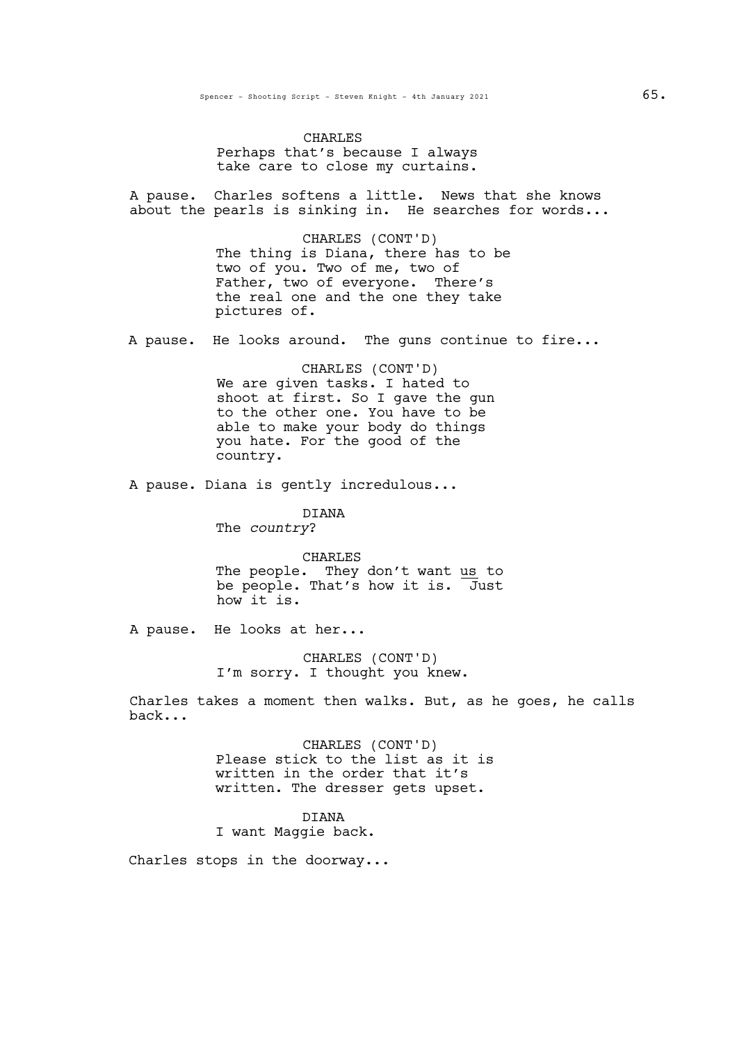CHARLES Perhaps that's because I always take care to close my curtains.

A pause. Charles softens a little. News that she knows about the pearls is sinking in. He searches for words...

> CHARLES (CONT'D) The thing is Diana, there has to be two of you. Two of me, two of Father, two of everyone. There's the real one and the one they take pictures of.

A pause. He looks around. The guns continue to fire...

CHARLES (CONT'D) We are given tasks. I hated to shoot at first. So I gave the gun to the other one. You have to be able to make your body do things you hate. For the good of the country.

A pause. Diana is gently incredulous...

DIANA The *country*?

CHARLES The people. They don't want us to be people. That's how it is. Just

how it is.

A pause. He looks at her...

CHARLES (CONT'D) I'm sorry. I thought you knew.

Charles takes a moment then walks. But, as he goes, he calls back...

> CHARLES (CONT'D) Please stick to the list as it is written in the order that it's written. The dresser gets upset.

DIANA I want Maggie back.

Charles stops in the doorway...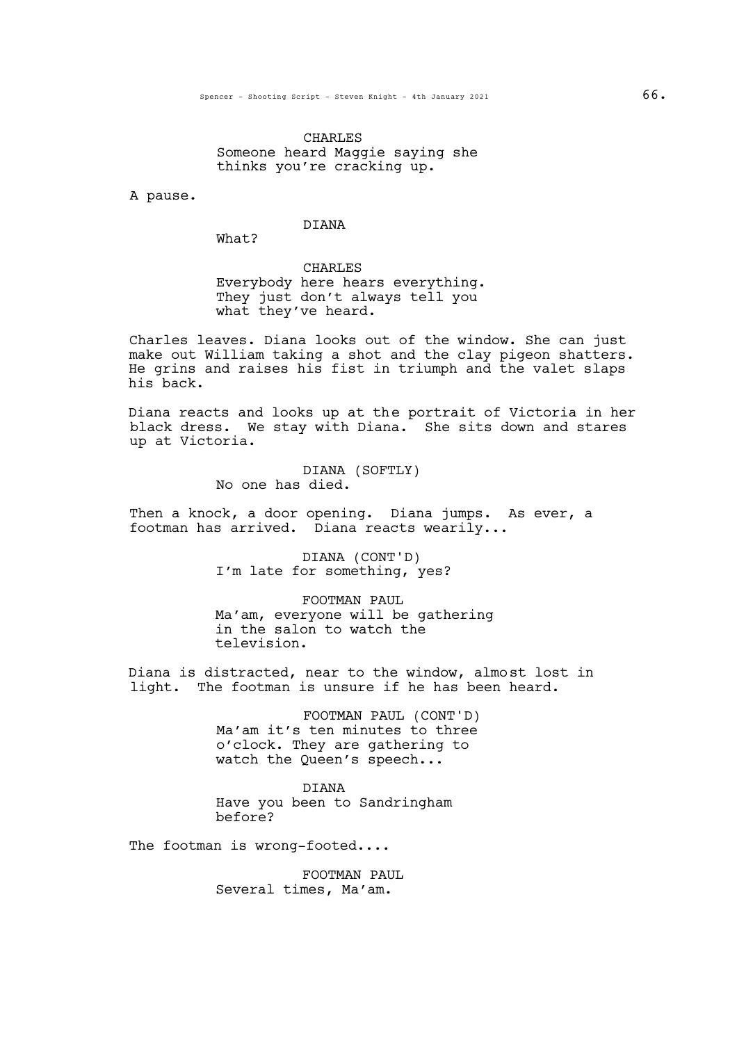CHARLES Someone heard Maggie saying she thinks you're cracking up.

A pause.

# **DIANA**

What?

CHARLES Everybody here hears everything. They just don't always tell you what they've heard.

Charles leaves. Diana looks out of the window. She can just make out William taking a shot and the clay pigeon shatters. He grins and raises his fist in triumph and the valet slaps his back.

Diana reacts and looks up at the portrait of Victoria in her black dress. We stay with Diana. She sits down and stares up at Victoria.

> DIANA (SOFTLY) No one has died.

Then a knock, a door opening. Diana jumps. As ever, a footman has arrived. Diana reacts wearily...

> DIANA (CONT'D) I'm late for something, yes?

FOOTMAN PAUL Ma'am, everyone will be gathering in the salon to watch the television.

Diana is distracted, near to the window, almost lost in light. The footman is unsure if he has been heard.

> FOOTMAN PAUL (CONT'D) Ma'am it's ten minutes to three o'clock. They are gathering to watch the Queen's speech...

DIANA Have you been to Sandringham before?

The footman is wrong-footed....

FOOTMAN PAUL Several times, Ma'am.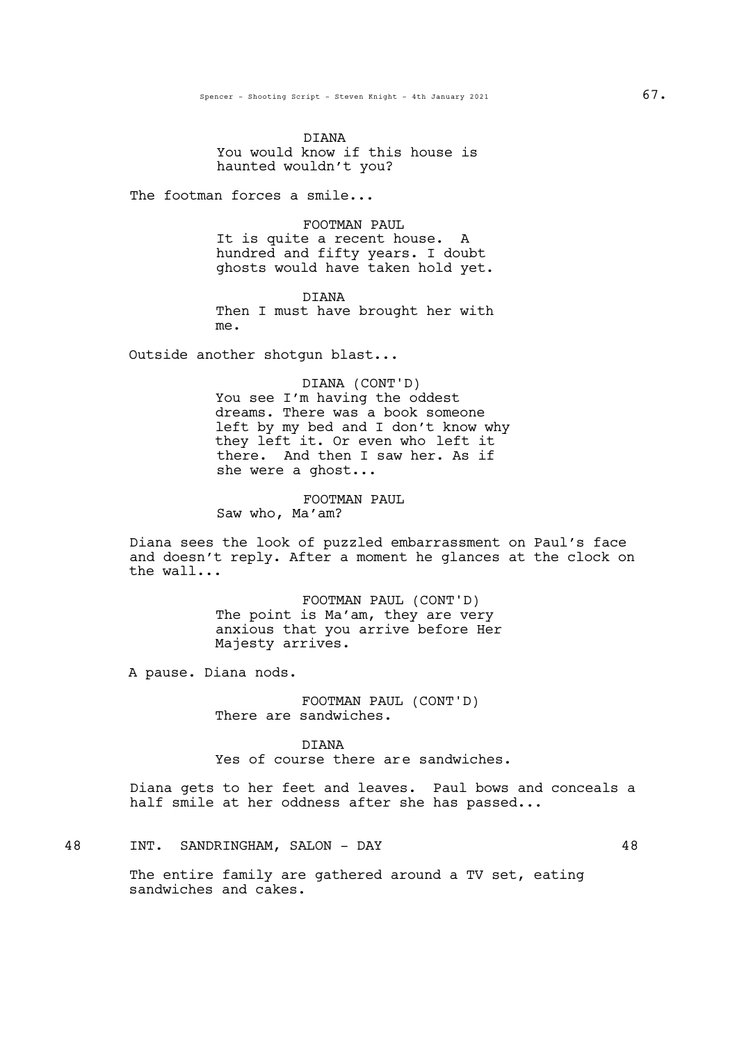DIANA You would know if this house is haunted wouldn't you?

The footman forces a smile...

# FOOTMAN PAUL

It is quite a recent house. A hundred and fifty years. I doubt ghosts would have taken hold yet.

DIANA Then I must have brought her with me.

Outside another shotgun blast...

DIANA (CONT'D) You see I'm having the oddest dreams. There was a book someone left by my bed and I don't know why they left it. Or even who left it there. And then I saw her. As if she were a ghost...

FOOTMAN PAUL Saw who, Ma'am?

Diana sees the look of puzzled embarrassment on Paul's face and doesn't reply. After a moment he glances at the clock on the wall...

> FOOTMAN PAUL (CONT'D) The point is Ma'am, they are very anxious that you arrive before Her Majesty arrives.

A pause. Diana nods.

FOOTMAN PAUL (CONT'D) There are sandwiches.

DIANA Yes of course there are sandwiches.

Diana gets to her feet and leaves. Paul bows and conceals a half smile at her oddness after she has passed...

48 INT. SANDRINGHAM, SALON - DAY 48

The entire family are gathered around a TV set, eating sandwiches and cakes.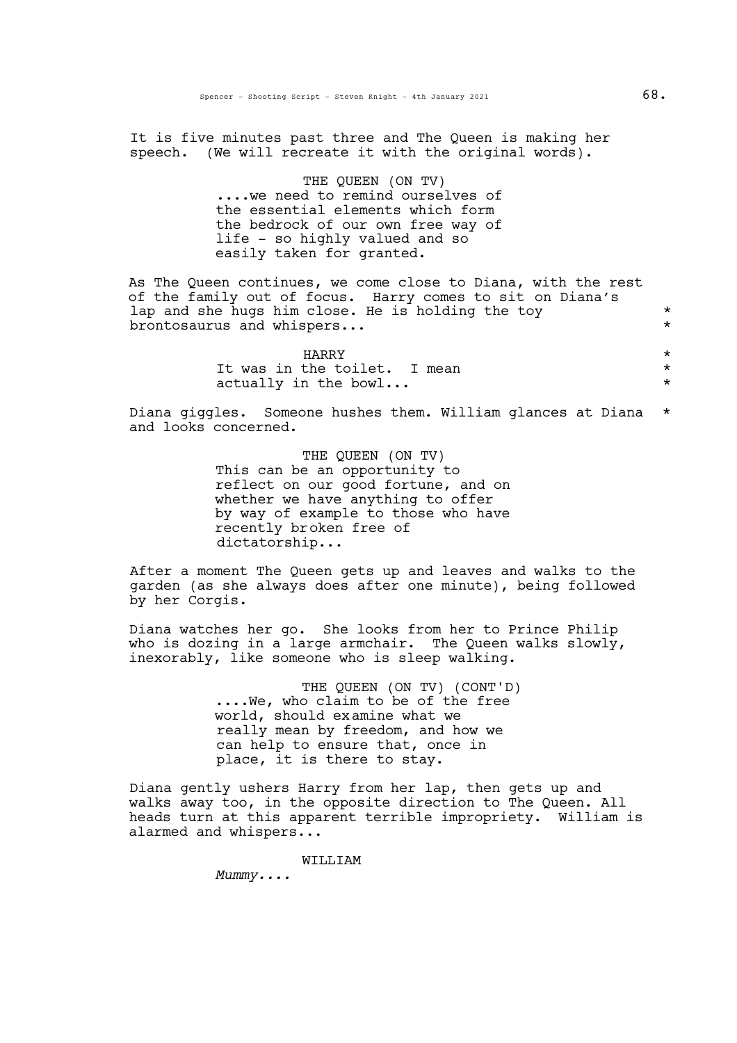It is five minutes past three and The Queen is making her speech. (We will recreate it with the original words).

> THE QUEEN (ON TV)<br>....we need to remind ourselves of the essential elements which form the bedrock of our own free way of life - so highly valued and so easily taken for granted.

As The Queen continues, we come close to Diana, with the rest of the family out of focus. Harry comes to sit on Diana's lap and she hugs him close. He is holding the toy  $*$ <br>brontosaurus and whispers brontosaurus and whispers...

| <b>HARRY</b>                 |  |
|------------------------------|--|
| It was in the toilet. I mean |  |
| actually in the bowl         |  |

Diana giggles. Someone hushes them. William glances at Diana \* and looks concerned.

> THE QUEEN (ON TV) This can be an opportunity to reflect on our good fortune, and on whether we have anything to offer by way of example to those who have recently broken free of dictatorship...

After a moment The Queen gets up and leaves and walks to the garden (as she always does after one minute), being followed by her Corgis.

Diana watches her go. She looks from her to Prince Philip who is dozing in a large armchair. The Queen walks slowly, inexorably, like someone who is sleep walking.

> THE QUEEN (ON TV) (CONT'D)<br>....We, who claim to be of the free world, should examine what we really mean by freedom, and how we can help to ensure that, once in place, it is there to stay.

Diana gently ushers Harry from her lap, then gets up and walks away too, in the opposite direction to The Queen. All heads turn at this apparent terrible impropriety. William is alarmed and whispers...

WILLIAM

*Mummy....*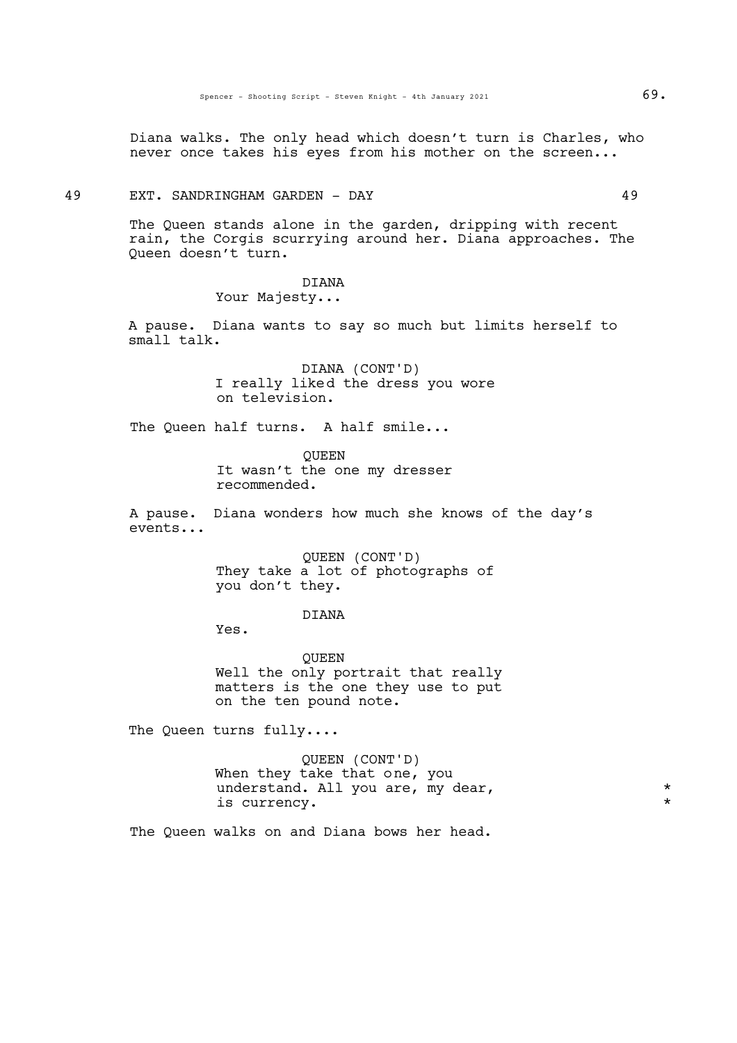Diana walks. The only head which doesn't turn is Charles, who never once takes his eyes from his mother on the screen...

#### 49 EXT. SANDRINGHAM GARDEN - DAY 49

The Queen stands alone in the garden, dripping with recent rain, the Corgis scurrying around her. Diana approaches. The Queen doesn't turn.

> DIANA Your Majesty...

A pause. Diana wants to say so much but limits herself to small talk.

> DIANA (CONT'D) I really liked the dress you wore on television.

The Queen half turns. A half smile...

QUEEN It wasn't the one my dresser recommended.

A pause. Diana wonders how much she knows of the day's events...

> QUEEN (CONT'D) They take a lot of photographs of you don't they.

## DIANA

Yes.

QUEEN Well the only portrait that really matters is the one they use to put on the ten pound note.

The Queen turns fully....

QUEEN (CONT'D) When they take that one, you understand. All you are, my dear,  $*$ is currency. \*

The Queen walks on and Diana bows her head.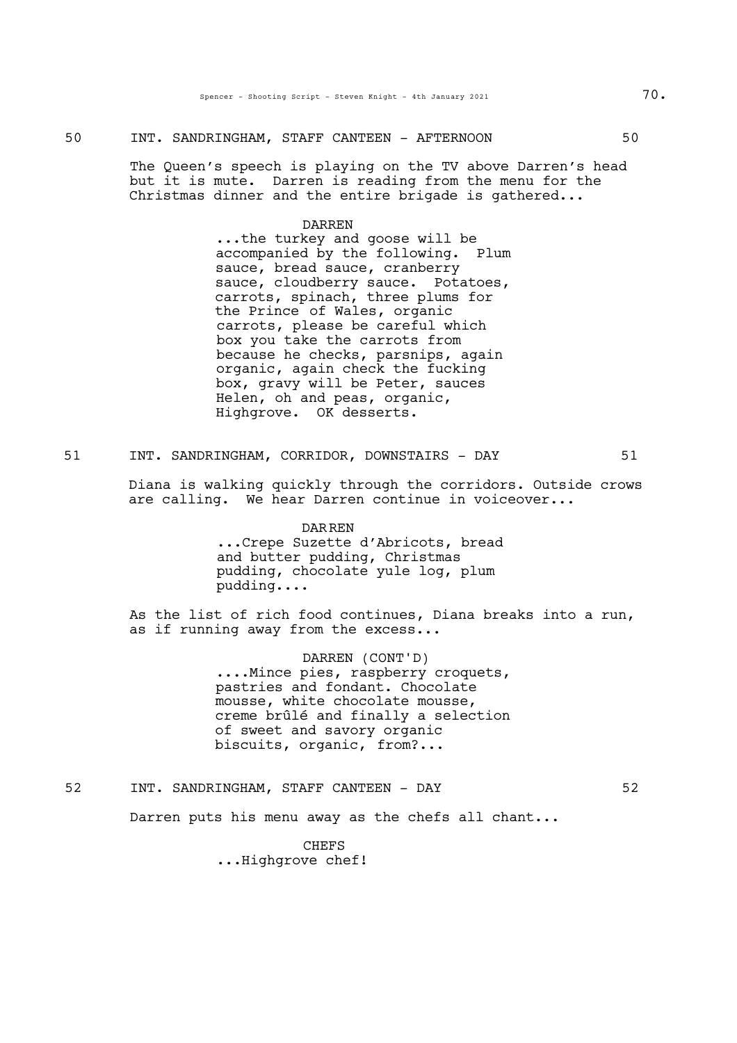# 50 INT. SANDRINGHAM, STAFF CANTEEN - AFTERNOON 50

The Queen's speech is playing on the TV above Darren's head but it is mute. Darren is reading from the menu for the Christmas dinner and the entire brigade is gathered...

DARREN<br>...the turkey and goose will be accompanied by the following. Plum sauce, bread sauce, cranberry sauce, cloudberry sauce. Potatoes, carrots, spinach, three plums for the Prince of Wales, organic carrots, please be careful which box you take the carrots from because he checks, parsnips, again organic, again check the fucking box, gravy will be Peter, sauces Helen, oh and peas, organic, Highgrove. OK desserts.

51 INT. SANDRINGHAM, CORRIDOR, DOWNSTAIRS - DAY 51

Diana is walking quickly through the corridors. Outside crows are calling. We hear Darren continue in voiceover...

#### DARREN

...Crepe Suzette d'Abricots, bread and butter pudding, Christmas pudding, chocolate yule log, plum pudding....

As the list of rich food continues, Diana breaks into a run, as if running away from the excess...

> DARREN (CONT'D)<br>....Mince pies, raspberry croquets, pastries and fondant. Chocolate mousse, white chocolate mousse, creme brûlé and finally a selection of sweet and savory organic biscuits, organic, from?...

52 INT. SANDRINGHAM, STAFF CANTEEN - DAY 52

Darren puts his menu away as the chefs all chant...

**CHEFS** ...Highgrove chef!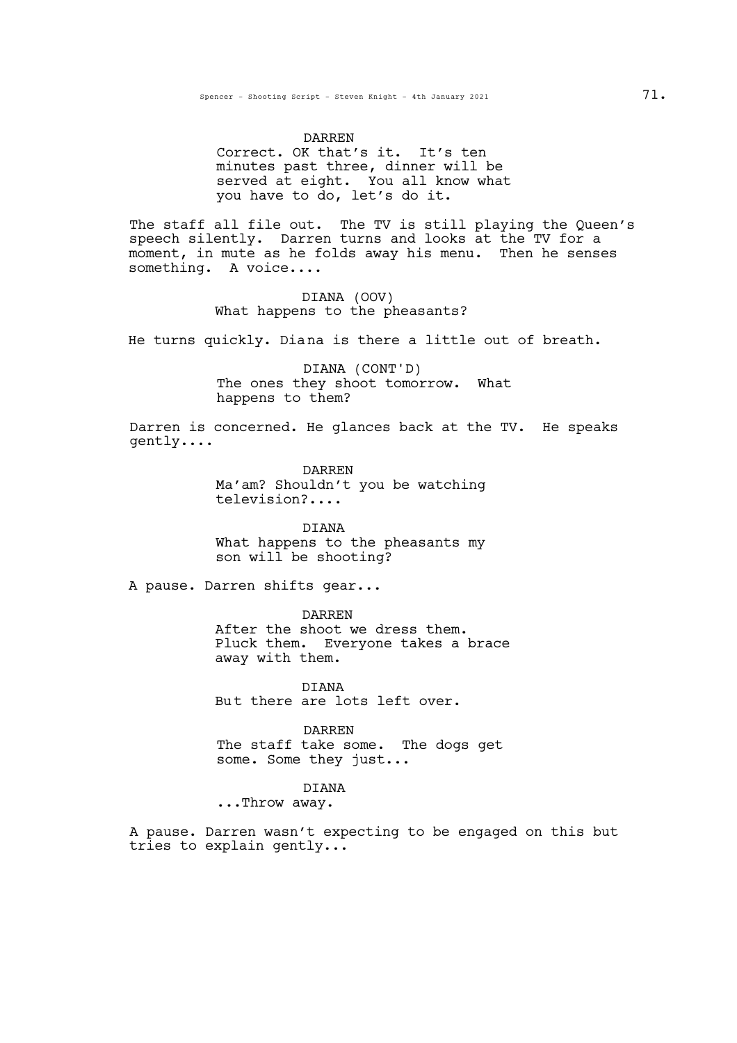#### DARREN

Correct. OK that's it. It's ten minutes past three, dinner will be served at eight. You all know what you have to do, let's do it.

The staff all file out. The TV is still playing the Queen's speech silently. Darren turns and looks at the TV for a moment, in mute as he folds away his menu. Then he senses something. A voice....

> DIANA (OOV) What happens to the pheasants?

He turns quickly. Diana is there a little out of breath.

DIANA (CONT'D) The ones they shoot tomorrow. What happens to them?

Darren is concerned. He glances back at the TV. He speaks gently....

> DARREN Ma'am? Shouldn't you be watching television?....

DIANA What happens to the pheasants my son will be shooting?

A pause. Darren shifts gear...

DARREN After the shoot we dress them. Pluck them. Everyone takes <sup>a</sup> brace away with them.

DIANA But there are lots left over.

DARREN The staff take some. The dogs get some. Some they just...

DIANA

...Throw away.

A pause. Darren wasn't expecting to be engaged on this but tries to explain gently...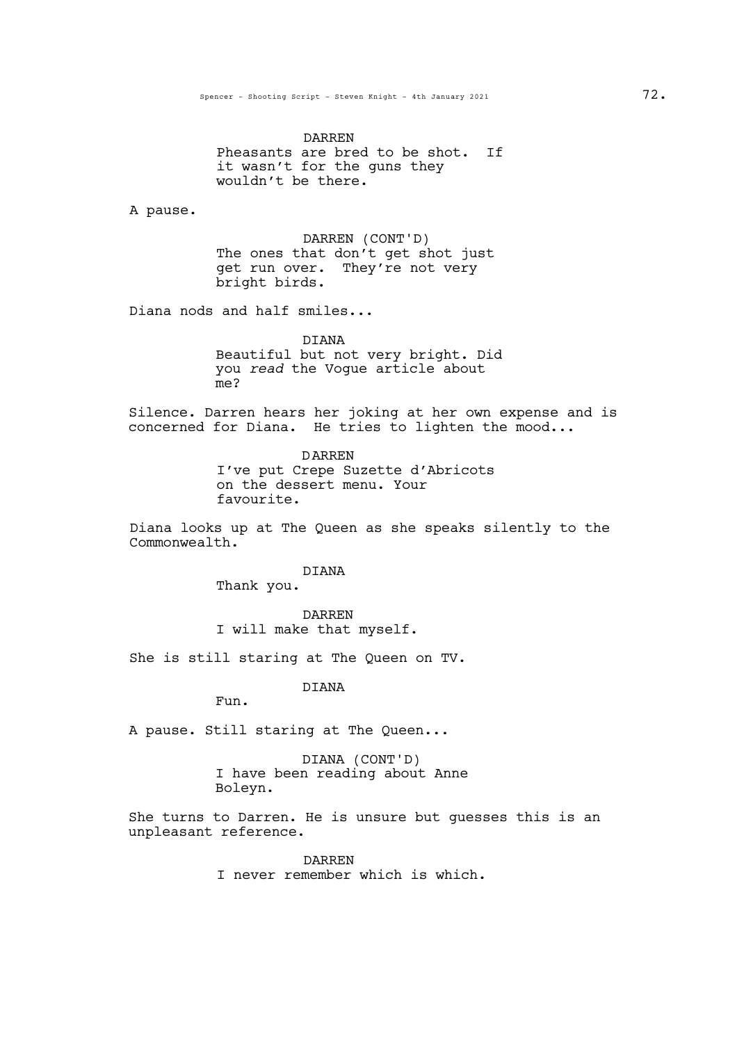DARREN Pheasants are bred to be shot. If it wasn't for the guns they wouldn't be there.

A pause.

DARREN (CONT'D) The ones that don't get shot just get run over. They're not very bright birds.

Diana nods and half smiles...

DIANA Beautiful but not very bright. Did you *read* the Vogue article about me?

Silence. Darren hears her joking at her own expense and is concerned for Diana. He tries to lighten the mood...

> DARREN I've put Crepe Suzette d'Abricots on the dessert menu. Your favourite.

Diana looks up at The Queen as she speaks silently to the Commonwealth.

DIANA

Thank you.

DARREN I will make that myself.

She is still staring at The Queen on TV.

DIANA

Fun.

A pause. Still staring at The Queen...

DIANA (CONT'D) I have been reading about Anne Boleyn.

She turns to Darren. He is unsure but guesses this is an unpleasant reference.

> DARREN I never remember which is which.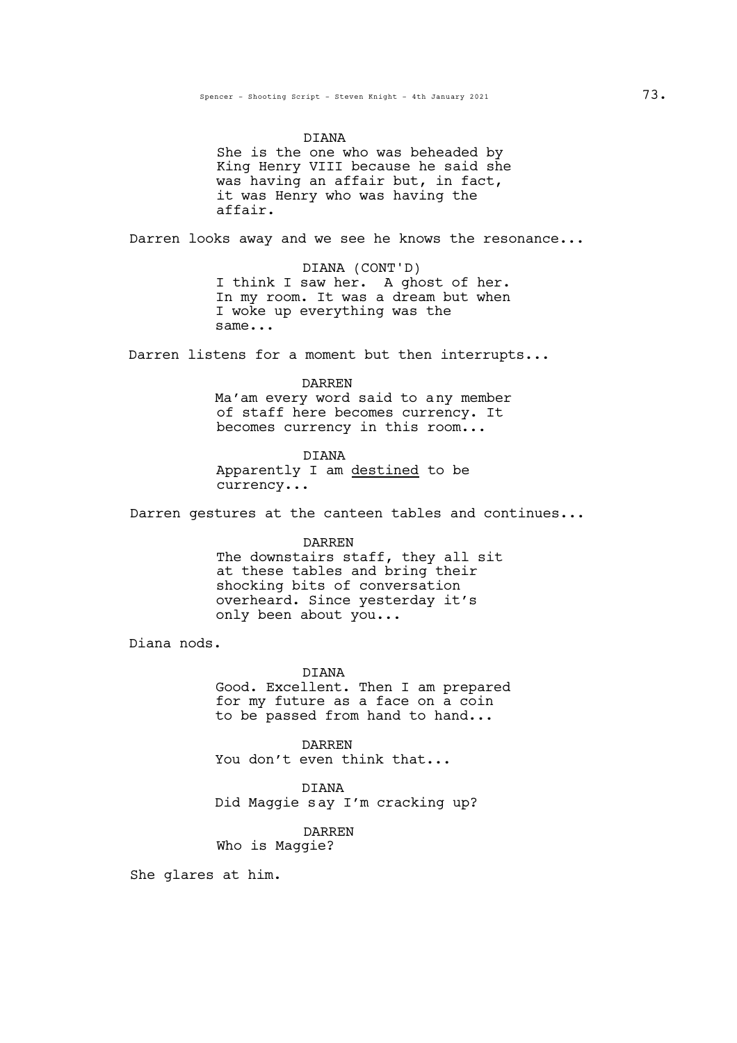DIANA

She is the one who was beheaded by King Henry VIII because he said she was having an affair but, in fact,<br>it was Henry who was having the affair.

Darren looks away and we see he knows the resonance...

DIANA (CONT'D) I think I saw her. A ghost of her. In my room. It was a dream but when I woke up everything was the same...

Darren listens for a moment but then interrupts...

DARREN

Ma'am every word said to any member of staff here becomes currency. It becomes currency in this room...

DIANA

Apparently I am destined to be currency...

Darren gestures at the canteen tables and continues...

DARREN The downstairs staff, they all sit at these tables and bring their shocking bits of conversation overheard. Since yesterday it's only been about you...

Diana nods.

DIANA

Good. Excellent. Then I am prepared for my future as a face on a coin to be passed from hand to hand...

DARREN You don't even think that...

DIANA Did Maggie say I'm cracking up?

DARREN Who is Maggie?

She glares at him.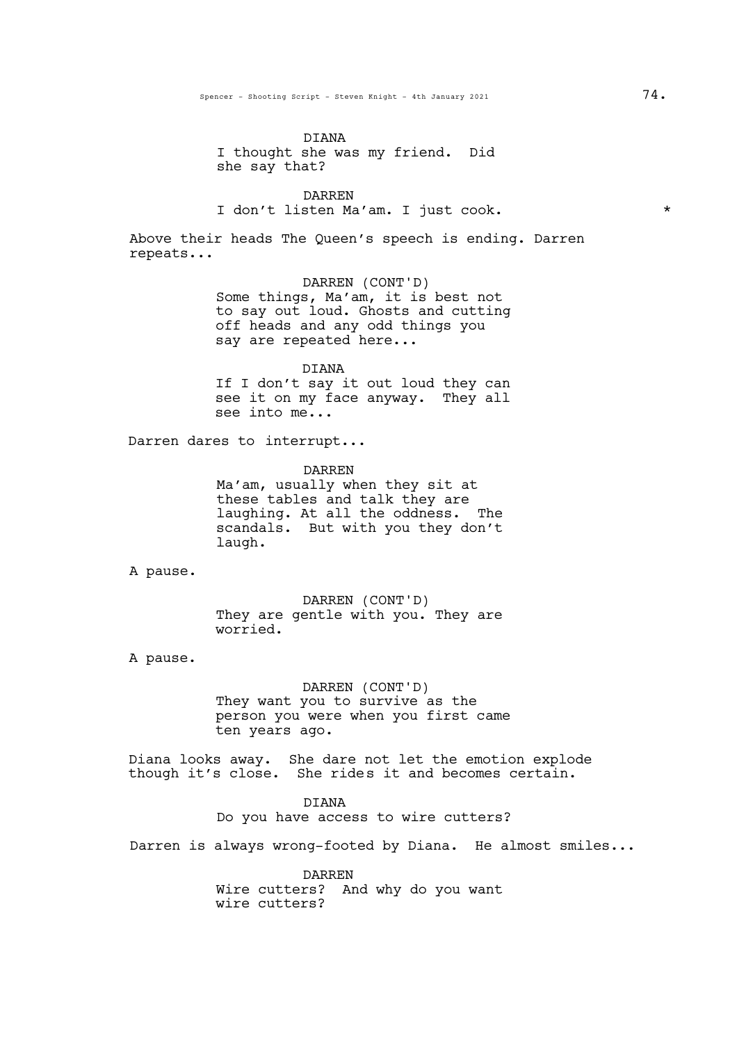# DIANA I thought she was my friend. Did she say that?

DARREN I don't listen Ma'am. I just cook. \*

Above their heads The Queen's speech is ending. Darren repeats...

> DARREN (CONT'D) Some things, Ma'am, it is best not to say out loud. Ghosts and cutting off heads and any odd things you say are repeated here...

> DIANA If I don't say it out loud they can see it on my face anyway. They all see into me...

Darren dares to interrupt...

DARREN Ma'am, usually when they sit at these tables and talk they are laughing. At all the oddness. The scandals. But with you they don't laugh.

A pause.

DARREN (CONT'D) They are gentle with you. They are worried.

A pause.

DARREN (CONT'D) They want you to survive as the person you were when you first came ten years ago.

Diana looks away. She dare not let the emotion explode though it's close. She rides it and becomes certain.

> DIANA Do you have access to wire cutters?

Darren is always wrong-footed by Diana. He almost smiles...

DARREN Wire cutters? And why do you want wire cutters?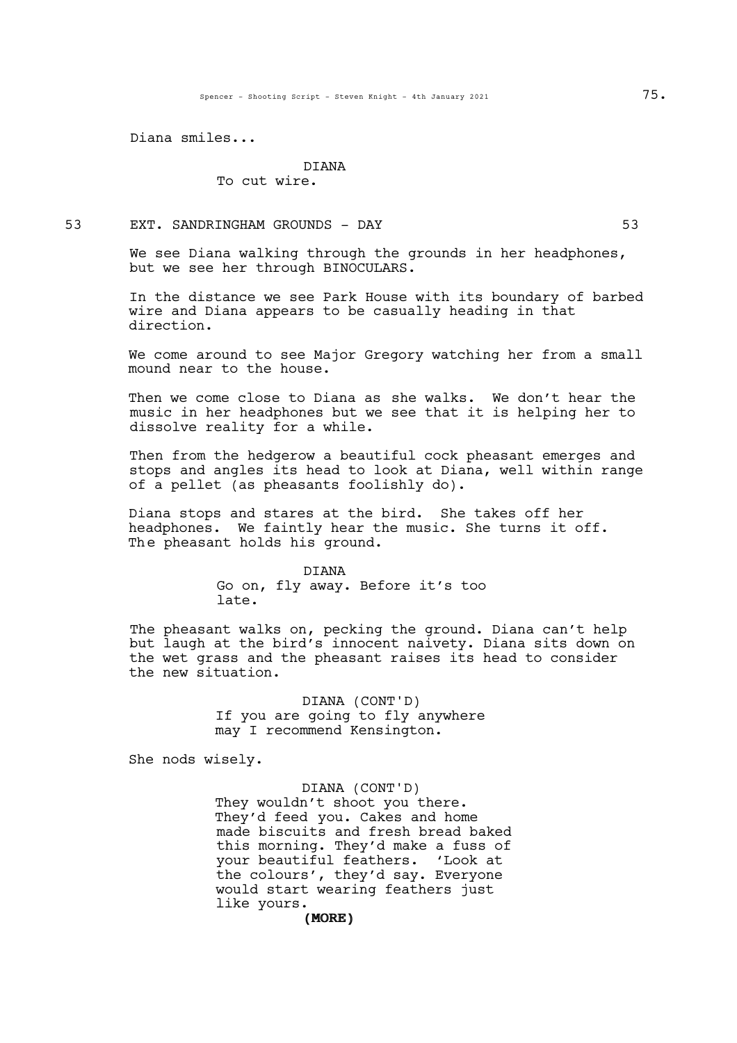Diana smiles...

#### DIANA

To cut wire.

53 EXT. SANDRINGHAM GROUNDS - DAY 63

We see Diana walking through the grounds in her headphones, but we see her through BINOCULARS.

In the distance we see Park House with its boundary of barbed wire and Diana appears to be casually heading in that direction.

We come around to see Major Gregory watching her from a small mound near to the house.

Then we come close to Diana as she walks. We don't hear the music in her headphones but we see that it is helping her to dissolve reality for a while.

Then from the hedgerow a beautiful cock pheasant emerges and stops and angles its head to look at Diana, well within range of a pellet (as pheasants foolishly do).

Diana stops and stares at the bird. She takes off her headphones. We faintly hear the music. She turns it off. The pheasant holds his ground.

> DIANA Go on, fly away. Before it's too late.

The pheasant walks on, pecking the ground. Diana can't help but laugh at the bird's innocent naivety. Diana sits down on the wet grass and the pheasant raises its head to consider the new situation.

> DIANA (CONT'D) If you are going to fly anywhere may I recommend Kensington.

She nods wisely.

#### DIANA (CONT'D)

(MORE) (MORE) They wouldn't shoot you there. They'd feed you. Cakes and home made biscuits and fresh bread baked this morning. They'd make a fuss of your beautiful feathers. 'Look at the colours', they'd say. Everyone would start wearing feathers just like yours.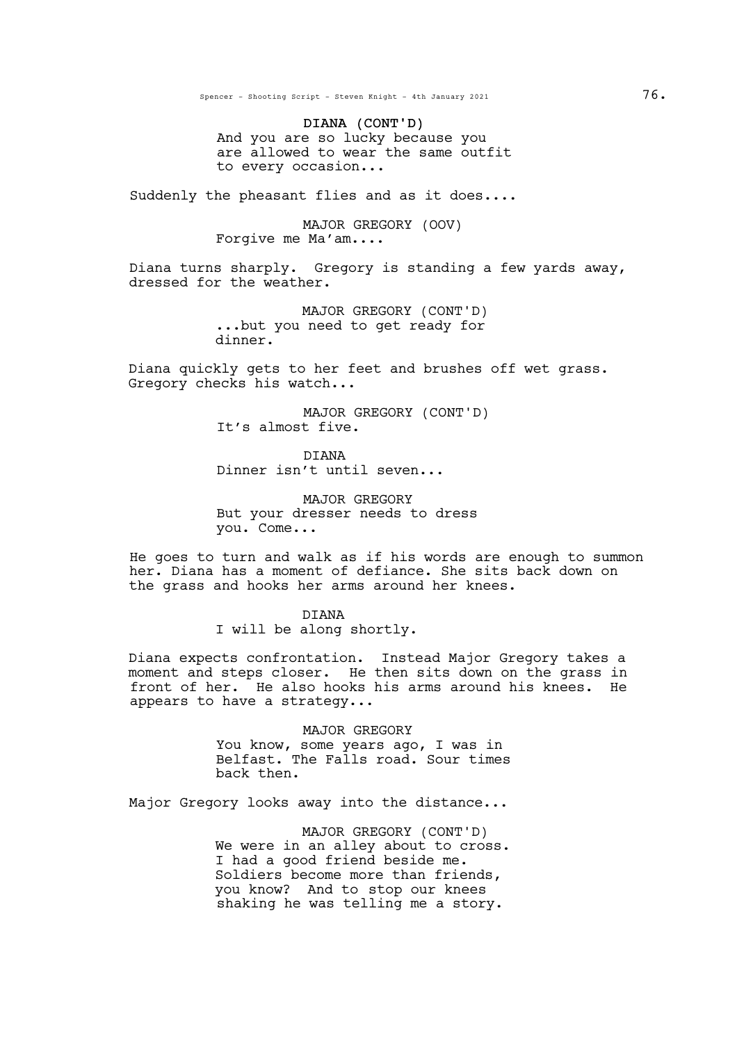Spencer - Shooting Script - Steven Knight - 4th January 2021 76.

DIANA (CONT'D) And you are so lucky because you are allowed to wear the same outfit to every occasion...

Suddenly the pheasant flies and as it does....

MAJOR GREGORY (OOV) Forgive me Ma'am....

Diana turns sharply. Gregory is standing <sup>a</sup> few yards away, dressed for the weather.

MAJOR GREGORY (CONT'D) ...but you need to get ready for dinner.

Diana quickly gets to her feet and brushes off wet grass. Gregory checks his watch...

> MAJOR GREGORY (CONT'D) It's almost five.

DIANA Dinner isn't until seven...

MAJOR GREGORY But your dresser needs to dress you. Come...

He goes to turn and walk as if his words are enough to summon her. Diana has a moment of defiance. She sits back down on the grass and hooks her arms around her knees.

> DIANA I will be along shortly.

Diana expects confrontation. Instead Major Gregory takes a moment and steps closer. He then sits down on the grass in front of her. He also hooks his arms around his knees. He appears to have a strategy...

> MAJOR GREGORY You know, some years ago, I was in Belfast. The Falls road. Sour times back then.

Major Gregory looks away into the distance...

MAJOR GREGORY (CONT'D) We were in an alley about to cross. I had a good friend beside me. Soldiers become more than friends, you know? And to stop our knees shaking he was telling me a story.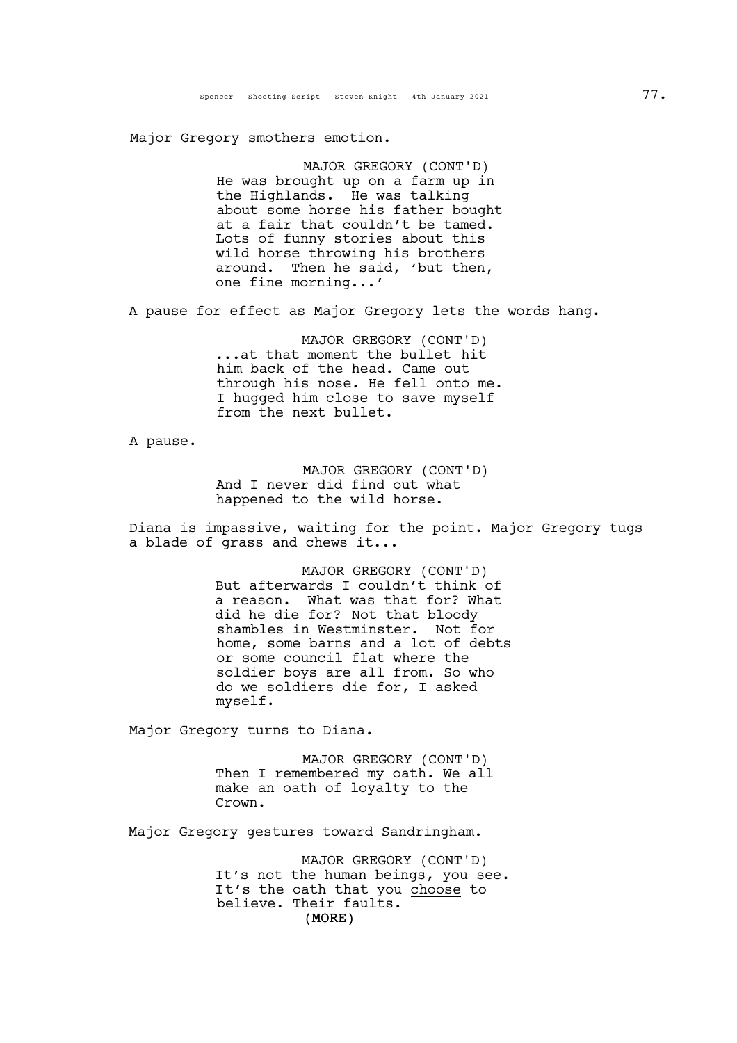Major Gregory smothers emotion.

MAJOR GREGORY (CONT'D) He was brought up on a farm up in the Highlands. He was talking about some horse his father bought at <sup>a</sup> fair that couldn't be tamed. Lots of funny stories about this wild horse throwing his brothers around. Then he said, 'but then,<br>one fine morning...'

A pause for effect as Major Gregory lets the words hang.

MAJOR GREGORY (CONT'D) ...at that moment the bullet hit him back of the head. Came out through his nose. He fell onto me. I hugged him close to save myself from the next bullet.

A pause.

MAJOR GREGORY (CONT'D) And I never did find out what happened to the wild horse.

Diana is impassive, waiting for the point. Major Gregory tugs a blade of grass and chews it...

> MAJOR GREGORY (CONT'D) But afterwards I couldn't think of a reason. What was that for? What did he die for? Not that bloody shambles in Westminster. Not for home, some barns and a lot of debts or some council flat where the soldier boys are all from. So who do we soldiers die for, I asked myself.

Major Gregory turns to Diana.

MAJOR GREGORY (CONT'D) Then I remembered my oath. We all make an oath of loyalty to the Crown.

Major Gregory gestures toward Sandringham.

(MORE) MAJOR GREGORY (CONT'D) It's not the human beings, you see. It's the oath that you choose to believe. Their faults.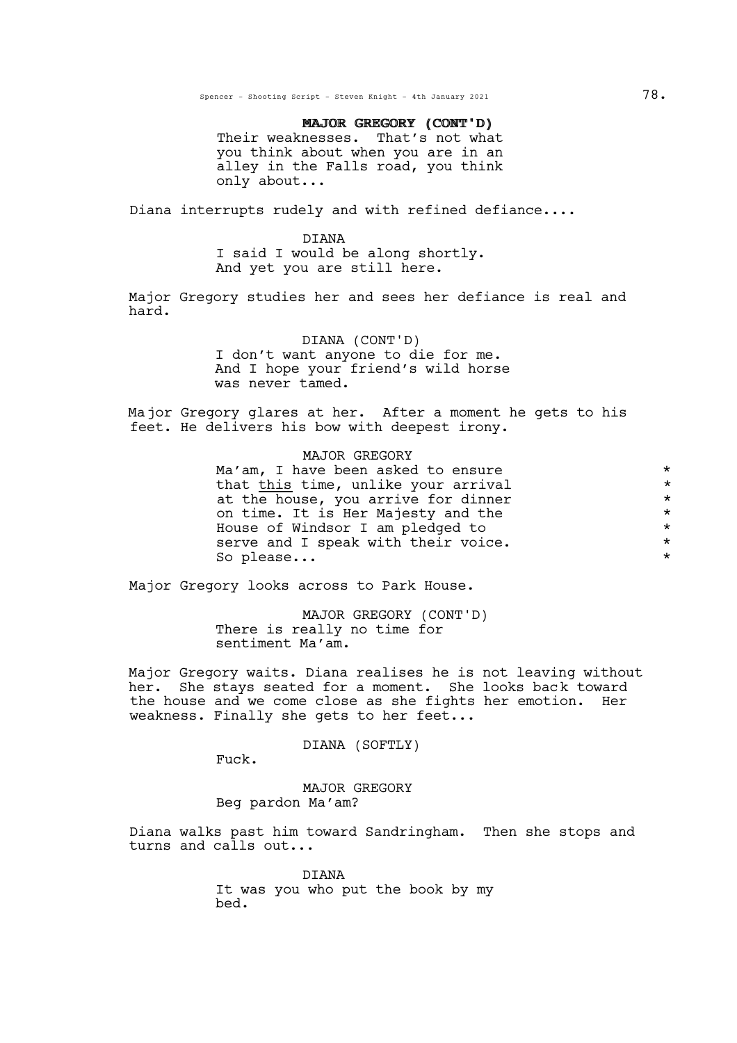Spencer - Shooting Script - Steven Knight - 4th January 2021 78.

# MAJOR GREGORY (CONT'D) MAJOR GREGORY (CONT'D)

Their weaknesses. That's not what you think about when you are in an alley in the Falls road, you think only about...

Diana interrupts rudely and with refined defiance....

#### DIANA

<sup>I</sup> said <sup>I</sup> would be along shortly. And yet you are still here.

Major Gregory studies her and sees her defiance is real and hard.

#### DIANA (CONT'D)

I don't want anyone to die for me. And I hope your friend's wild horse was never tamed.

Major Gregory glares at her. After a moment he gets to his feet. He delivers his bow with deepest irony.

# MAJOR GREGORY

 $Ma'am$ , I have been asked to ensure<br>that this time, unlike your arrival that <u>this</u> time, unlike your arrival<br>at the house, you arrive for dinner at the house, you arrive for dinner<br>on time. It is Her Majesty and the  $*$ on time. It is Her Majesty and the  $*$ House of Windsor I am pledged to  $*$ serve and I speak with their voice.  $*$ So please...

Major Gregory looks across to Park House.

MAJOR GREGORY (CONT'D) There is really no time for sentiment Ma'am.

Major Gregory waits. Diana realises he is not leaving without her. She stays seated for a moment. She looks back toward the house and we come close as she fights her emotion. Her weakness. Finally she gets to her feet...

DIANA (SOFTLY)

Fuck.

MAJOR GREGORY Beg pardon Ma'am?

Diana walks past him toward Sandringham. Then she stops and turns and calls out...

> DIANA It was you who put the book by my bed.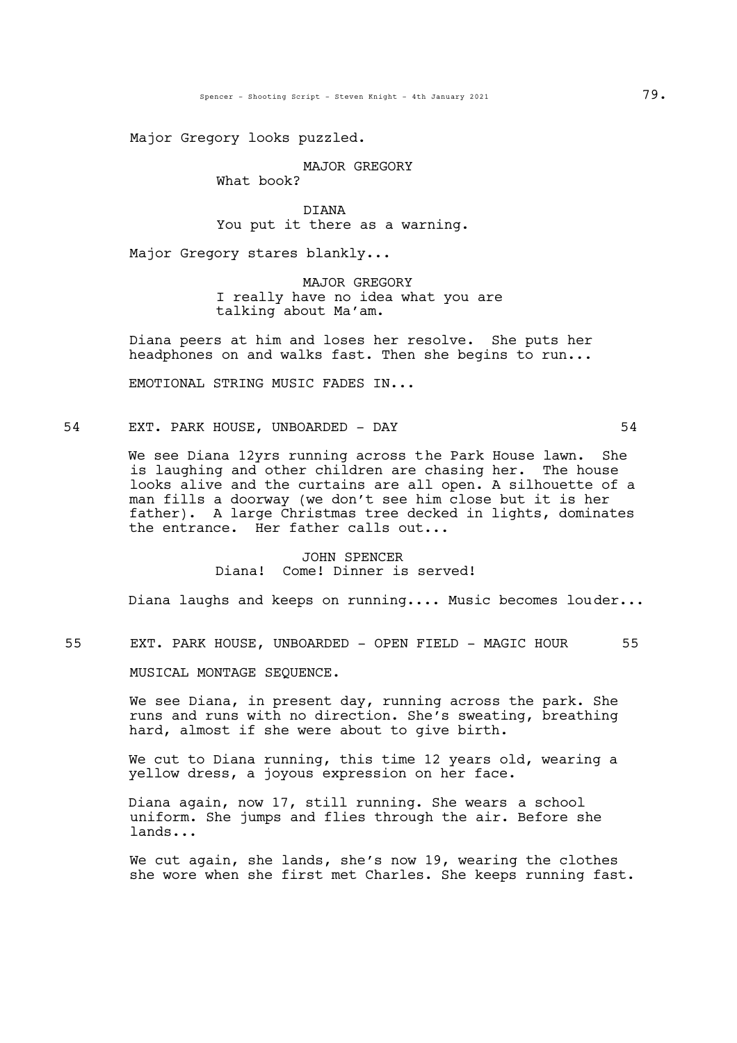Major Gregory looks puzzled.

MAJOR GREGORY

What book?

DIANA You put it there as a warning.

Major Gregory stares blankly...

MAJOR GREGORY I really have no idea what you are talking about Ma'am.

Diana peers at him and loses her resolve. She puts her headphones on and walks fast. Then she begins to run...

EMOTIONAL STRING MUSIC FADES IN...

54 EXT. PARK HOUSE, UNBOARDED - DAY 54

We see Diana 12yrs running across the Park House lawn. She is laughing and other children are chasing her. The house looks alive and the curtains are all open. A silhouette of a man fills a doorway (we don't see him close but it is her father). A large Christmas tree decked in lights, dominates the entrance. Her father calls out...

> JOHN SPENCER Diana! Come! Dinner is served!

Diana laughs and keeps on running.... Music becomes louder...

55 EXT. PARK HOUSE, UNBOARDED - OPEN FIELD - MAGIC HOUR 55

MUSICAL MONTAGE SEQUENCE.

We see Diana, in present day, running across the park. She runs and runs with no direction. She's sweating, breathing hard, almost if she were about to give birth.

We cut to Diana running, this time 12 years old, wearing a yellow dress, a joyous expression on her face.

Diana again, now 17, still running. She wears a school uniform. She jumps and flies through the air. Before she lands...

We cut again, she lands, she's now 19, wearing the clothes she wore when she first met Charles. She keeps running fast.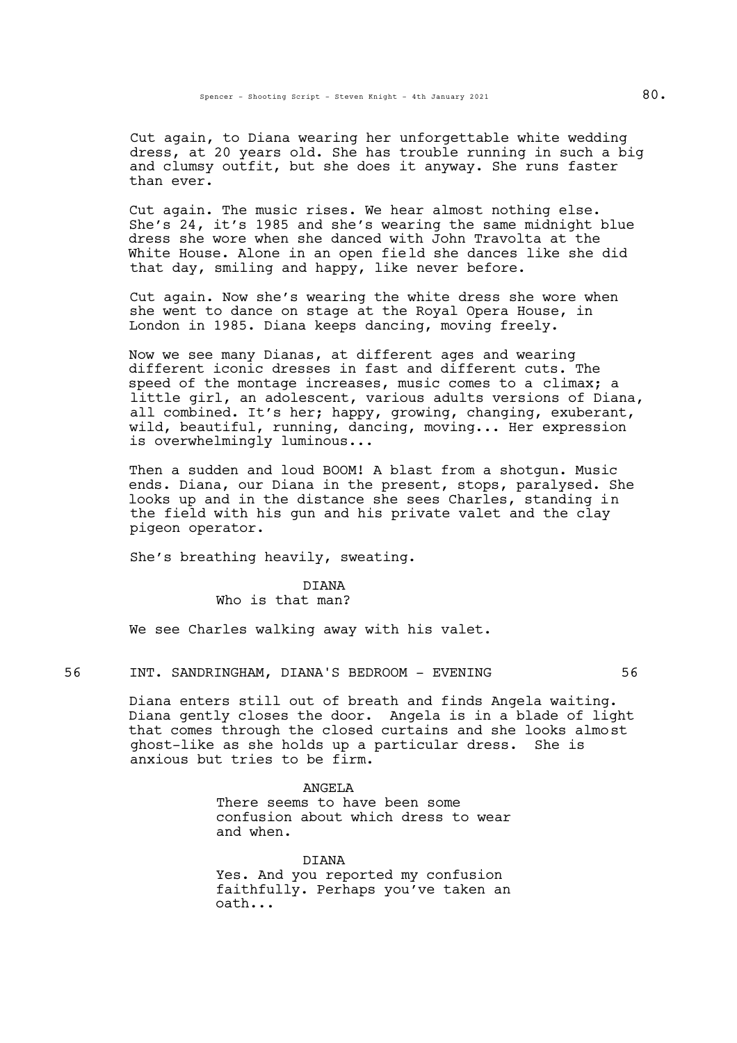Cut again, to Diana wearing her unforgettable white wedding dress, at 20 years old. She has trouble running in such a big and clumsy outfit, but she does it anyway. She runs faster than ever.

Cut again. The music rises. We hear almost nothing else. She's 24, it's 1985 and she's wearing the same midnight blue dress she wore when she danced with John Travolta at the White House. Alone in an open field she dances like she did that day, smiling and happy, like never before.

Cut again. Now she's wearing the white dress she wore when she went to dance on stage at the Royal Opera House, in London in 1985. Diana keeps dancing, moving freely.

Now we see many Dianas, at different ages and wearing different iconic dresses in fast and different cuts. The speed of the montage increases, music comes to a climax; a little girl, an adolescent, various adults versions of Diana, all combined. It's her; happy, growing, changing, exuberant, wild, beautiful, running, dancing, moving... Her expression is overwhelmingly luminous...

Then a sudden and loud BOOM! A blast from a shotgun. Music ends. Diana, our Diana in the present, stops, paralysed. She looks up and in the distance she sees Charles, standing in the field with his gun and his private valet and the clay pigeon operator.

She's breathing heavily, sweating.

# DIANA

Who is that man?

We see Charles walking away with his valet.

56 INT. SANDRINGHAM, DIANA'S BEDROOM - EVENING 56

Diana enters still out of breath and finds Angela waiting. Diana gently closes the door. Angela is in a blade of light that comes through the closed curtains and she looks almost ghost-like as she holds up a particular dress. She is anxious but tries to be firm.

ANGELA

There seems to have been some confusion about which dress to wear and when.

DIANA Yes. And you reported my confusion faithfully. Perhaps you've taken an oath...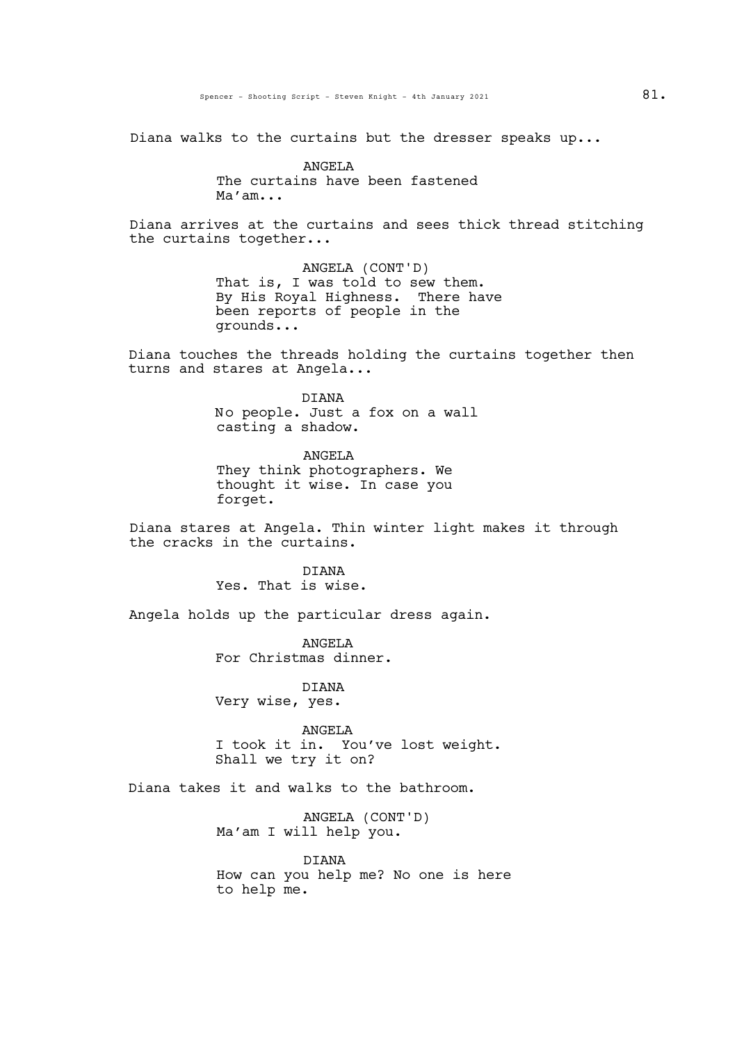Diana walks to the curtains but the dresser speaks up...

ANGELA The curtains have been fastened Ma'am...

Diana arrives at the curtains and sees thick thread stitching the curtains together...

> ANGELA (CONT'D) That is, I was told to sew them. By His Royal Highness. There have been reports of people in the grounds...

Diana touches the threads holding the curtains together then turns and stares at Angela...

> DIANA No people. Just a fox on a wall casting a shadow.

ANGELA They think photographers. We thought it wise. In case you forget.

Diana stares at Angela. Thin winter light makes it through the cracks in the curtains.

> **DIANA** Yes. That is wise.

Angela holds up the particular dress again.

ANGELA For Christmas dinner.

DIANA Very wise, yes.

ANGELA <sup>I</sup> took it in. You've lost weight. Shall we try it on?

Diana takes it and walks to the bathroom.

ANGELA (CONT'D) Ma'am I will help you.

DIANA How can you help me? No one is here to help me.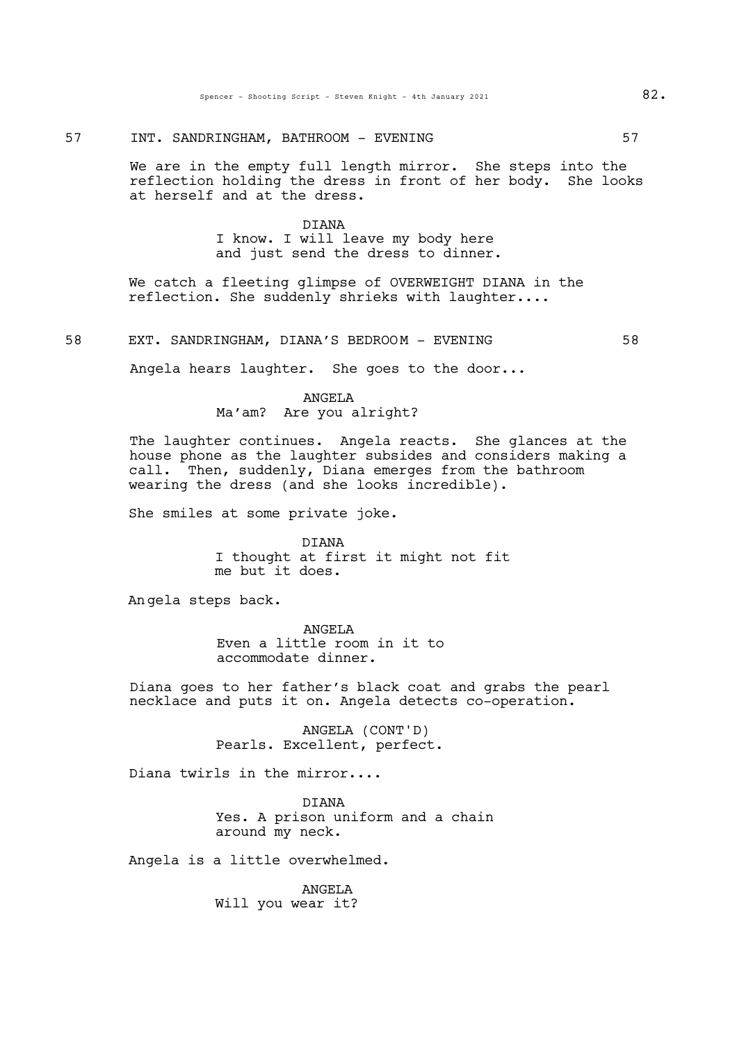# 57 INT. SANDRINGHAM, BATHROOM - EVENING 67

We are in the empty full length mirror. She steps into the reflection holding the dress in front of her body. She looks at herself and at the dress.

# DIANA I know. I will leave my body here and just send the dress to dinner.

We catch a fleeting glimpse of OVERWEIGHT DIANA in the reflection. She suddenly shrieks with laughter....

58 EXT. SANDRINGHAM, DIANA'S BEDROOM - EVENING 58

Angela hears laughter. She goes to the door...

# ANGELA

# Ma'am? Are you alright?

The laughter continues. Angela reacts. She glances at the house phone as the laughter subsides and considers making a call. Then, suddenly, Diana emerges from the bathroom wearing the dress (and she looks incredible).

She smiles at some private joke.

DIANA I thought at first it might not fit me but it does.

Angela steps back.

ANGELA Even a little room in it to accommodate dinner.

Diana goes to her father's black coat and grabs the pearl necklace and puts it on. Angela detects co-operation.

> ANGELA (CONT'D) Pearls. Excellent, perfect.

Diana twirls in the mirror....

DIANA Yes. A prison uniform and a chain around my neck.

Angela is a little overwhelmed.

ANGELA Will you wear it?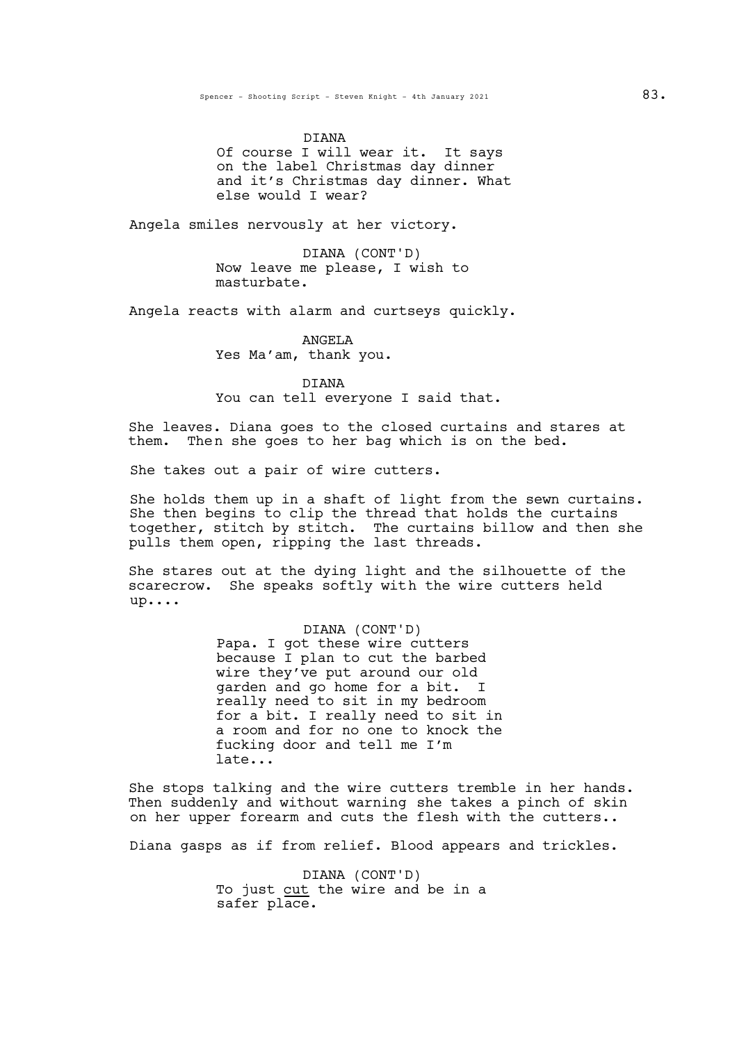DIANA Of course I will wear it. It says on the label Christmas day dinner and it's Christmas day dinner. What else would I wear?

Angela smiles nervously at her victory.

DIANA (CONT'D) Now leave me please, I wish to masturbate.

Angela reacts with alarm and curtseys quickly.

ANGELA Yes Ma'am, thank you.

DIANA You can tell everyone I said that.

She leaves. Diana goes to the closed curtains and stares at them. Then she goes to her bag which is on the bed.

She takes out a pair of wire cutters.

She holds them up in a shaft of light from the sewn curtains.<br>She then begins to clip the thread that holds the curtains together, stitch by stitch. The curtains billow and then she pulls them open, ripping the last threads.

She stares out at the dying light and the silhouette of the scarecrow. She speaks softly with the wire cutters held up....

#### DIANA (CONT'D)

Papa. I got these wire cutters because I plan to cut the barbed wire they've put around our old garden and go home for a bit. I really need to sit in my bedroom for a bit. I really need to sit in a room and for no one to knock the fucking door and tell me I'm late...

She stops talking and the wire cutters tremble in her hands. Then suddenly and without warning she takes a pinch of skin on her upper forearm and cuts the flesh with the cutters..

Diana gasps as if from relief. Blood appears and trickles.

DIANA (CONT'D) To just cut the wire and be in a safer place.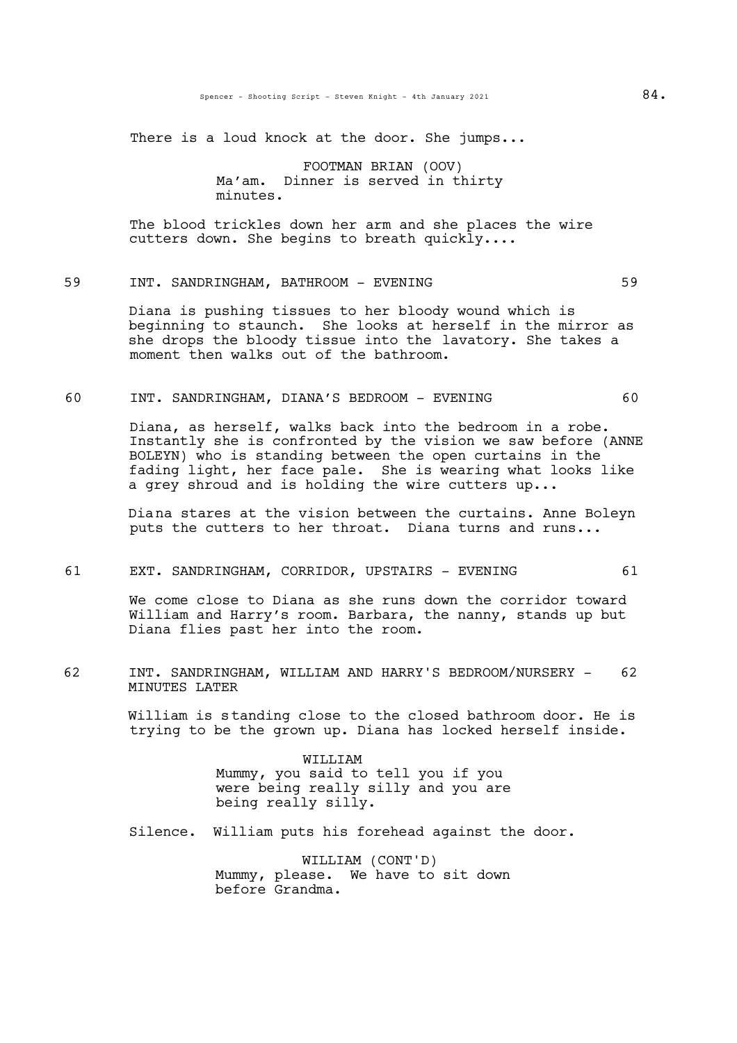There is a loud knock at the door. She jumps...

FOOTMAN BRIAN (OOV) Ma'am. Dinner is served in thirty minutes.

The blood trickles down her arm and she places the wire cutters down. She begins to breath quickly....

# 59 INT. SANDRINGHAM, BATHROOM - EVENING 69

Diana is pushing tissues to her bloody wound which is beginning to staunch. She looks at herself in the mirror as she drops the bloody tissue into the lavatory. She takes a moment then walks out of the bathroom.

#### 60 INT. SANDRINGHAM, DIANA'S BEDROOM - EVENING 60

Diana, as herself, walks back into the bedroom in a robe. Instantly she is confronted by the vision we saw before (ANNE BOLEYN) who is standing between the open curtains in the fading light, her face pale. She is wearing what looks like a grey shroud and is holding the wire cutters up...

Diana stares at the vision between the curtains. Anne Boleyn puts the cutters to her throat. Diana turns and runs...

#### 61 EXT. SANDRINGHAM, CORRIDOR, UPSTAIRS - EVENING 61

We come close to Diana as she runs down the corridor toward William and Harry's room. Barbara, the nanny, stands up but Diana flies past her into the room.

62 INT. SANDRINGHAM, WILLIAM AND HARRY'S BEDROOM/NURSERY - 62 MINUTES LATER

> William is standing close to the closed bathroom door. He is trying to be the grown up. Diana has locked herself inside.

> > WILLIAM Mummy, you said to tell you if you were being really silly and you are being really silly.

Silence. William puts his forehead against the door.

WILLIAM (CONT'D) Mummy, please. We have to sit down before Grandma.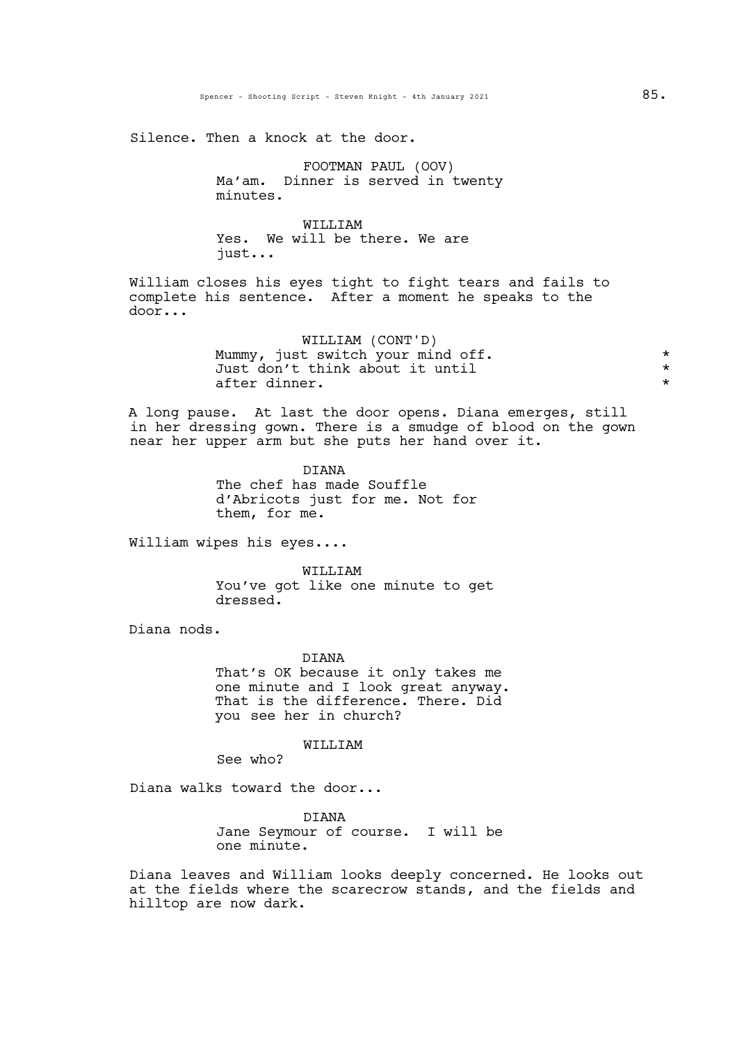Silence. Then a knock at the door.

FOOTMAN PAUL (OOV) Ma'am. Dinner is served in twenty minutes.

WILLIAM Yes. We will be there. We are just...

William closes his eyes tight to fight tears and fails to complete his sentence. After a moment he speaks to the door...

> WILLIAM (CONT'D) Mummy, just switch your mind off.  $*$ Just don't think about it until \* after dinner.  $\star$

A long pause. At last the door opens. Diana emerges, still in her dressing gown. There is a smudge of blood on the gown near her upper arm but she puts her hand over it.

> DIANA The chef has made Souffle d'Abricots just for me. Not for them, for me.

William wipes his eyes....

WILLIAM You've got like one minute to get dressed.

Diana nods.

DIANA That's OK because it only takes me one minute and <sup>I</sup> look great anyway. That is the difference. There. Did you see her in church?

WILLIAM

See who?

Diana walks toward the door...

DIANA Jane Seymour of course. I will be one minute.

Diana leaves and William looks deeply concerned. He looks out at the fields where the scarecrow stands, and the fields and hilltop are now dark.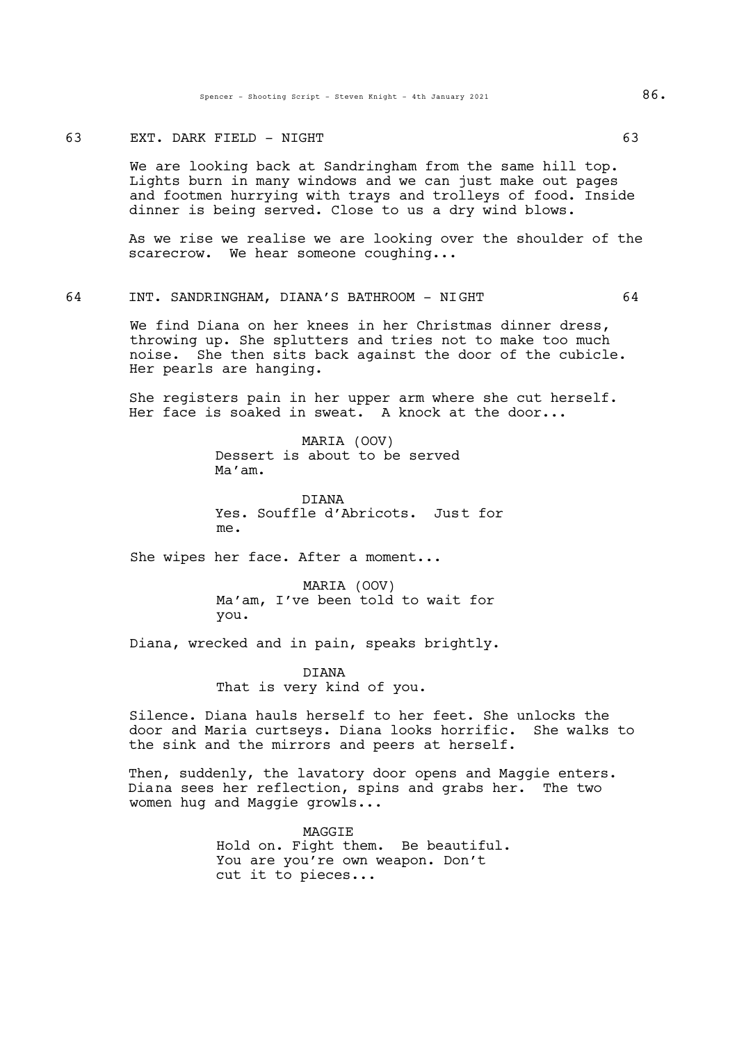#### 63 EXT. DARK FIELD - NIGHT 63

We are looking back at Sandringham from the same hill top. Lights burn in many windows and we can just make out pages and footmen hurrying with trays and trolleys of food. Inside dinner is being served. Close to us a dry wind blows.

As we rise we realise we are looking over the shoulder of the scarecrow. We hear someone coughing...

# 64 INT. SANDRINGHAM, DIANA'S BATHROOM - NIGHT 64

We find Diana on her knees in her Christmas dinner dress, throwing up. She splutters and tries not to make too much noise. She then sits back against the door of the cubicle. Her pearls are hanging.

She registers pain in her upper arm where she cut herself. Her face is soaked in sweat. A knock at the door...

> MARIA (OOV) Dessert is about to be served Ma'am.

DIANA Yes. Souffle d'Abricots. Just for me.

She wipes her face. After a moment...

MARIA (OOV) Ma'am, I've been told to wait for you.

Diana, wrecked and in pain, speaks brightly.

DIANA That is very kind of you.

Silence. Diana hauls herself to her feet. She unlocks the door and Maria curtseys. Diana looks horrific. She walks to the sink and the mirrors and peers at herself.

Then, suddenly, the lavatory door opens and Maggie enters. Diana sees her reflection, spins and grabs her. The two women hug and Maggie growls...

> MAGGIE<br>Hold on. Fight them. Be beautiful. You are you're own weapon. Don't cut it to pieces...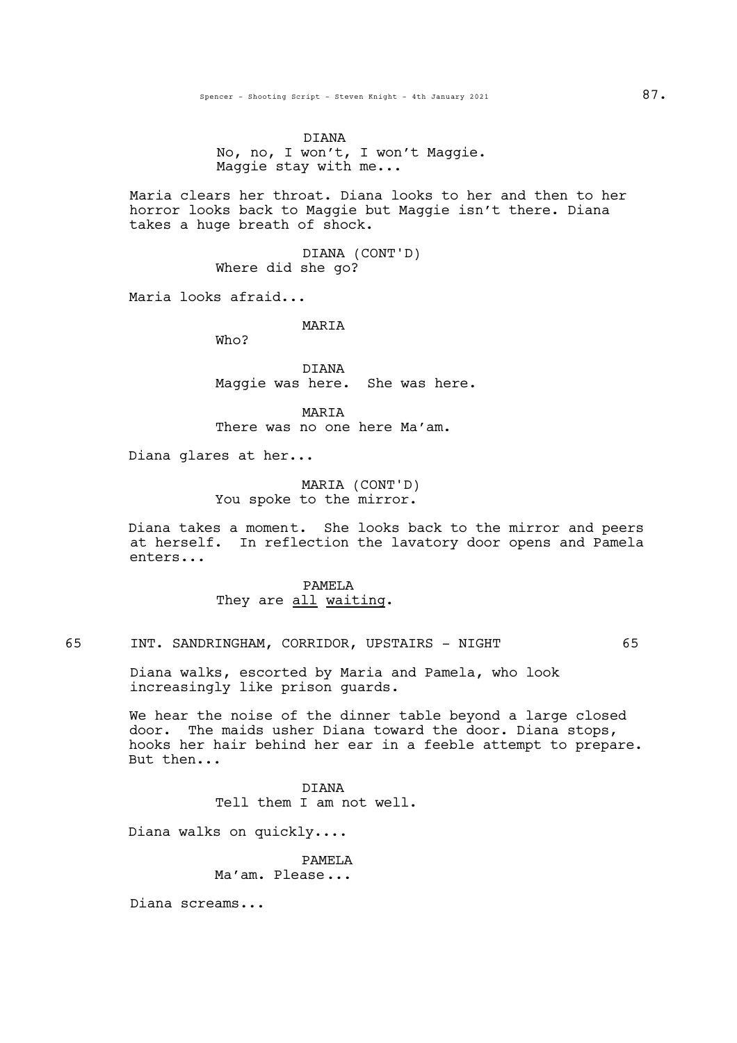DIANA No, no, <sup>I</sup> won't, <sup>I</sup> won't Maggie. Maggie stay with me...

Maria clears her throat. Diana looks to her and then to her horror looks back to Maggie but Maggie isn't there. Diana takes a huge breath of shock.

> DIANA (CONT'D) Where did she go?

Maria looks afraid...

**MARTA** 

Who?

DIANA Maggie was here. She was here.

MARIA There was no one here Ma'am.

Diana glares at her...

MARIA (CONT'D) You spoke to the mirror.

Diana takes a moment. She looks back to the mirror and peers at herself. In reflection the lavatory door opens and Pamela enters...

> PAMELA They are all waiting.

65 INT. SANDRINGHAM, CORRIDOR, UPSTAIRS - NIGHT 65

Diana walks, escorted by Maria and Pamela, who look increasingly like prison guards.

We hear the noise of the dinner table beyond a large closed door. The maids usher Diana toward the door. Diana stops, hooks her hair behind her ear in a feeble attempt to prepare. But then...

> DIANA Tell them I am not well.

Diana walks on quickly....

PAMELA Ma'am. Please...

Diana screams...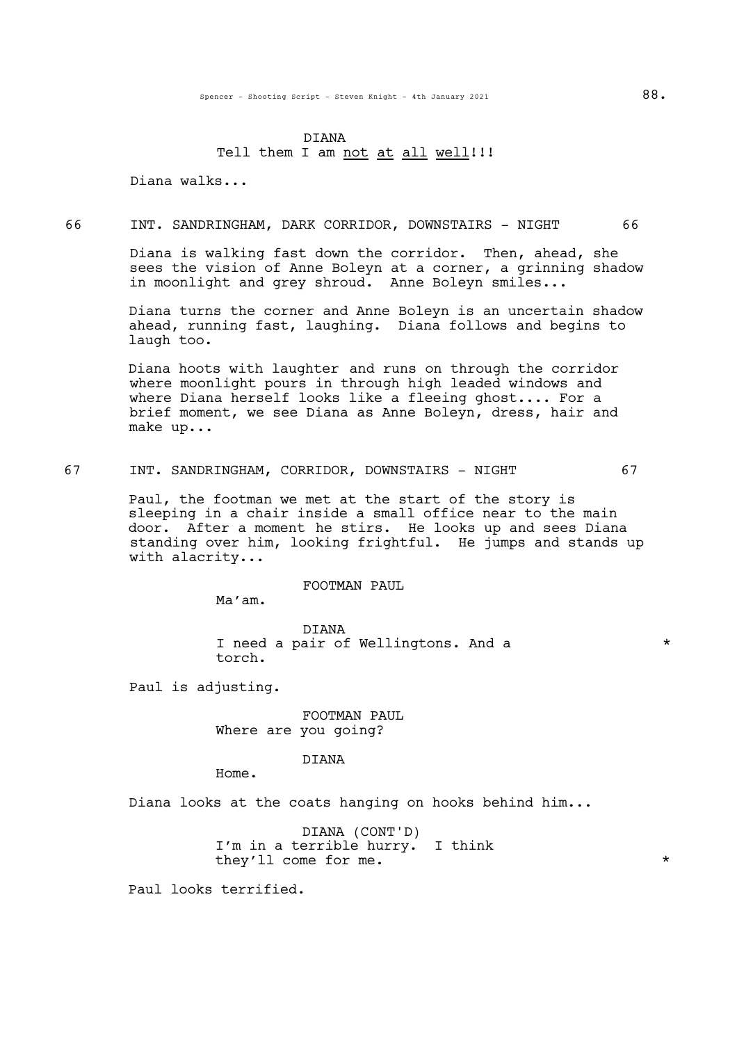# DIANA Tell them I am not at all well!!!

Diana walks...

# 66 INT. SANDRINGHAM, DARK CORRIDOR, DOWNSTAIRS - NIGHT 66

Diana is walking fast down the corridor. Then, ahead, she sees the vision of Anne Boleyn at a corner, a grinning shadow in moonlight and grey shroud. Anne Boleyn smiles...

Diana turns the corner and Anne Boleyn is an uncertain shadow ahead, running fast, laughing. Diana follows and begins to laugh too.

Diana hoots with laughter and runs on through the corridor where moonlight pours in through high leaded windows and where Diana herself looks like a fleeing ghost.... For a brief moment, we see Diana as Anne Boleyn, dress, hair and make up...

67 INT. SANDRINGHAM, CORRIDOR, DOWNSTAIRS - NIGHT 67

Paul, the footman we met at the start of the story is sleeping in a chair inside a small office near to the main door. After a moment he stirs. He looks up and sees Diana standing over him, looking frightful. He jumps and stands up with alacrity...

FOOTMAN PAUL

Ma'am.

DIANA I need a pair of Wellingtons. And a  $*$ torch.

Paul is adjusting.

FOOTMAN PAUL Where are you going?

DIANA

Home.

Diana looks at the coats hanging on hooks behind him...

DIANA (CONT'D) I'm in a terrible hurry. I think they'll come for me.  $\overline{\phantom{a}}$ 

Paul looks terrified.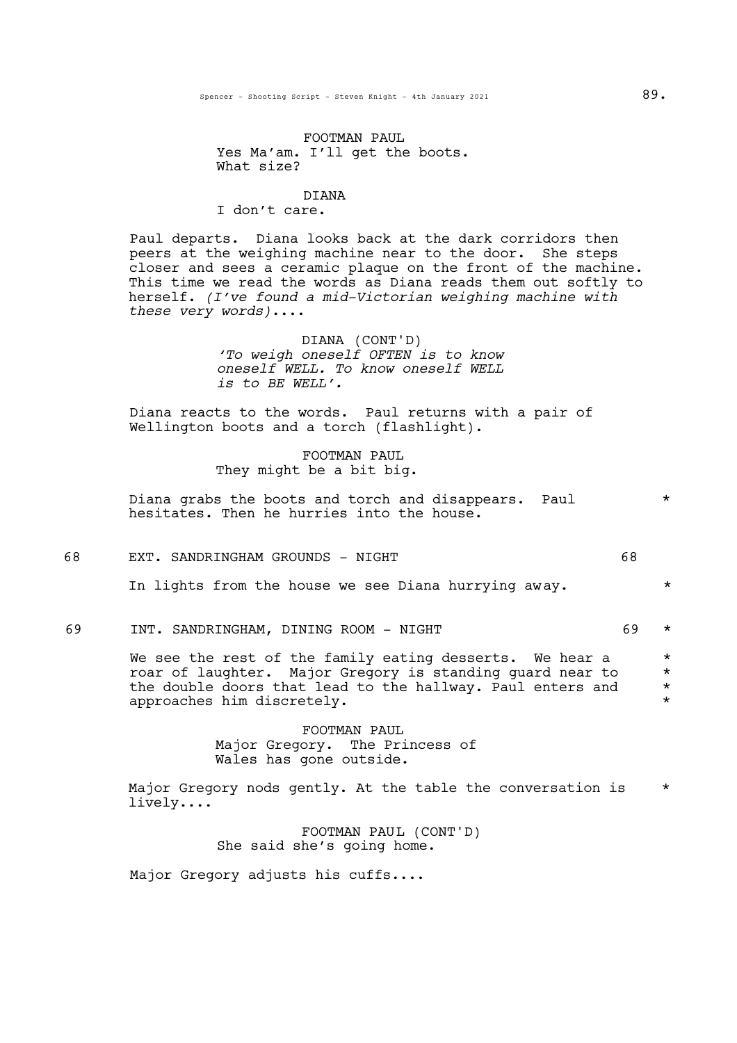# FOOTMAN PAUL Yes Ma'am. I'll get the boots. What size?

# DIANA I don't care.

Paul departs. Diana looks back at the dark corridors then peers at the weighing machine near to the door. She steps closer and sees <sup>a</sup> ceramic plaque on the front of the machine. This time we read the words as Diana reads them out softly to herself. *(I've found a mid-Victorian weighing machine with these very words)*....

> DIANA (CONT'D) *'To weigh oneself OFTEN is to know oneself WELL. To know oneself WELL is to BE WELL'.*

Diana reacts to the words. Paul returns with a pair of Wellington boots and a torch (flashlight).

> FOOTMAN PAUL They might be a bit big.

Diana grabs the boots and torch and disappears. Paul  $*$ hesitates. Then he hurries into the house.

#### 68 EXT. SANDRINGHAM GROUNDS - NIGHT 68

In lights from the house we see Diana hurrying away.  $*$ 

69 INT. SANDRINGHAM, DINING ROOM - NIGHT 69 \*

We see the rest of the family eating desserts. We hear a  $*$  roar of laughter. Major Gregory is standing quard near to  $*$ roar of laughter. Major Gregory is standing guard near to \*<br>the double doors that lead to the hallway. Paul enters and \* the double doors that lead to the hallway. Paul enters and  $*$ approaches him discretely.

> FOOTMAN PAUL Major Gregory. The Princess of Wales has gone outside.

Major Gregory nods gently. At the table the conversation is  $*$ lively....

> FOOTMAN PAUL (CONT'D) She said she's going home.

Major Gregory adjusts his cuffs....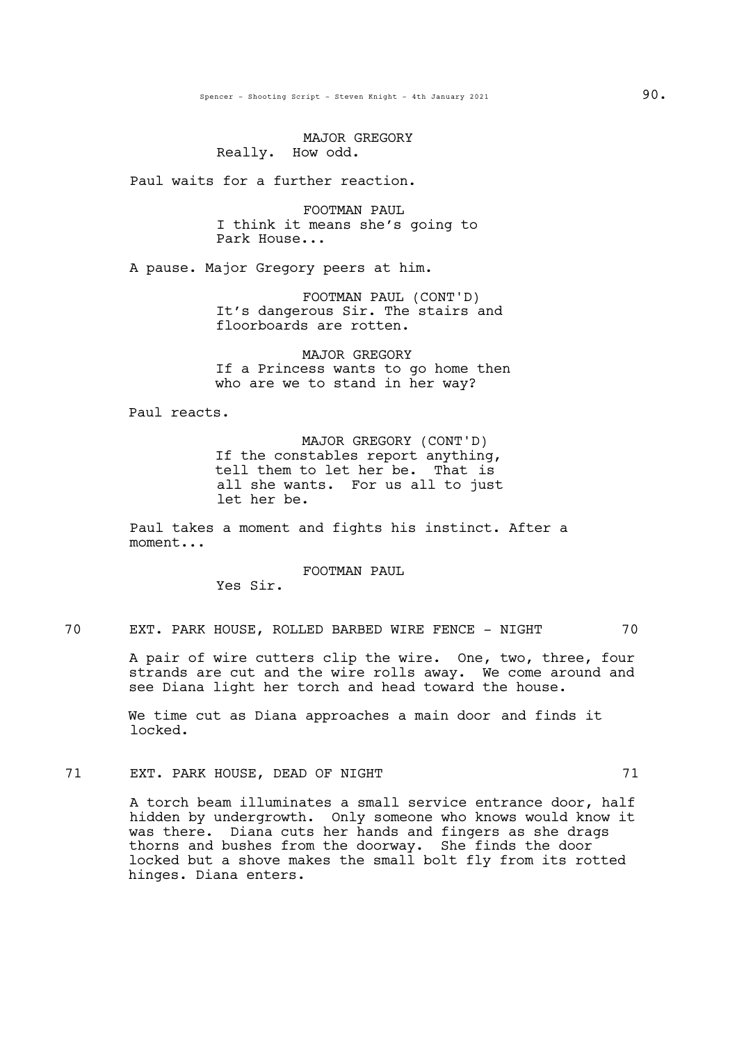MAJOR GREGORY Really. How odd.

Paul waits for a further reaction.

FOOTMAN PAUL I think it means she's going to Park House...

A pause. Major Gregory peers at him.

FOOTMAN PAUL (CONT'D) It's dangerous Sir. The stairs and floorboards are rotten.

MAJOR GREGORY If a Princess wants to go home then who are we to stand in her way?

Paul reacts.

MAJOR GREGORY (CONT'D)<br>If the constables report anything, tell them to let her be. That is all she wants. For us all to just let her be.

Paul takes a moment and fights his instinct. After a moment...

FOOTMAN PAUL

Yes Sir.

70 EXT. PARK HOUSE, ROLLED BARBED WIRE FENCE - NIGHT 70

A pair of wire cutters clip the wire. One, two, three, four strands are cut and the wire rolls away. We come around and see Diana light her torch and head toward the house.

We time cut as Diana approaches a main door and finds it locked.

71 EXT. PARK HOUSE, DEAD OF NIGHT 71

A torch beam illuminates a small service entrance door, half hidden by undergrowth. Only someone who knows would know it was there. Diana cuts her hands and fingers as she drags thorns and bushes from the doorway. She finds the door locked but a shove makes the small bolt fly from its rotted hinges. Diana enters.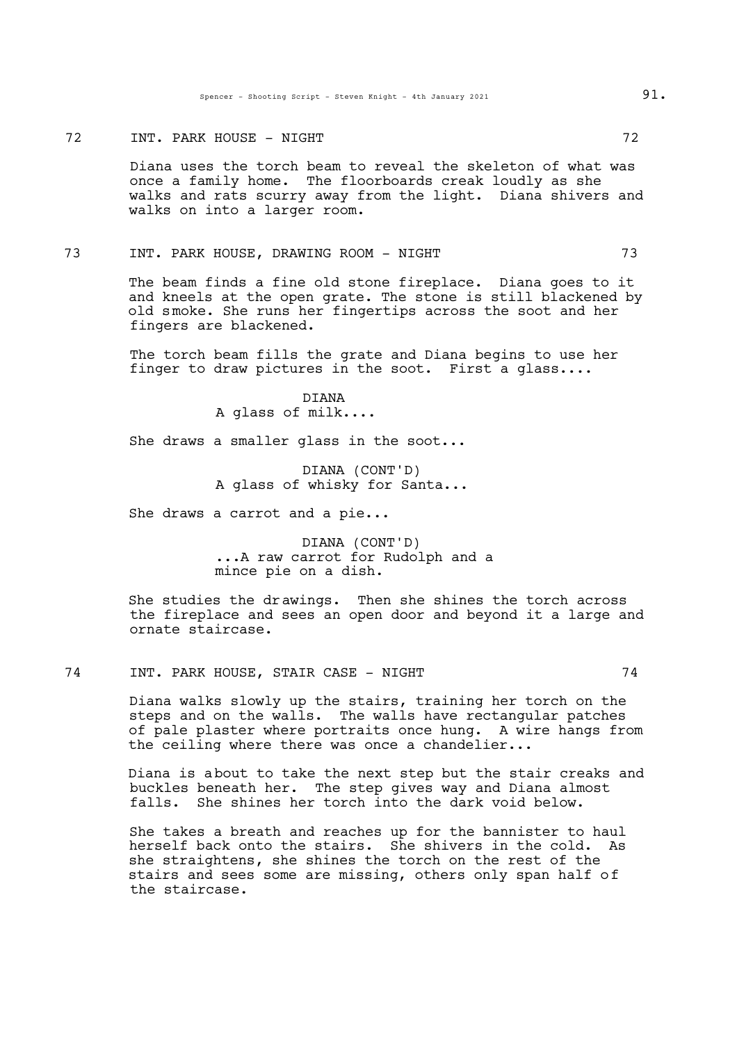#### TREADSPARE HOUSE - NIGHT 72

Diana uses the torch beam to reveal the skeleton of what was once a family home. The floorboards creak loudly as she walks and rats scurry away from the light. Diana shivers and walks on into a larger room.

#### 73 INT. PARK HOUSE, DRAWING ROOM - NIGHT 73

The beam finds a fine old stone fireplace. Diana goes to it and kneels at the open grate. The stone is still blackened by old smoke. She runs her fingertips across the soot and her fingers are blackened.

The torch beam fills the grate and Diana begins to use her finger to draw pictures in the soot. First a glass....

> DIANA A glass of milk....

She draws a smaller glass in the soot...

DIANA (CONT'D) A glass of whisky for Santa...

She draws a carrot and a pie...

DIANA (CONT'D) ...A raw carrot for Rudolph and a mince pie on a dish.

She studies the drawings. Then she shines the torch across the fireplace and sees an open door and beyond it a large and ornate staircase.

# 74 INT. PARK HOUSE, STAIR CASE - NIGHT 74

Diana walks slowly up the stairs, training her torch on the steps and on the walls. The walls have rectangular patches of pale plaster where portraits once hung. A wire hangs from the ceiling where there was once a chandelier...

Diana is about to take the next step but the stair creaks and buckles beneath her. The step gives way and Diana almost falls. She shines her torch into the dark void below.

She takes a breath and reaches up for the bannister to haul herself back onto the stairs. She shivers in the cold. As she straightens, she shines the torch on the rest of the stairs and sees some are missing, others only span half of the staircase.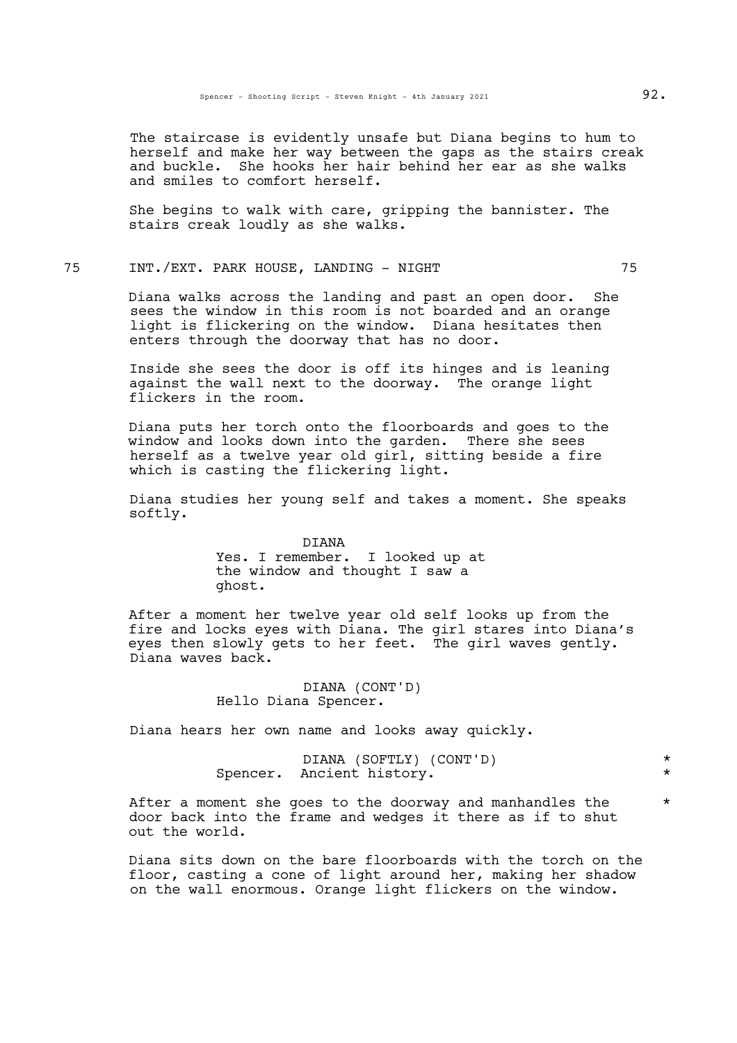The staircase is evidently unsafe but Diana begins to hum to herself and make her way between the gaps as the stairs creak and buckle. She hooks her hair behind her ear as she walks and smiles to comfort herself.

She begins to walk with care, gripping the bannister. The stairs creak loudly as she walks.

# 75 INT./EXT. PARK HOUSE, LANDING - NIGHT 75

Diana walks across the landing and past an open door. She sees the window in this room is not boarded and an orange light is flickering on the window. Diana hesitates then enters through the doorway that has no door.

Inside she sees the door is off its hinges and is leaning against the wall next to the doorway. The orange light flickers in the room.

Diana puts her torch onto the floorboards and goes to the window and looks down into the garden. There she sees herself as a twelve year old girl, sitting beside a fire which is casting the flickering light.

Diana studies her young self and takes a moment. She speaks softly.

> DIANA Yes. I remember. I looked up at the window and thought I saw a ghost.

After a moment her twelve year old self looks up from the fire and locks eyes with Diana. The girl stares into Diana's eyes then slowly gets to her feet. The girl waves gently. Diana waves back.

> DIANA (CONT'D) Hello Diana Spencer.

Diana hears her own name and looks away quickly.

| DIANA (SOFTLY) (CONT'D)   |  |
|---------------------------|--|
| Spencer. Ancient history. |  |

After a moment she goes to the doorway and manhandles the  $*$ door back into the frame and wedges it there as if to shut out the world.

Diana sits down on the bare floorboards with the torch on the floor, casting a cone of light around her, making her shadow on the wall enormous. Orange light flickers on the window.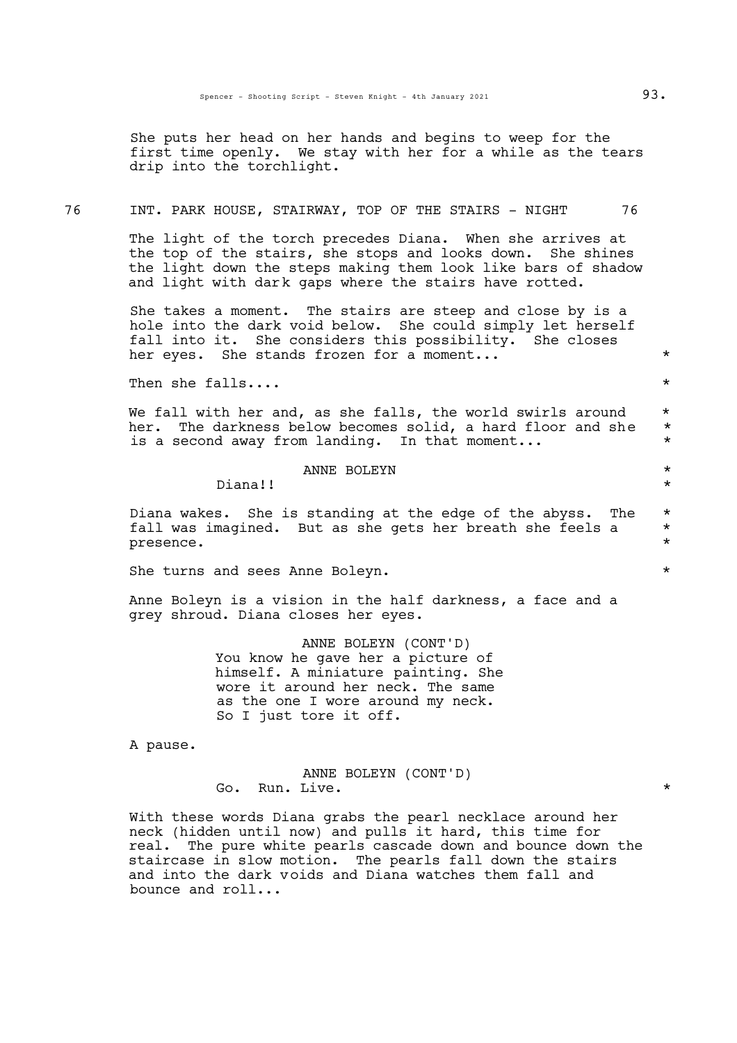She puts her head on her hands and begins to weep for the first time openly. We stay with her for a while as the tears drip into the torchlight.

# 76 INT. PARK HOUSE, STAIRWAY, TOP OF THE STAIRS - NIGHT 76

The light of the torch precedes Diana. When she arrives at the top of the stairs, she stops and looks down. She shines the light down the steps making them look like bars of shadow and light with dark gaps where the stairs have rotted.

She takes a moment. The stairs are steep and close by is a hole into the dark void below. She could simply let herself fall into it. She considers this possibility. She closes her eyes. She stands frozen for a moment...  $\star$ 

Then she falls....  $\star$ 

We fall with her and, as she falls, the world swirls around  $*$ <br>her the darkness below becomes solid a hard floor and she her. The darkness below becomes solid, a hard floor and she \* is a second away from landing. In that moment...  $*$ 

# ANNE BOLEYN \*

Diana!! \*

Diana wakes. She is standing at the edge of the abyss. The \* fall was imagined. But as she gets her breath she feels a \* presence.  $\star$ 

She turns and sees Anne Boleyn.  $\star$ 

Anne Boleyn is a vision in the half darkness, a face and a grey shroud. Diana closes her eyes.

> ANNE BOLEYN (CONT'D) You know he gave her a picture of himself. A miniature painting. She wore it around her neck. The same as the one I wore around my neck. So I just tore it off.

A pause.

ANNE BOLEYN (CONT'D) Go. Run. Live.  $\star$ 

With these words Diana grabs the pearl necklace around her neck (hidden until now) and pulls it hard, this time for real. The pure white pearls cascade down and bounce down the staircase in slow motion. The pearls fall down the stairs and into the dark voids and Diana watches them fall and bounce and roll...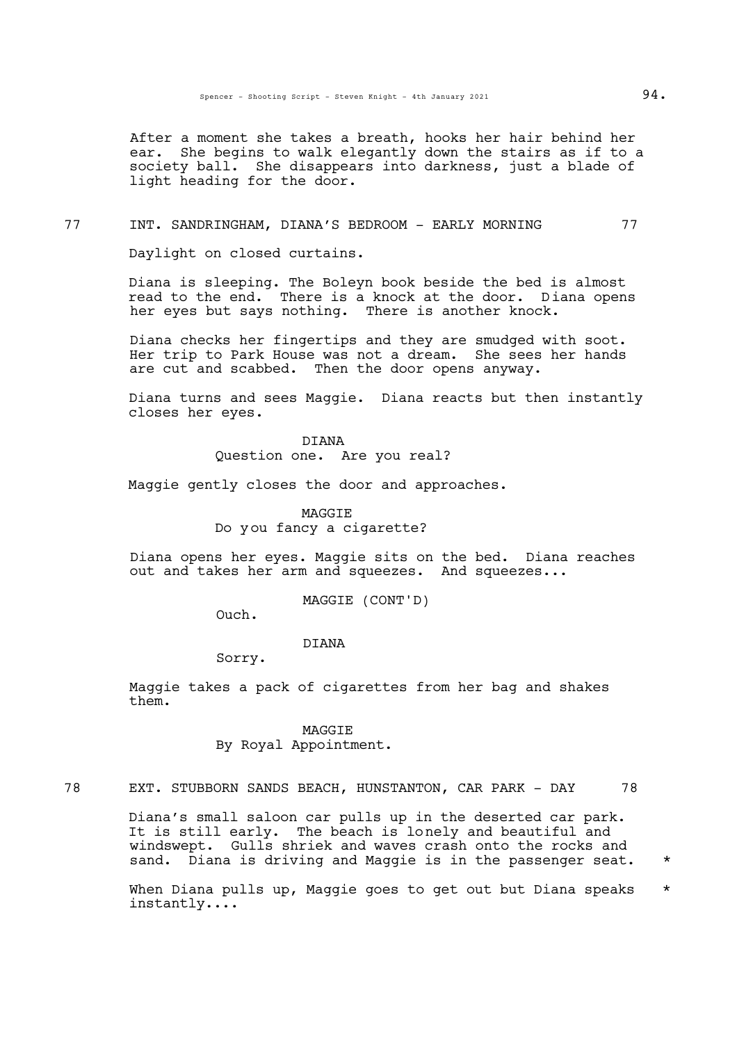After a moment she takes a breath, hooks her hair behind her ear. She begins to walk elegantly down the stairs as if to a society ball. She disappears into darkness, just a blade of light heading for the door.

#### 77 INT. SANDRINGHAM, DIANA'S BEDROOM - EARLY MORNING 77

Daylight on closed curtains.

Diana is sleeping. The Boleyn book beside the bed is almost read to the end. There is a knock at the door. Diana opens her eyes but says nothing. There is another knock.

Diana checks her fingertips and they are smudged with soot. Her trip to Park House was not a dream. She sees her hands are cut and scabbed. Then the door opens anyway.

Diana turns and sees Maggie. Diana reacts but then instantly closes her eyes.

> DIANA Question one. Are you real?

Maggie gently closes the door and approaches.

MAGGIE Do you fancy a cigarette?

Diana opens her eyes. Maggie sits on the bed. Diana reaches out and takes her arm and squeezes. And squeezes...

MAGGIE (CONT'D)

Ouch.

#### DIANA

Sorry.

Maggie takes a pack of cigarettes from her bag and shakes them.

> MAGGIE By Royal Appointment.

78 EXT. STUBBORN SANDS BEACH, HUNSTANTON, CAR PARK - DAY 78

Diana's small saloon car pulls up in the deserted car park. It is still early. The beach is lonely and beautiful and windswept. Gulls shriek and waves crash onto the rocks and sand. Diana is driving and Maggie is in the passenger seat. \*

When Diana pulls up, Maggie goes to get out but Diana speaks  $*$ instantly....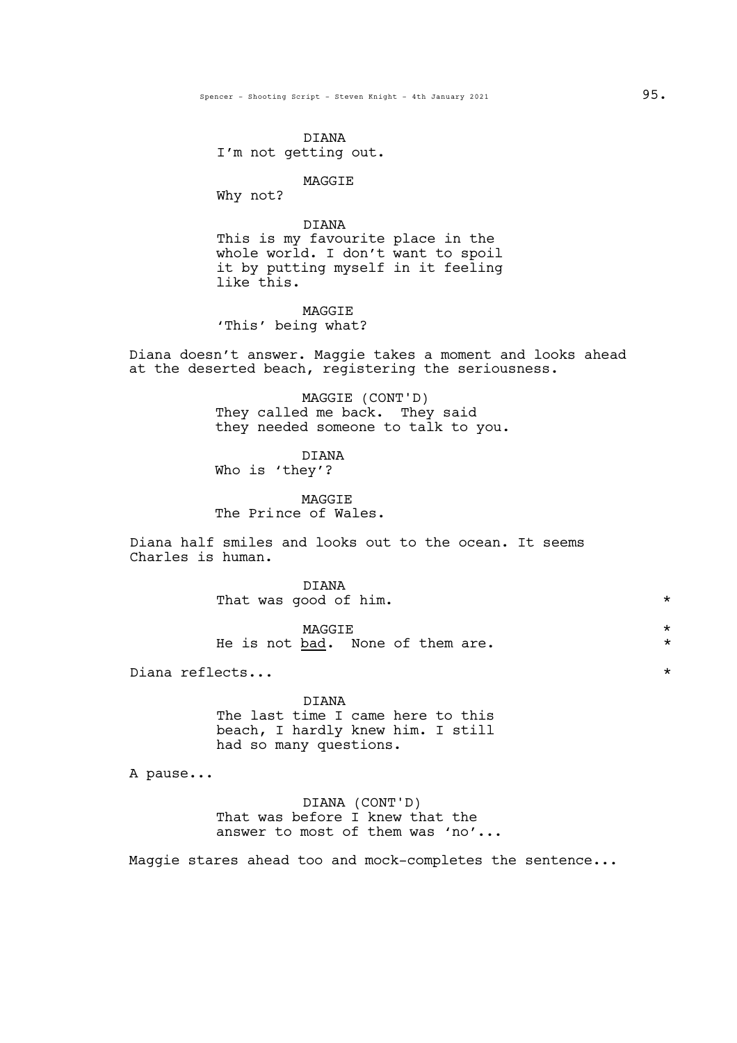Spencer - Shooting Script - Steven Knight - 4th January 2021  $95.$ 

DIANA I'm not getting out.

# MAGGIE

Why not?

# DIANA

This is my favourite place in the whole world. I don't want to spoil it by putting myself in it feeling like this.

# MAGGIE 'This' being what?

Diana doesn't answer. Maggie takes a moment and looks ahead at the deserted beach, registering the seriousness.

> MAGGIE (CONT'D) They called me back. They said they needed someone to talk to you.

DIANA Who is 'they'?

**MAGGTE** The Prince of Wales.

Diana half smiles and looks out to the ocean. It seems Charles is human.

> DIANA That was good of him.  $\star$

> $\begin{picture}(180,190) \put(0,0){\vector(1,0){100}} \put(15,0){\vector(1,0){100}} \put(15,0){\vector(1,0){100}} \put(15,0){\vector(1,0){100}} \put(15,0){\vector(1,0){100}} \put(15,0){\vector(1,0){100}} \put(15,0){\vector(1,0){100}} \put(15,0){\vector(1,0){100}} \put(15,0){\vector(1,0){100}} \put(15,0){\vector(1,0){100}} \put(15,0){\vector(1,0){100$ He is not <u>bad</u>. None of them are.  $*$

Diana reflects...  $\star$ 

DIANA The last time I came here to this beach, I hardly knew him. I still had so many questions.

A pause...

DIANA (CONT'D) That was before I knew that the answer to most of them was 'no'...

Maggie stares ahead too and mock-completes the sentence...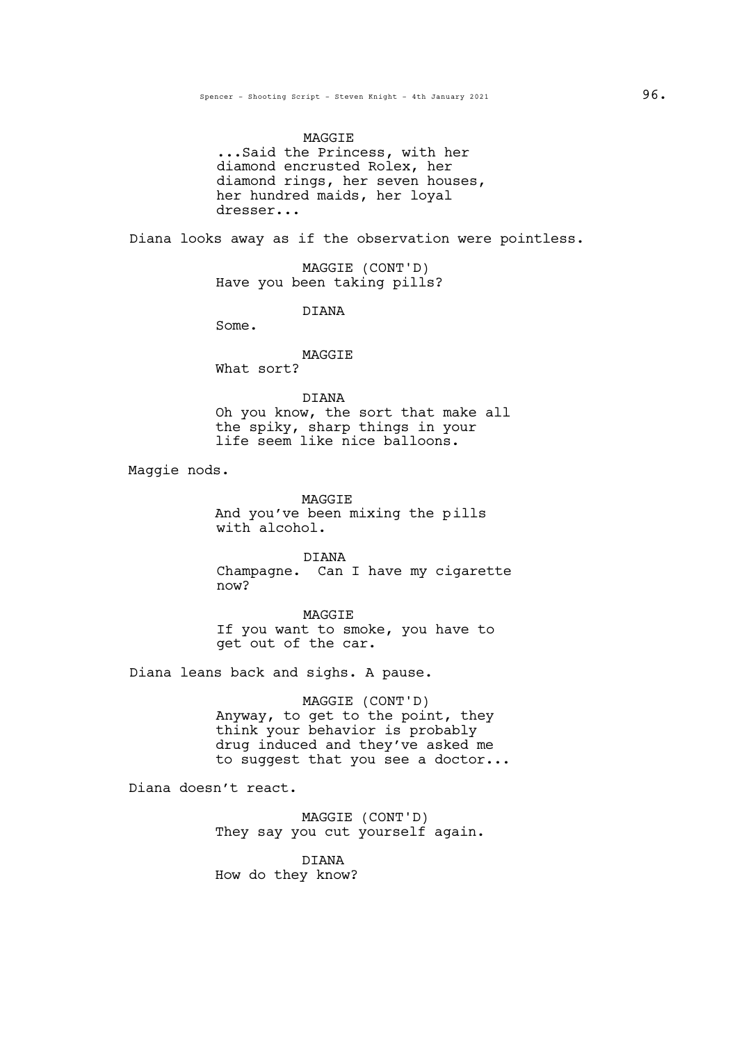MAGGIE<br>Said the Princess, with her... diamond encrusted Rolex, her diamond rings, her seven houses, her hundred maids, her loyal dresser...

Diana looks away as if the observation were pointless.

MAGGIE (CONT'D) Have you been taking pills?

DIANA

Some.

#### MAGGIE

What sort?

# DIANA

Oh you know, the sort that make all the spiky, sharp things in your life seem like nice balloons.

Maggie nods.

MAGGIE

And you've been mixing the pills with alcohol.

DIANA Champagne. Can I have my cigarette now?

MAGGIE If you want to smoke, you have to get out of the car.

Diana leans back and sighs. A pause.

MAGGIE (CONT'D) Anyway, to get to the point, they think your behavior is probably drug induced and they've asked me to suggest that you see a doctor...

Diana doesn't react.

MAGGIE (CONT'D) They say you cut yourself again.

DIANA How do they know?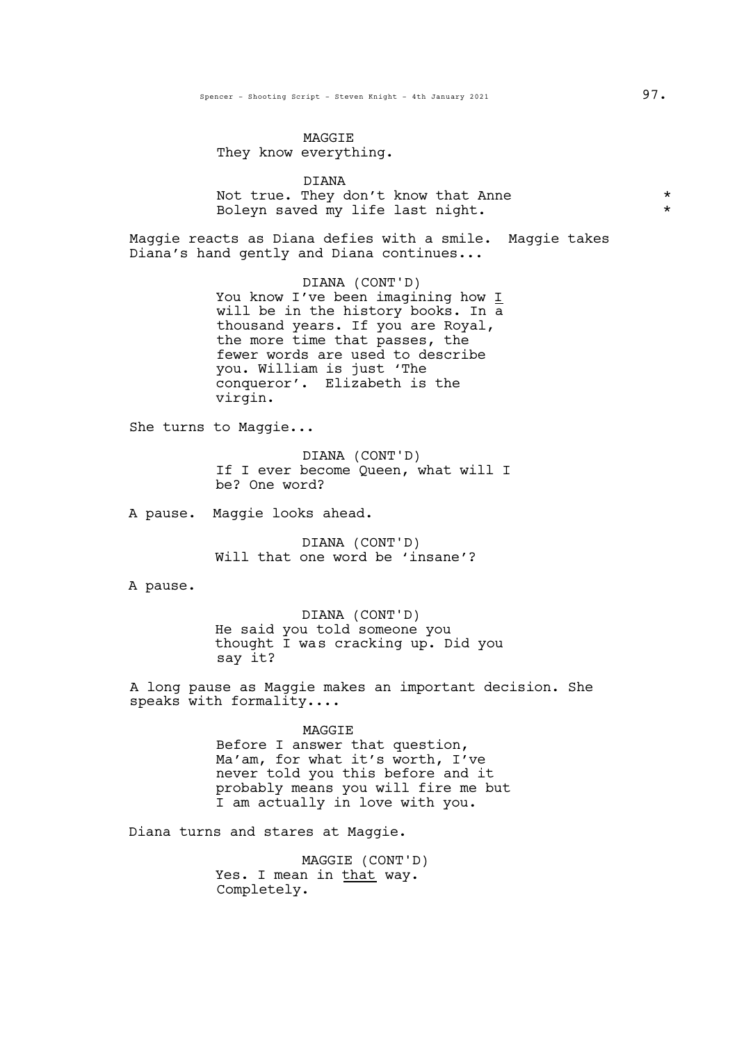#### MAGGIE

They know everything.

DIANA Not true. They don't know that Anne  $*$ <br>Bolevn saved my life last night \* \* \* \* Boleyn saved my life last night.

Maggie reacts as Diana defies with a smile. Maggie takes Diana's hand gently and Diana continues...

> DIANA (CONT'D) You know I've been imagining how I will be in the history books. In a thousand years. If you are Royal, the more time that passes, the fewer words are used to describe you. William is just 'The conqueror'. Elizabeth is the virgin.

She turns to Maggie...

DIANA (CONT'D) If I ever become Queen, what will I be? One word?

A pause. Maggie looks ahead.

DIANA (CONT'D) Will that one word be 'insane'?

A pause.

DIANA (CONT'D) He said you told someone you thought I was cracking up. Did you say it?

A long pause as Maggie makes an important decision. She speaks with formality....

> MAGGIE Before I answer that question, Ma'am, for what it's worth, I've never told you this before and it probably means you will fire me but I am actually in love with you.

Diana turns and stares at Maggie.

MAGGIE (CONT'D) Yes. I mean in that way. Completely.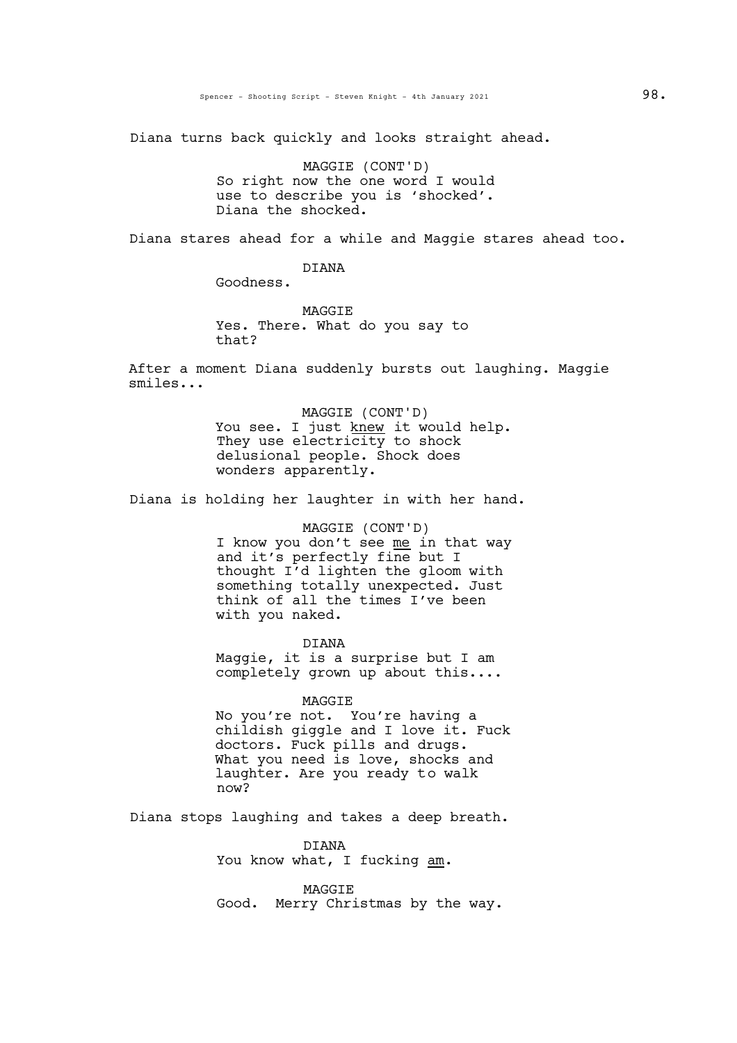Diana turns back quickly and looks straight ahead.

MAGGIE (CONT'D) So right now the one word I would use to describe you is 'shocked'. Diana the shocked.

Diana stares ahead for a while and Maggie stares ahead too.

DIANA

Goodness.

**MAGGTE** Yes. There. What do you say to that?

After a moment Diana suddenly bursts out laughing. Maggie smiles...

> MAGGIE (CONT'D) You see. I just knew it would help. They use electricity to shock delusional people. Shock does wonders apparently.

Diana is holding her laughter in with her hand.

MAGGIE (CONT'D) I know you don't see me in that way and it's perfectly fine but I thought I'd lighten the gloom with something totally unexpected. Just think of all the times I've been with you naked.

DIANA Maggie, it is a surprise but I am completely grown up about this....

MAGGIE

No you're not. You're having a childish giggle and I love it. Fuck doctors. Fuck pills and drugs. What you need is love, shocks and laughter. Are you ready to walk now?

Diana stops laughing and takes a deep breath.

DIANA You know what, I fucking am.

MAGGIE Good. Merry Christmas by the way.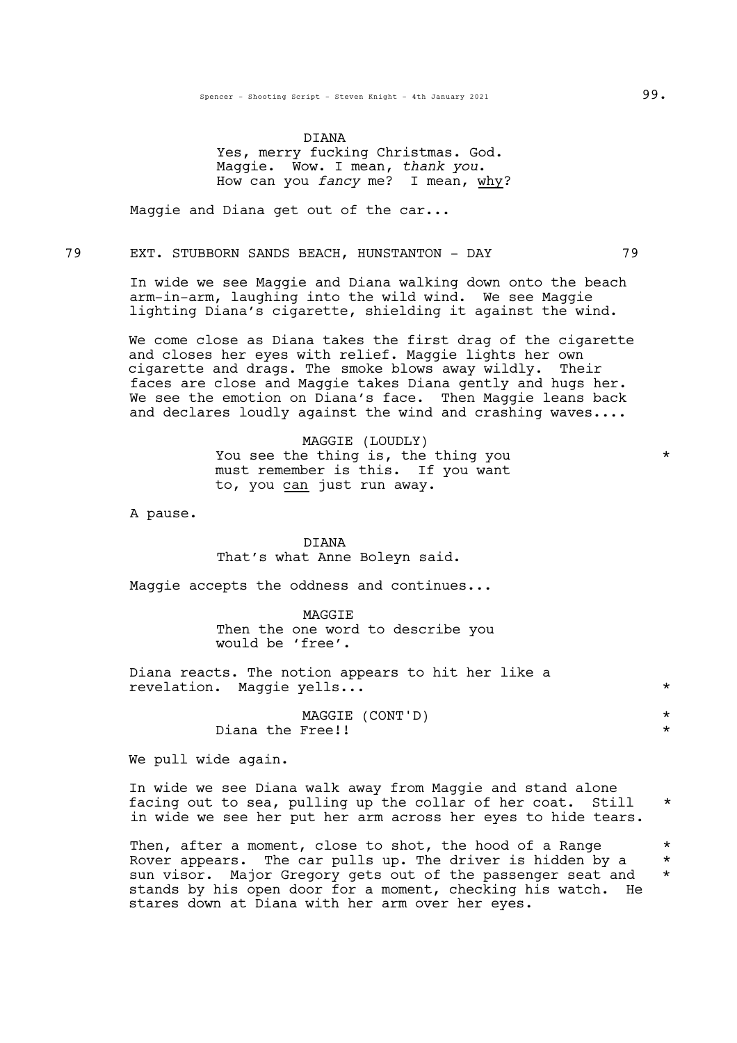DIANA Yes, merry fucking Christmas. God. Maggie. Wow. <sup>I</sup> mean, *thank you*. How can you *fancy* me? I mean, why?

Maggie and Diana get out of the car...

79 EXT. STUBBORN SANDS BEACH, HUNSTANTON - DAY 79

In wide we see Maggie and Diana walking down onto the beach arm-in-arm, laughing into the wild wind. We see Maggie lighting Diana's cigarette, shielding it against the wind.

We come close as Diana takes the first drag of the cigarette and closes her eyes with relief. Maggie lights her own cigarette and drags. The smoke blows away wildly. Their faces are close and Maggie takes Diana gently and hugs her. We see the emotion on Diana's face. Then Maggie leans back and declares loudly against the wind and crashing waves....

> MAGGIE (LOUDLY) You see the thing is, the thing you \* must remember is this. If you want to, you can just run away.

A pause.

DIANA That's what Anne Boleyn said.

Maggie accepts the oddness and continues...

MAGGIE Then the one word to describe you would be 'free'.

Diana reacts. The notion appears to hit her like a revelation. Maggie yells... \*

> MAGGIE (CONT'D) \* Diana the Free!!

We pull wide again.

In wide we see Diana walk away from Maggie and stand alone facing out to sea, pulling up the collar of her coat. Still \* in wide we see her put her arm across her eyes to hide tears.

Then, after a moment, close to shot, the hood of a Range  $*$ Rover appears. The car pulls up. The driver is hidden by a  $*$ sun visor. Major Gregory gets out of the passenger seat and \* stands by his open door for a moment, checking his watch. He stares down at Diana with her arm over her eyes.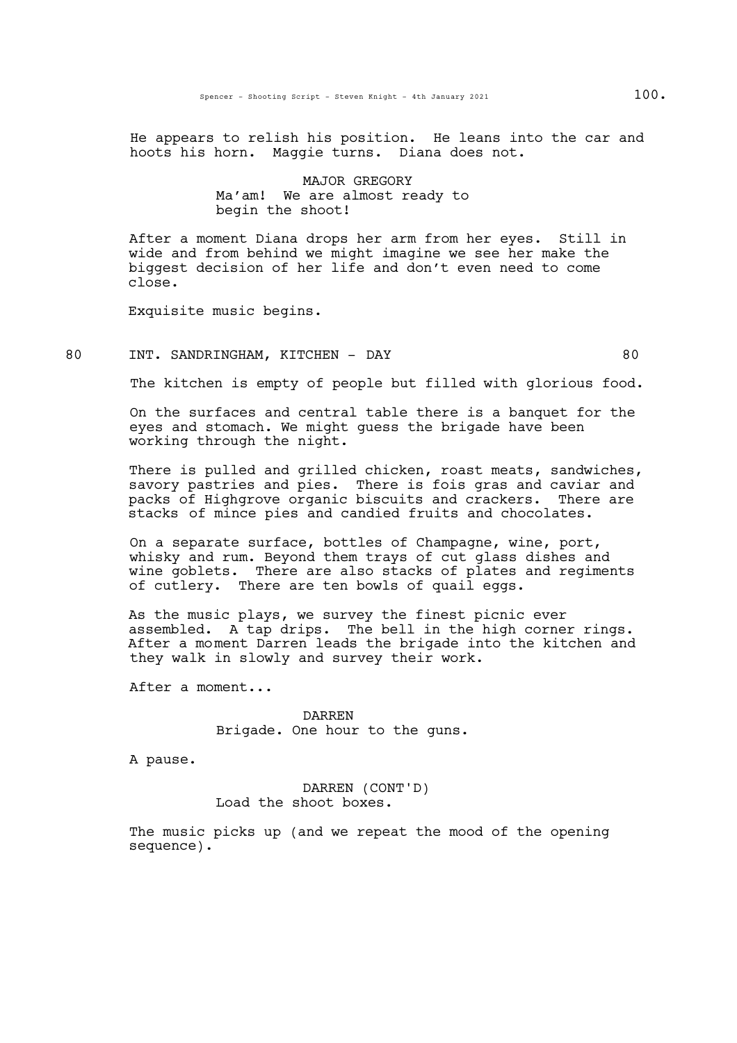He appears to relish his position. He leans into the car and hoots his horn. Maggie turns. Diana does not.

# MAJOR GREGORY Ma'am! We are almost ready to begin the shoot!

After a moment Diana drops her arm from her eyes. Still in wide and from behind we might imagine we see her make the biggest decision of her life and don't even need to come close.

Exquisite music begins.

#### 80 INT. SANDRINGHAM, KITCHEN - DAY 80

The kitchen is empty of people but filled with glorious food.

On the surfaces and central table there is a banquet for the eyes and stomach. We might guess the brigade have been working through the night.

There is pulled and grilled chicken, roast meats, sandwiches, savory pastries and pies. There is fois gras and caviar and packs of Highgrove organic biscuits and crackers. There are stacks of mince pies and candied fruits and chocolates.

On a separate surface, bottles of Champagne, wine, port, whisky and rum. Beyond them trays of cut glass dishes and wine goblets. There are also stacks of plates and regiments of cutlery. There are ten bowls of quail eggs.

As the music plays, we survey the finest picnic ever assembled. A tap drips. The bell in the high corner rings. After a moment Darren leads the brigade into the kitchen and they walk in slowly and survey their work.

After a moment...

DARREN Brigade. One hour to the guns.

A pause.

DARREN (CONT'D) Load the shoot boxes.

The music picks up (and we repeat the mood of the opening sequence).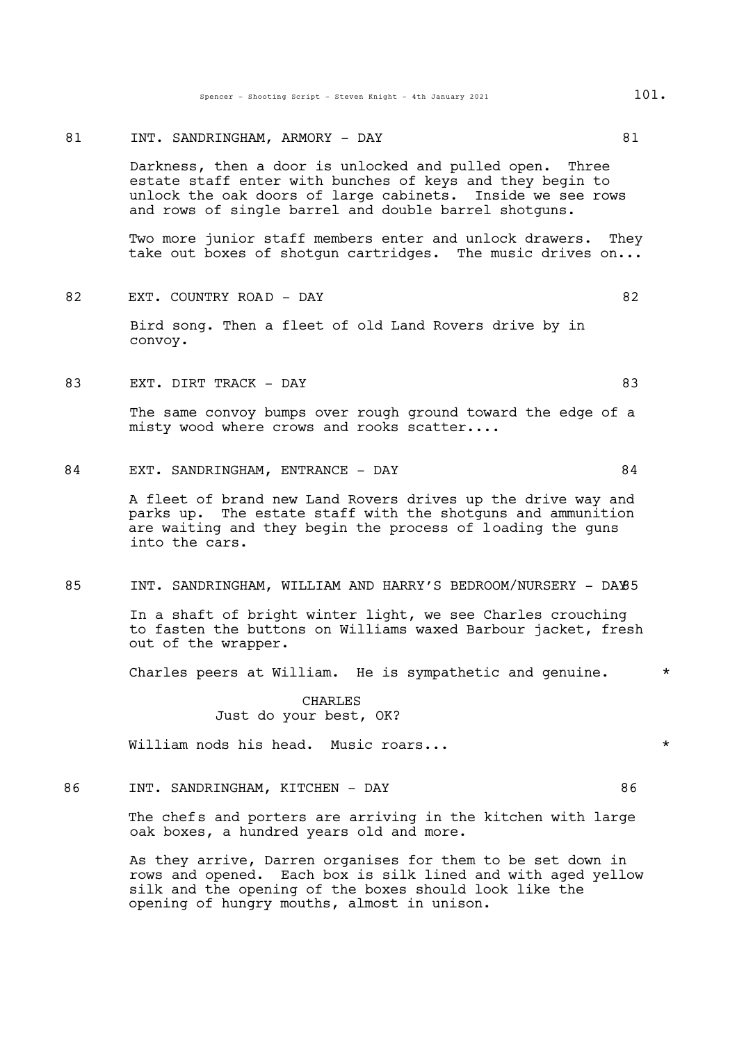Spencer - Shooting Script - Steven Knight - 4th January 2021 101.

# 81 INT. SANDRINGHAM, ARMORY - DAY 61

Darkness, then a door is unlocked and pulled open. Three estate staff enter with bunches of keys and they begin to unlock the oak doors of large cabinets. Inside we see rows and rows of single barrel and double barrel shotguns.

Two more junior staff members enter and unlock drawers. They take out boxes of shotgun cartridges. The music drives on...

82 EXT. COUNTRY ROAD – DAY 82

Bird song. Then a fleet of old Land Rovers drive by in convoy.

83 EXT. DIRT TRACK – DAY 83

The same convoy bumps over rough ground toward the edge of a misty wood where crows and rooks scatter....

84 EXT. SANDRINGHAM, ENTRANCE - DAY 64

A fleet of brand new Land Rovers drives up the drive way and parks up. The estate staff with the shotguns and ammunition are waiting and they begin the process of loading the guns into the cars.

#### 85 INT. SANDRINGHAM, WILLIAM AND HARRY'S BEDROOM/NURSERY - DAY85

In a shaft of bright winter light, we see Charles crouching to fasten the buttons on Williams waxed Barbour jacket, fresh out of the wrapper.

Charles peers at William. He is sympathetic and genuine.  $*$ 

CHARLES Just do your best, OK?

William nods his head. Music roars... \*

86 INT. SANDRINGHAM, KITCHEN - DAY 86

The chefs and porters are arriving in the kitchen with large oak boxes, a hundred years old and more.

As they arrive, Darren organises for them to be set down in rows and opened. Each box is silk lined and with aged yellow silk and the opening of the boxes should look like the opening of hungry mouths, almost in unison.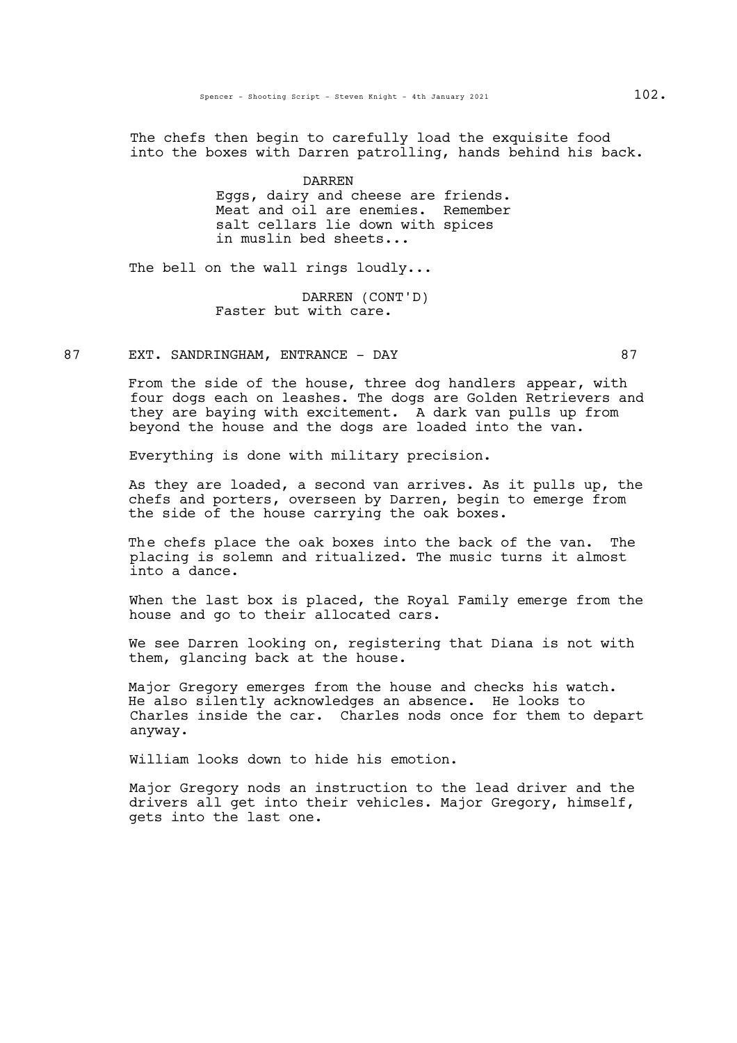The chefs then begin to carefully load the exquisite food into the boxes with Darren patrolling, hands behind his back.

> DARREN Eggs, dairy and cheese are friends. Meat and oil are enemies. Remember salt cellars lie down with spices in muslin bed sheets...

The bell on the wall rings loudly...

DARREN (CONT'D) Faster but with care.

87 EXT. SANDRINGHAM, ENTRANCE - DAY 87

From the side of the house, three dog handlers appear, with four dogs each on leashes. The dogs are Golden Retrievers and they are baying with excitement. A dark van pulls up from beyond the house and the dogs are loaded into the van.

Everything is done with military precision.

As they are loaded, a second van arrives. As it pulls up, the chefs and porters, overseen by Darren, begin to emerge from the side of the house carrying the oak boxes.

The chefs place the oak boxes into the back of the van. The placing is solemn and ritualized. The music turns it almost into a dance.

When the last box is placed, the Royal Family emerge from the house and go to their allocated cars.

We see Darren looking on, registering that Diana is not with them, glancing back at the house.

Major Gregory emerges from the house and checks his watch. He also silently acknowledges an absence. He looks to Charles inside the car. Charles nods once for them to depart anyway.

William looks down to hide his emotion.

Major Gregory nods an instruction to the lead driver and the drivers all get into their vehicles. Major Gregory, himself, gets into the last one.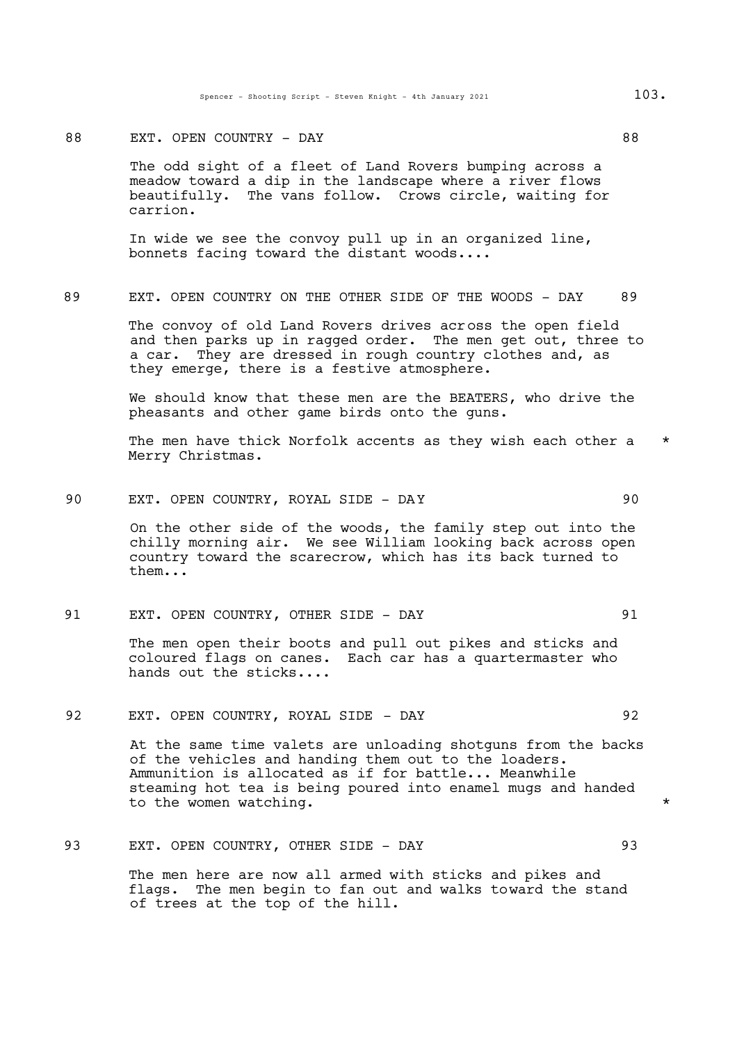#### 88 EXT. OPEN COUNTRY - DAY 88

The odd sight of a fleet of Land Rovers bumping across a meadow toward a dip in the landscape where a river flows beautifully. The vans follow. Crows circle, waiting for carrion.

In wide we see the convoy pull up in an organized line, bonnets facing toward the distant woods....

# 89 EXT. OPEN COUNTRY ON THE OTHER SIDE OF THE WOODS - DAY 89

The convoy of old Land Rovers drives across the open field and then parks up in ragged order. The men get out, three to a car. They are dressed in rough country clothes and, as they emerge, there is a festive atmosphere.

We should know that these men are the BEATERS, who drive the pheasants and other game birds onto the guns.

The men have thick Norfolk accents as they wish each other a Merry Christmas.

90 EXT. OPEN COUNTRY, ROYAL SIDE - DAY 90

On the other side of the woods, the family step out into the chilly morning air. We see William looking back across open country toward the scarecrow, which has its back turned to them...

#### 91 EXT. OPEN COUNTRY, OTHER SIDE - DAY 91

The men open their boots and pull out pikes and sticks and coloured flags on canes. Each car has a quartermaster who hands out the sticks....

# 92 EXT. OPEN COUNTRY, ROYAL SIDE - DAY 92

At the same time valets are unloading shotguns from the backs of the vehicles and handing them out to the loaders. Ammunition is allocated as if for battle... Meanwhile steaming hot tea is being poured into enamel mugs and handed to the women watching.  $\star$ 

# 93 EXT. OPEN COUNTRY, OTHER SIDE - DAY 93

The men here are now all armed with sticks and pikes and flags. The men begin to fan out and walks toward the stand of trees at the top of the hill.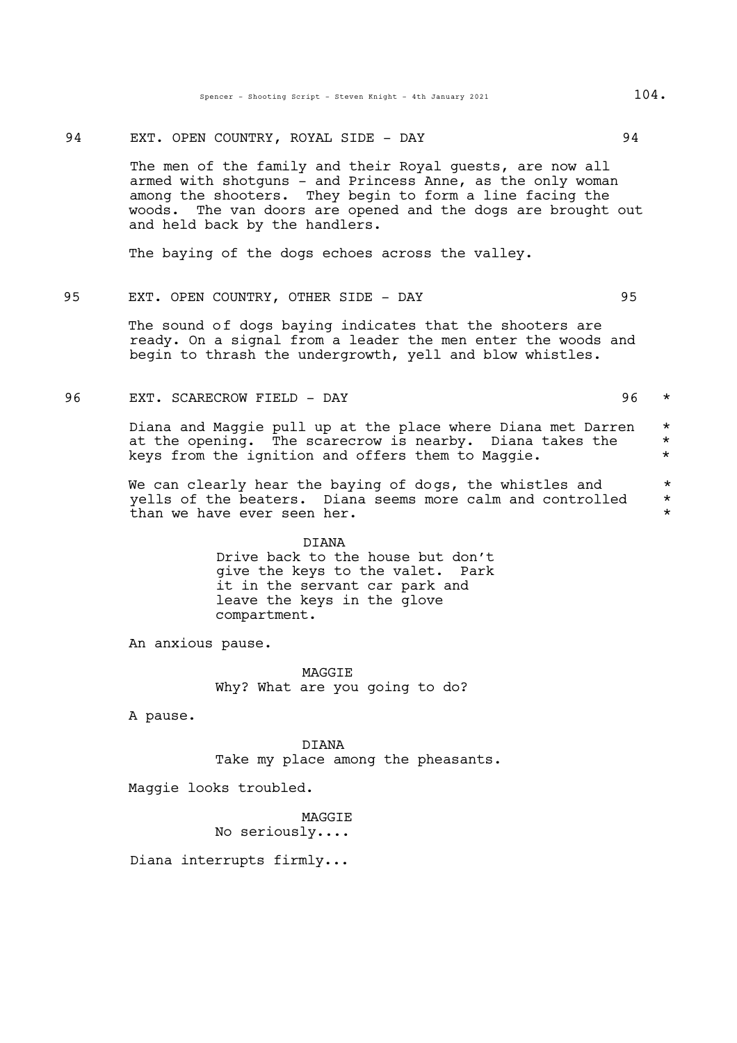94 EXT. OPEN COUNTRY, ROYAL SIDE - DAY 94

The men of the family and their Royal guests, are now all armed with shotguns - and Princess Anne, as the only woman among the shooters. They begin to form a line facing the woods. The van doors are opened and the dogs are brought out and held back by the handlers.

The baying of the dogs echoes across the valley.

# 95 EXT. OPEN COUNTRY, OTHER SIDE - DAY 95

The sound of dogs baying indicates that the shooters are ready. On a signal from a leader the men enter the woods and begin to thrash the undergrowth, yell and blow whistles.

96 EXT. SCARECROW FIELD – DAY 196 \*

Diana and Maggie pull up at the place where Diana met Darren \* at the opening. The scarecrow is nearby. Diana takes the  $*$ <br>heus from the ignition and offers them to Maggie keys from the ignition and offers them to Maggie. \*

We can clearly hear the baying of dogs, the whistles and  $*$  vells of the beaters. Diana seems more calm and controlled  $*$ yells of the beaters. Diana seems more calm and controlled \* than we have ever seen her.  $\star$ 

> DIANA Drive back to the house but don't give the keys to the valet. Park it in the servant car park and leave the keys in the glove compartment.

An anxious pause.

MAGGIE Why? What are you going to do?

A pause.

DIANA Take my place among the pheasants.

Maggie looks troubled.

MAGGIE No seriously....

Diana interrupts firmly...

- 
-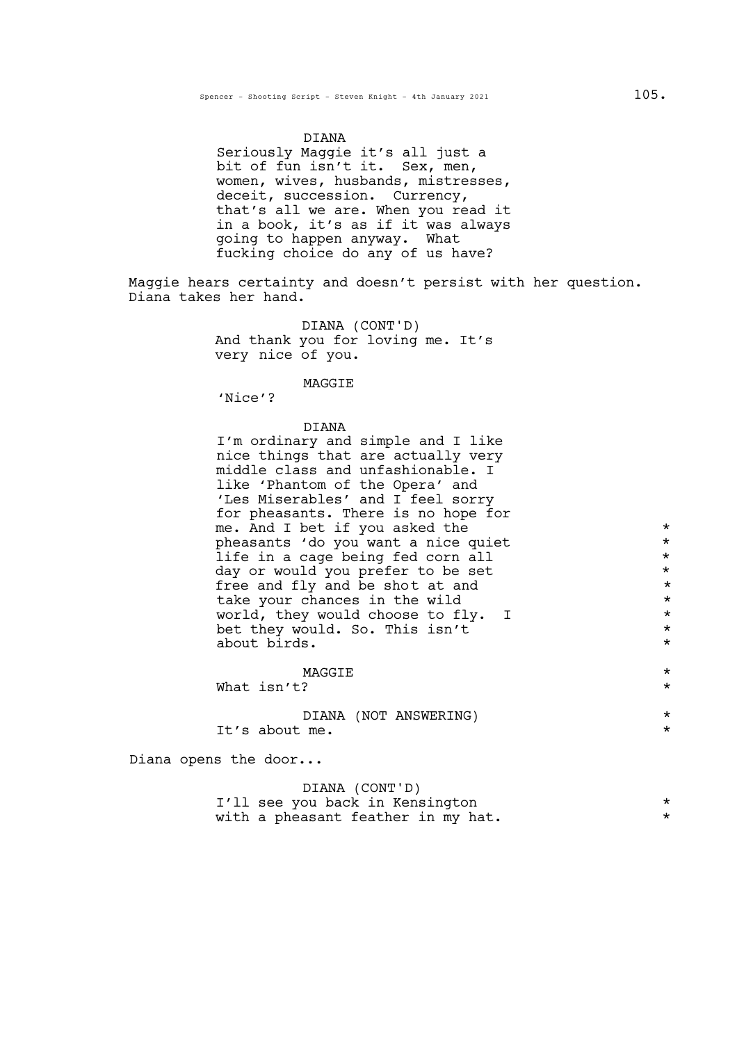#### DIANA

Seriously Maggie it's all just a bit of fun isn't it. Sex, men, women, wives, husbands, mistresses, deceit, succession. Currency, that's all we are. When you read it in a book, it's as if it was always going to happen anyway. What fucking choice do any of us have?

Maggie hears certainty and doesn't persist with her question. Diana takes her hand.

> DIANA (CONT'D) And thank you for loving me. It's very nice of you.

#### MAGGIE

'Nice'?

#### DIANA

I'm ordinary and simple and I like nice things that are actually very middle class and unfashionable. I like 'Phantom of the Opera' and 'Les Miserables' and I feel sorry for pheasants. There is no hope for me. And I bet if you asked the  $\qquad \qquad \ast$ pheasants 'do you want a nice quiet \* life in a cage being fed corn all day or would you prefer to be set  $*$ <br>free and fly and be shot at and  $*$ free and fly and be shot at and  $\star$ <br>take your chances in the wild  $\star$ take your chances in the wild \* world, they would choose to fly. I<br>
het they would So This isn't bet they would. So. This isn't \* about birds.

MAGGIE \* What isn't?

DIANA (NOT ANSWERING) \* It's about me.  $\star$ 

Diana opens the door...

# DIANA (CONT'D) I'll see you back in Kensington \* with a pheasant feather in my hat.  $*$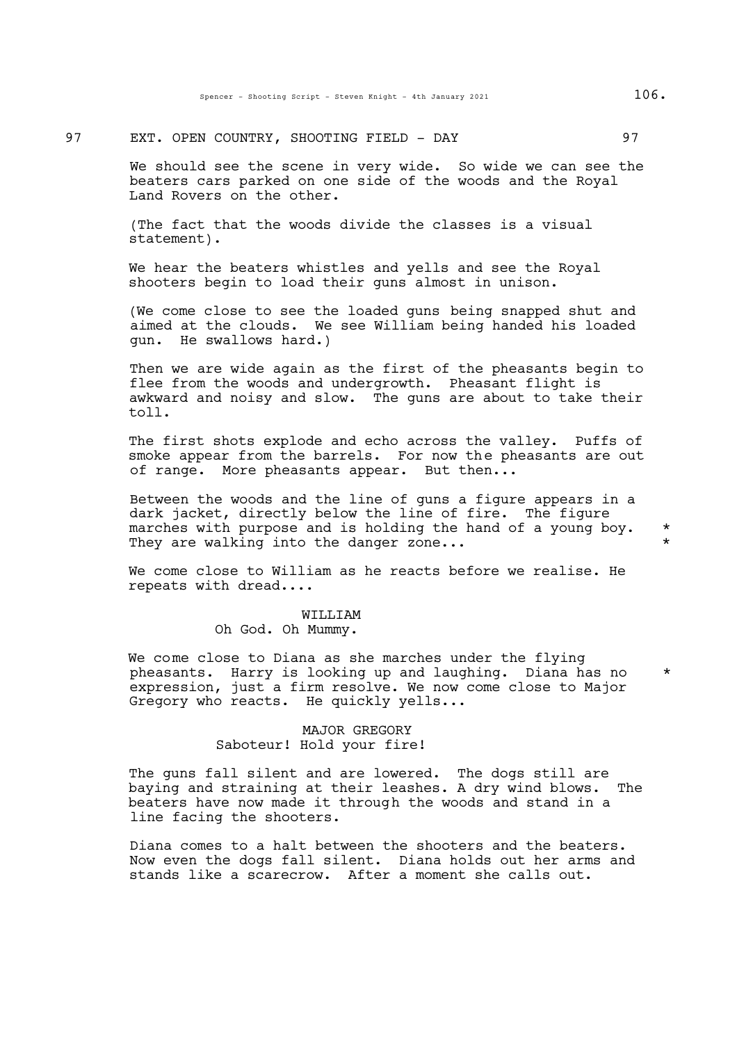# 97 EXT. OPEN COUNTRY, SHOOTING FIELD - DAY 97

We should see the scene in very wide. So wide we can see the beaters cars parked on one side of the woods and the Royal Land Rovers on the other.

(The fact that the woods divide the classes is a visual statement).

We hear the beaters whistles and yells and see the Royal shooters begin to load their guns almost in unison.

(We come close to see the loaded guns being snapped shut and aimed at the clouds. We see William being handed his loaded gun. He swallows hard.)

Then we are wide again as the first of the pheasants begin to flee from the woods and undergrowth. Pheasant flight is awkward and noisy and slow. The guns are about to take their toll.

The first shots explode and echo across the valley. Puffs of smoke appear from the barrels. For now the pheasants are out of range. More pheasants appear. But then...

Between the woods and the line of guns a figure appears in a dark jacket, directly below the line of fire. The figure marches with purpose and is holding the hand of a young boy. \* They are walking into the danger zone...

We come close to William as he reacts before we realise. He repeats with dread....

#### WILLIAM Oh God. Oh Mummy.

We come close to Diana as she marches under the flying pheasants. Harry is looking up and laughing. Diana has no \* expression, just a firm resolve. We now come close to Major Gregory who reacts. He quickly yells...

# MAJOR GREGORY Saboteur! Hold your fire!

The guns fall silent and are lowered. The dogs still are baying and straining at their leashes. A dry wind blows. The beaters have now made it through the woods and stand in a line facing the shooters.

Diana comes to a halt between the shooters and the beaters. Now even the dogs fall silent. Diana holds out her arms and stands like a scarecrow. After a moment she calls out.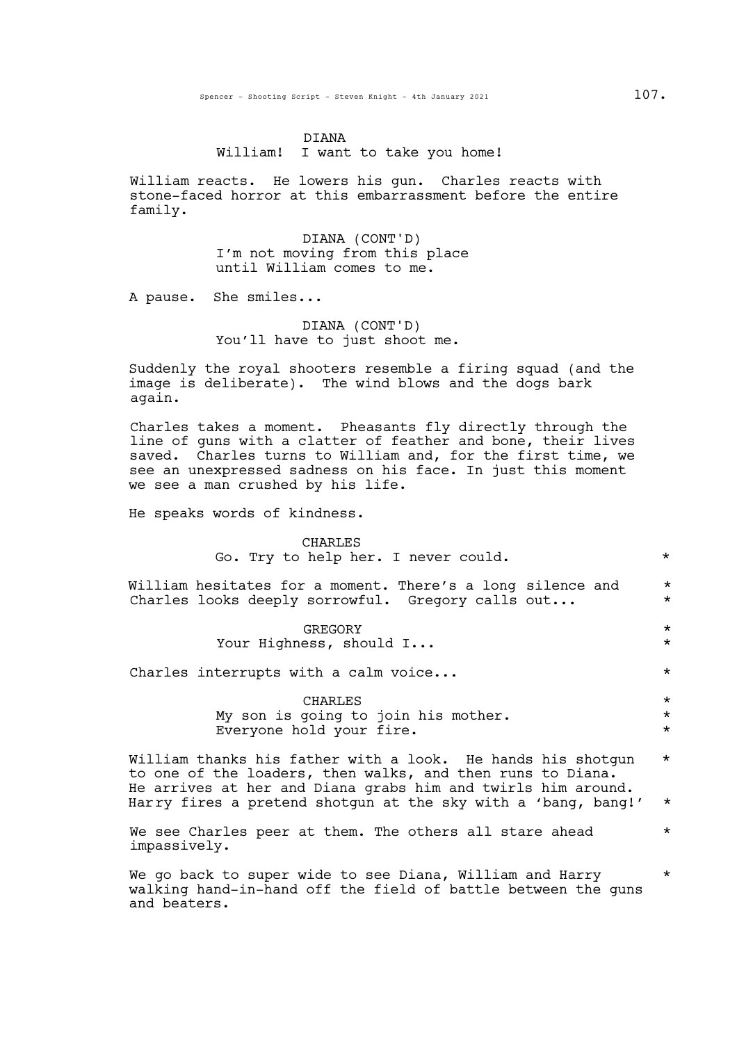#### DIANA

William! I want to take you home!

William reacts. He lowers his gun. Charles reacts with stone-faced horror at this embarrassment before the entire family.

> DIANA (CONT'D) I'm not moving from this place until William comes to me.

A pause. She smiles...

DIANA (CONT'D) You'll have to just shoot me.

Suddenly the royal shooters resemble a firing squad (and the image is deliberate). The wind blows and the dogs bark again.

Charles takes a moment. Pheasants fly directly through the line of guns with a clatter of feather and bone, their lives saved. Charles turns to William and, for the first time, we see an unexpressed sadness on his face. In just this moment we see a man crushed by his life.

He speaks words of kindness.

CHARLES Go. Try to help her. I never could.  $*$ 

William hesitates for a moment. There's a long silence and \* Charles looks deeply sorrowful. Gregory calls out...  $*$ 

> GREGORY \* Your Highness, should I... \*

Charles interrupts with a calm voice...  $\star$ 

CHARLES \* My son is going to join his mother.  $*$ Everyone hold your fire.

William thanks his father with a look. He hands his shotgun \* to one of the loaders, then walks, and then runs to Diana. He arrives at her and Diana grabs him and twirls him around.<br>Harry fires a pretend shotgun at the sky with a 'bang, bang!' \*

We see Charles peer at them. The others all stare ahead  $*$ impassively.

We go back to super wide to see Diana, William and Harry  $\quad \ \ *$ walking hand-in-hand off the field of battle between the guns and beaters.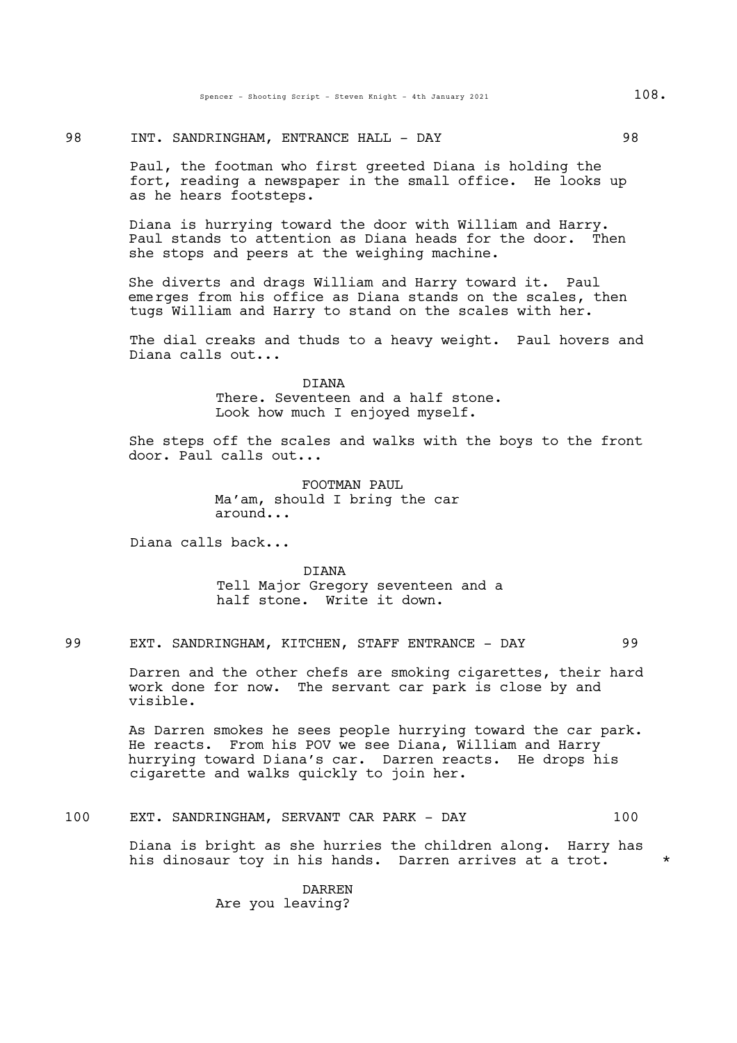## 98 INT. SANDRINGHAM, ENTRANCE HALL - DAY 98

Paul, the footman who first greeted Diana is holding the fort, reading a newspaper in the small office. He looks up as he hears footsteps.

Diana is hurrying toward the door with William and Harry. Paul stands to attention as Diana heads for the door. Then she stops and peers at the weighing machine.

She diverts and drags William and Harry toward it. Paul emerges from his office as Diana stands on the scales, then tugs William and Harry to stand on the scales with her.

The dial creaks and thuds to a heavy weight. Paul hovers and Diana calls out...

> DIANA There. Seventeen and a half stone. Look how much I enjoyed myself.

She steps off the scales and walks with the boys to the front door. Paul calls out...

> FOOTMAN PAUL. Ma'am, should I bring the car around...

Diana calls back...

DIANA Tell Major Gregory seventeen and a half stone. Write it down.

99 EXT. SANDRINGHAM, KITCHEN, STAFF ENTRANCE - DAY 99

Darren and the other chefs are smoking cigarettes, their hard work done for now. The servant car park is close by and visible.

As Darren smokes he sees people hurrying toward the car park. He reacts. From his POV we see Diana, William and Harry hurrying toward Diana's car. Darren reacts. He drops his cigarette and walks quickly to join her.

100 EXT. SANDRINGHAM, SERVANT CAR PARK - DAY 100

Diana is bright as she hurries the children along. Harry has his dinosaur toy in his hands. Darren arrives at a trot. \*

> DARREN Are you leaving?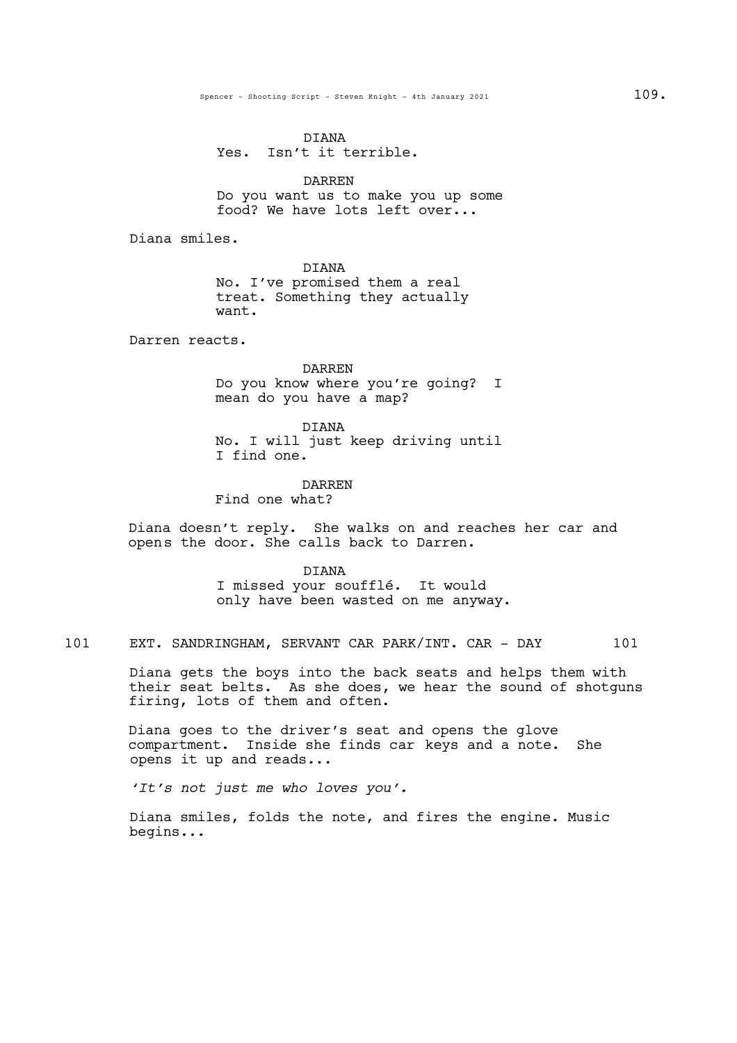DIANA Yes. Isn't it terrible.

DARREN Do you want us to make you up some food? We have lots left over...

Diana smiles.

DIANA

No. I've promised them a real treat. Something they actually want.

Darren reacts.

DARREN Do you know where you're going? I mean do you have a map?

DIANA No. I will just keep driving until I find one.

## DARREN

Find one what?

Diana doesn't reply. She walks on and reaches her car and opens the door. She calls back to Darren.

DIANA

I missed your soufflé. It would only have been wasted on me anyway.

101 EXT. SANDRINGHAM, SERVANT CAR PARK/INT. CAR - DAY 101

Diana gets the boys into the back seats and helps them with their seat belts. As she does, we hear the sound of shotguns firing, lots of them and often.

Diana goes to the driver's seat and opens the glove compartment. Inside she finds car keys and a note. She opens it up and reads...

*'It's not just me who loves you'.*

Diana smiles, folds the note, and fires the engine. Music begins...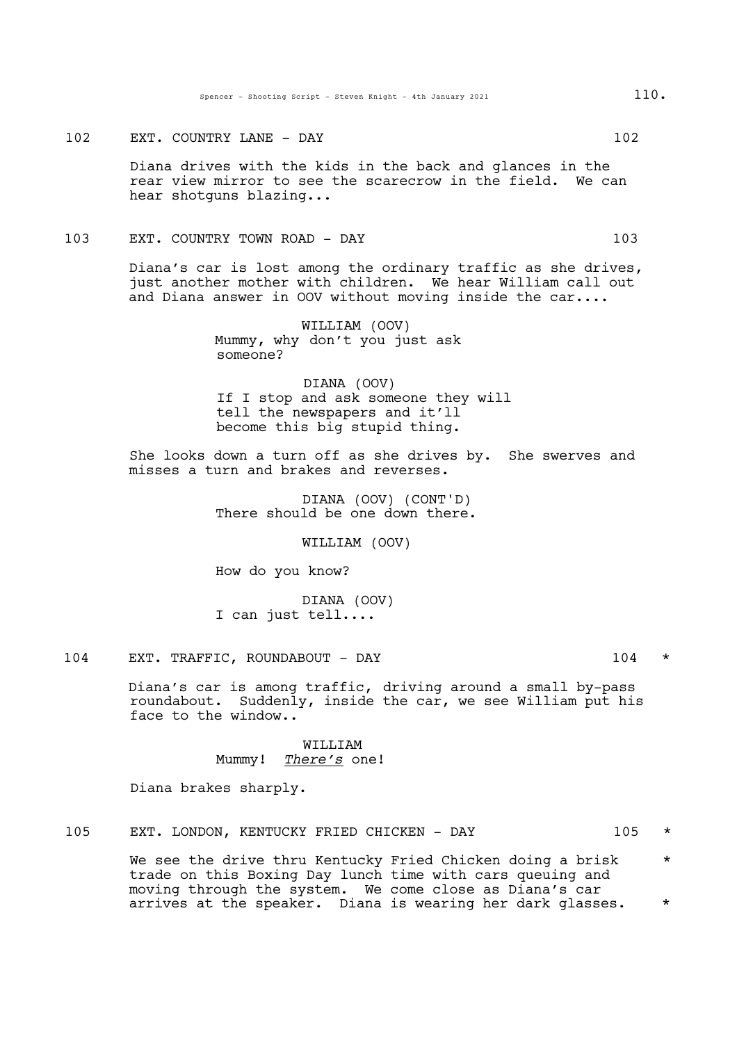#### 102 EXT. COUNTRY LANE - DAY 102

Diana drives with the kids in the back and glances in the rear view mirror to see the scarecrow in the field. We can hear shotguns blazing...

### 103 EXT. COUNTRY TOWN ROAD - DAY 103

Diana's car is lost among the ordinary traffic as she drives, just another mother with children. We hear William call out and Diana answer in OOV without moving inside the car....

> WILLIAM (OOV) Mummy, why don't you just ask someone?

DIANA (OOV) If I stop and ask someone they will tell the newspapers and it'll become this big stupid thing.

She looks down a turn off as she drives by. She swerves and misses a turn and brakes and reverses.

> DIANA (OOV) (CONT'D) There should be one down there.

> > WILLIAM (OOV)

How do you know?

DIANA (OOV) I can just tell....

# 104 EXT. TRAFFIC, ROUNDABOUT - DAY 104 \*

Diana's car is among traffic, driving around a small by-pass roundabout. Suddenly, inside the car, we see William put his face to the window..

> WILLIAM Mummy! *There's* one!

Diana brakes sharply.

## 105 EXT. LONDON, KENTUCKY FRIED CHICKEN - DAY 105 \*

We see the drive thru Kentucky Fried Chicken doing a brisk  $*$ trade on this Boxing Day lunch time with cars queuing and moving through the system. We come close as Diana's car arrives at the speaker. Diana is wearing her dark glasses. \*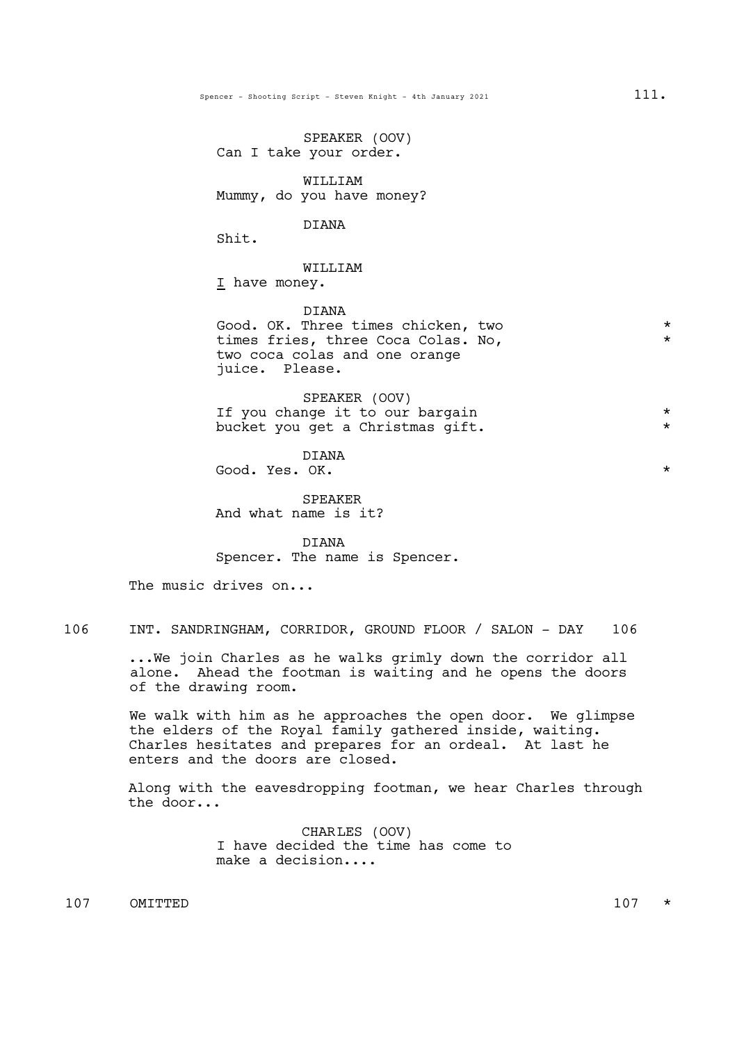SPEAKER (OOV) Can I take your order. WILLIAM Mummy, do you have money? **DIANA** Shit. WILLIAM I have money. DIANA Good. OK. Three times chicken, two  $*$ times fries, three Coca Colas. No, two coca colas and one orange juice. Please. SPEAKER (OOV) If you change it to our bargain  $*$ <br>bucket you got a Christmas gift  $*$ bucket you get a Christmas gift.

DIANA Good. Yes. OK.  $\star$ 

SPEAKER And what name is it?

DIANA Spencer. The name is Spencer.

The music drives on...

106 INT. SANDRINGHAM, CORRIDOR, GROUND FLOOR / SALON - DAY 106

...We join Charles as he walks grimly down the corridor all alone. Ahead the footman is waiting and he opens the doors of the drawing room.

We walk with him as he approaches the open door. We glimpse the elders of the Royal family gathered inside, waiting. Charles hesitates and prepares for an ordeal. At last he enters and the doors are closed.

Along with the eavesdropping footman, we hear Charles through the door...

> CHARLES (OOV) I have decided the time has come to make a decision....

 $107$  OMITTED  $107$  \*